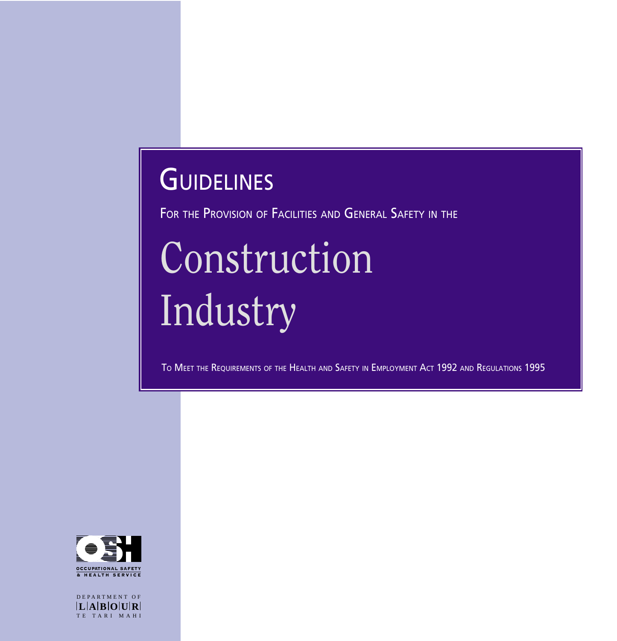# **GUIDELINES**

FOR THE PROVISION OF FACILITIES AND GENERAL SAFETY IN THE

# Construction Industry

TO MEET THE REQUIREMENTS OF THE HEALTH AND SAFETY IN EMPLOYMENT ACT 1992 AND REGULATIONS 1995



**LABOUR** DEPARTMENT OF TE TARI MAHI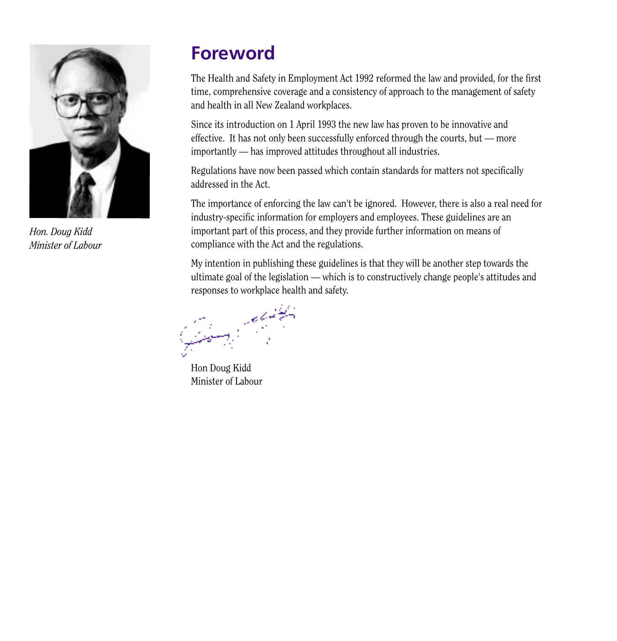

*Hon. Doug Kidd Minister of Labour*

### **Foreword**

The Health and Safety in Employment Act 1992 reformed the law and provided, for the first time, comprehensive coverage and a consistency of approach to the management of safety and health in all New Zealand workplaces.

Since its introduction on 1 April 1993 the new law has proven to be innovative and effective. It has not only been successfully enforced through the courts, but — more importantly — has improved attitudes throughout all industries.

Regulations have now been passed which contain standards for matters not specifically addressed in the Act.

The importance of enforcing the law can't be ignored. However, there is also a real need for industry-specific information for employers and employees. These guidelines are an important part of this process, and they provide further information on means of compliance with the Act and the regulations.

My intention in publishing these guidelines is that they will be another step towards the ultimate goal of the legislation — which is to constructively change people's attitudes and responses to workplace health and safety.

ليۇنى*مى بى*ر

Hon Doug Kidd Minister of Labour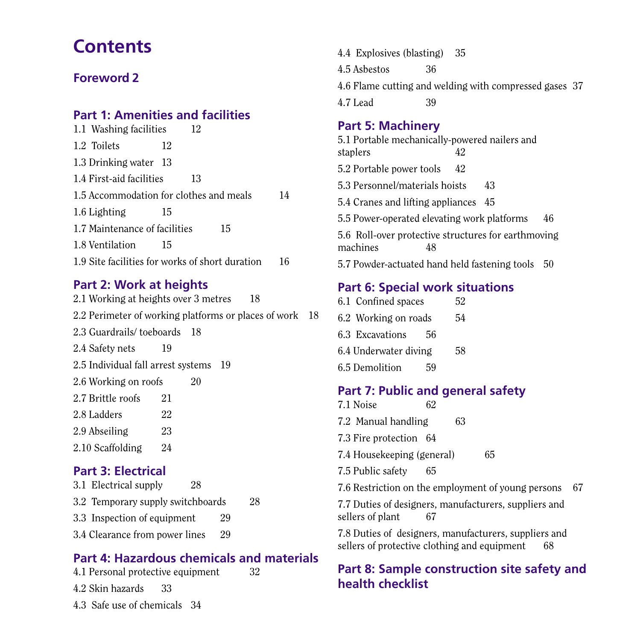### **Contents**

### **Foreword 2**

### **Part 1: Amenities and facilities**

| 1.1 Washing facilities                          |    | 12 |    |    |
|-------------------------------------------------|----|----|----|----|
| 1.2 Toilets                                     | 12 |    |    |    |
| 1.3 Drinking water 13                           |    |    |    |    |
| 1.4 First-aid facilities                        |    | 13 |    |    |
| 1.5 Accommodation for clothes and meals         |    |    |    | 14 |
| 1.6 Lighting                                    | 15 |    |    |    |
| 1.7 Maintenance of facilities                   |    |    | 15 |    |
| 1.8 Ventilation                                 | 15 |    |    |    |
| 1.9 Site facilities for works of short duration |    |    |    | 16 |
|                                                 |    |    |    |    |

### **Part 2: Work at heights**

| 2.1 Working at heights over 3 metres                       |    |     | 18 |  |
|------------------------------------------------------------|----|-----|----|--|
| 2.2 Perimeter of working platforms or places of work<br>18 |    |     |    |  |
| 2.3 Guardrails/toeboards                                   |    | -18 |    |  |
| 2.4 Safety nets                                            | 19 |     |    |  |
| 2.5 Individual fall arrest systems                         |    | -19 |    |  |
| 2.6 Working on roofs                                       |    | 20  |    |  |
| 2.7 Brittle roofs                                          | 21 |     |    |  |
| 2.8 Ladders                                                | 22 |     |    |  |
| 2.9 Abseiling                                              | 23 |     |    |  |
| 2.10 Scaffolding                                           | 24 |     |    |  |
|                                                            |    |     |    |  |

#### **Part 3: Electrical**  $3.1$  Electrical supply  $38$

| 3.1 Electrical supply             | 28 |    |
|-----------------------------------|----|----|
| 3.2 Temporary supply switchboards |    | 28 |
| 3.3 Inspection of equipment       | 29 |    |
| 3.4 Clearance from power lines    | 29 |    |

### **Part 4: Hazardous chemicals and materials**

| 4.1 Personal protective equipment | 32 |
|-----------------------------------|----|
| 4.2 Skin hazards 33               |    |
| 4.3 Safe use of chemicals 34      |    |

4.4 Explosives (blasting) 35 4.5 Asbestos 36 4.6 Flame cutting and welding with compressed gases 37 4.7 Lead 39

### **Part 5: Machinery**

| 5.1 Portable mechanically-powered nailers and<br>staplers             | 42 |    |      |
|-----------------------------------------------------------------------|----|----|------|
| 5.2 Portable power tools                                              | 42 |    |      |
| 5.3 Personnel/materials hoists                                        |    | 43 |      |
| 5.4 Cranes and lifting appliances 45                                  |    |    |      |
| 5.5 Power-operated elevating work platforms                           |    |    | 46   |
| 5.6 Roll-over protective structures for earthmoving<br>machines<br>48 |    |    |      |
| 5.7 Powder-actuated hand held fastening tools                         |    |    | - 50 |
|                                                                       |    |    |      |

### **Part 6: Special work situations**

| 6.1 Confined spaces   |    | 52 |
|-----------------------|----|----|
| 6.2 Working on roads  |    | 54 |
| 6.3 Excavations       | 56 |    |
| 6.4 Underwater diving |    | 58 |
| 6.5 Demolition        | 59 |    |

### **Part 7: Public and general safety**

| 7.1 Noise                                                                 | 62 |    |    |
|---------------------------------------------------------------------------|----|----|----|
| 7.2 Manual handling                                                       | 63 |    |    |
| 7.3 Fire protection 64                                                    |    |    |    |
| 7.4 Housekeeping (general)                                                |    | 65 |    |
| 7.5 Public safety                                                         | 65 |    |    |
| 7.6 Restriction on the employment of young persons                        |    |    | 67 |
| 7.7 Duties of designers, manufacturers, suppliers and<br>sellers of plant | 67 |    |    |
| 7.8 Duties of designers, manufacturers, suppliers and                     |    |    |    |

sellers of protective clothing and equipment 68

### **Part 8: Sample construction site safety and health checklist**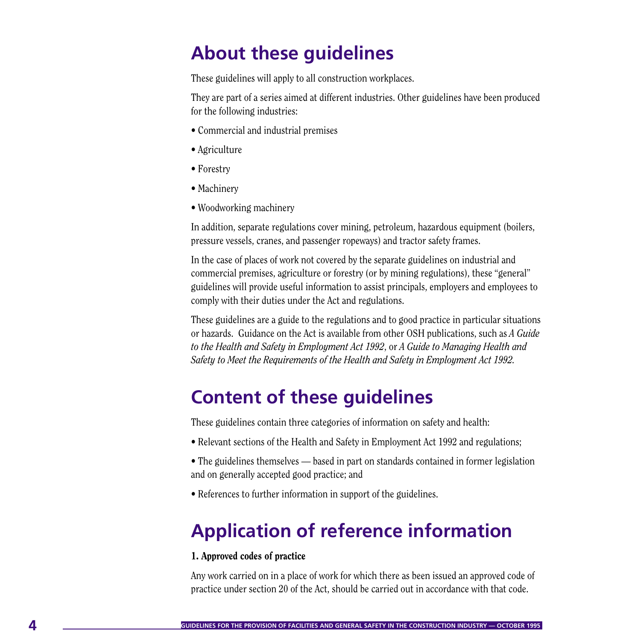# **About these guidelines**

These guidelines will apply to all construction workplaces.

They are part of a series aimed at different industries. Other guidelines have been produced for the following industries:

- Commercial and industrial premises
- Agriculture
- Forestry
- Machinery
- Woodworking machinery

In addition, separate regulations cover mining, petroleum, hazardous equipment (boilers, pressure vessels, cranes, and passenger ropeways) and tractor safety frames.

In the case of places of work not covered by the separate guidelines on industrial and commercial premises, agriculture or forestry (or by mining regulations), these "general" guidelines will provide useful information to assist principals, employers and employees to comply with their duties under the Act and regulations.

These guidelines are a guide to the regulations and to good practice in particular situations or hazards. Guidance on the Act is available from other OSH publications, such as *A Guide to the Health and Safety in Employment Act 1992*, or *A Guide to Managing Health and Safety to Meet the Requirements of the Health and Safety in Employment Act 1992.*

### **Content of these guidelines**

These guidelines contain three categories of information on safety and health:

- Relevant sections of the Health and Safety in Employment Act 1992 and regulations;
- The guidelines themselves based in part on standards contained in former legislation and on generally accepted good practice; and
- References to further information in support of the guidelines.

# **Application of reference information**

### 1. Approved codes of practice

Any work carried on in a place of work for which there as been issued an approved code of practice under section 20 of the Act, should be carried out in accordance with that code.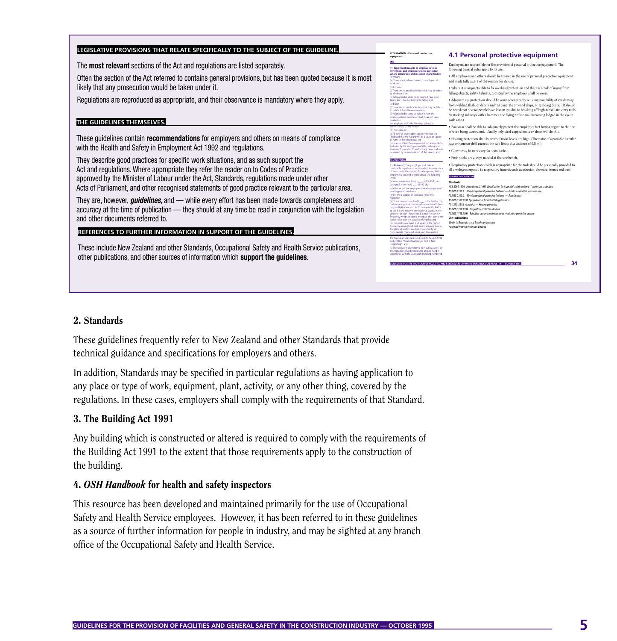| LEGISLATIVE PROVISIONS THAT RELATE SPECIFICALLY TO THE SUBJECT OF THE GUIDELINE.                                                                                                                   | <b>LEGISLATION - Personal protective</b><br>equipment                                                                                                                                                                                                                                                                                | 4.1 Personal protective equipment                                                                                                                                                                                                                                                                                                                                                                  |
|----------------------------------------------------------------------------------------------------------------------------------------------------------------------------------------------------|--------------------------------------------------------------------------------------------------------------------------------------------------------------------------------------------------------------------------------------------------------------------------------------------------------------------------------------|----------------------------------------------------------------------------------------------------------------------------------------------------------------------------------------------------------------------------------------------------------------------------------------------------------------------------------------------------------------------------------------------------|
| The <b>most relevant</b> sections of the Act and regulations are listed separately.                                                                                                                | 10. Significant hazards to employees to be<br>minimised, and employees to be protected.                                                                                                                                                                                                                                              | Employers are responsible for the provision of personal protective equipment. The<br>following general rules apply to its use:                                                                                                                                                                                                                                                                     |
| Often the section of the Act referred to contains general provisions, but has been quoted because it is most                                                                                       | where dimination and isolation impracticable-<br>(1) Where-<br>(a) There is a significant hazard to employees at<br>work: and                                                                                                                                                                                                        | . All employees and others should be trained in the use of personal protective equipment<br>and made fully aware of the reasons for its use.                                                                                                                                                                                                                                                       |
| likely that any prosecution would be taken under it.                                                                                                                                               | @ Either-<br>(i) There are no practicable steps that may be taken<br>to pliminate it: or                                                                                                                                                                                                                                             | . Where it is impracticable to fix overhead protection and there is a risk of injury from<br>falling objects, safety helmets, provided by the employer, shall be worn.                                                                                                                                                                                                                             |
| Regulations are reproduced as appropriate, and their observance is mandatory where they apply.                                                                                                     | (ii) All practicable steps to eliminate it have been<br>taken, but it has not been eliminated; and<br>(c) Fither<br>(i) There are no practicable steps that may be taken<br>to isolate it from the employees; or<br>(ii) All practicable steps to isolate it from the<br>employees have been taken, but it has not been<br>isolated. | • Adequate eye protection should be worn whenever there is any possibility of eye damage<br>from welding flash, or debris such as concrete or wood chips, or grinding dusts. (It should<br>be noted that several people have lost an eye due to breaking off high-tensile masonry nails<br>by sticking sideways with a hammer, the flying broken nail becoming lodged in the eye in<br>each case.) |
| THE GUIDELINES THEMSELVES.                                                                                                                                                                         | the employer shall take the steps set out in<br>(2) The steps are-                                                                                                                                                                                                                                                                   | . Footwear shall be able to adequately protect the employees feet having regard to the sort                                                                                                                                                                                                                                                                                                        |
| These quidelines contain recommendations for employers and others on means of compliance<br>with the Health and Safety in Employment Act 1992 and regulations.                                     | (a) To take all practicable steps to minimise the<br>likelihood that the hazard will be a cause or source<br>of harm to the employees; and<br>(b) To ensure that there is provided for, accessible to.<br>and used by the employees suitable clothing and                                                                            | of work being carried out. Usually only steel-capped boots or shoes will do this.<br>· Hearing protection shall be worn if noise levels are high. (The noise of a portable circular<br>saw or hammer drill exceeds the safe limits at a distance of 0.5 m.)                                                                                                                                        |
|                                                                                                                                                                                                    | equipment to protect them from any harm that may<br>be caused by or may arise out of the hazard: and                                                                                                                                                                                                                                 | · Gloves may be necessary for some tasks.<br>· Push sticks are always needed at the saw bench,                                                                                                                                                                                                                                                                                                     |
| They describe good practices for specific work situations, and as such support the                                                                                                                 | 11. Noise-(1) Every employer shall take all                                                                                                                                                                                                                                                                                          | . Respiratory protection which is appropriate for the task should be personally provided to                                                                                                                                                                                                                                                                                                        |
| Act and regulations. Where appropriate they refer the reader on to Codes of Practice                                                                                                               | practicable steps to ensure, in relation to every place<br>of work under the control of that employer, that no<br>employee is exposed to noise above the following<br>lought                                                                                                                                                         | all employees exposed to respiratory hazards such as asbestos, chemical fumes and dust.<br><b>FURTHER INFORMATION</b>                                                                                                                                                                                                                                                                              |
| approved by the Minister of Labour under the Act, Standards, regulations made under other<br>Acts of Parliament, and other recognised statements of good practice relevant to the particular area. | (a) A noise exposure level, L __ , of 85 dB(A); and<br>(b) A peak noise level, Lag, of 140 dB,-<br>whether or not the employee is wearing a personal                                                                                                                                                                                 | Standards<br>NZS 2264:1970, Amendment 2 1981 Specification for industrial safety helmets (maximum protection)                                                                                                                                                                                                                                                                                      |
|                                                                                                                                                                                                    | hearing protection device.<br>(2) For the purposes of subclause (1) of this<br>regulation.-                                                                                                                                                                                                                                          | AS/NZS 2210.1: 1994 Occupational protective footwear - Guilde to selection, care and use<br>AS/NZS 2210.2: 1994 Occupational protective footwear - Specification                                                                                                                                                                                                                                   |
| They are, however, <i>quidelines</i> , and — while every effort has been made towards completeness and                                                                                             | (a) The noise exposure level L. __ k the level of the<br>daily noise exposure normalised to a nominal 8 hour<br>day, in dB(A) referenced to 20 micropascals; that is                                                                                                                                                                 | AS/NZS 1337:1992 Eye protectors for industrial applications<br>AS 1270:1988 Acoustics - Hearing protectors                                                                                                                                                                                                                                                                                         |
| accuracy at the time of publication — they should at any time be read in conjunction with the legislation<br>and other documents referred to.                                                      | to say, it is the steady noise level that would, in the<br>course of an eight hour period, cause the same A-<br>frequency-weighted sound energy as that due to the                                                                                                                                                                   | AS/NZS 1716:1994 Respiratory protective devices<br>AS/N2S 1715:1994 Selection, use and maintenance of respiratory protective devices<br><b>OSH publications</b>                                                                                                                                                                                                                                    |
|                                                                                                                                                                                                    | actual noise over the actual working day; and<br>(b) The peak noise level, L[inf peak], is the highest<br>frequency-unweighted peak sound pressure level in                                                                                                                                                                          | Guide to Respirators and Breathing Apparatus<br>Approved Hearing Protection Devices                                                                                                                                                                                                                                                                                                                |
| REFERENCES TO FURTHER INFORMATION IN SUPPORT OF THE GUIDELINES.                                                                                                                                    | the place of work in decibels referenced to 20<br>micropascals, measured using sound measuring<br>the Australian Standard numbered AS 1259 1,1990                                                                                                                                                                                    |                                                                                                                                                                                                                                                                                                                                                                                                    |
| These include New Zealand and other Standards, Occupational Safety and Health Service publications,<br>other publications, and other sources of information which <b>support the quidelines</b> .  | and entitled "Sound level meters Part 1: Non-<br>integrating"; and<br>(c) The levels of noise referred to in subclause (1) of<br>this renulation shall he measured and assessed in<br>accordance with the Australian Standard numbered                                                                                               | 34                                                                                                                                                                                                                                                                                                                                                                                                 |
|                                                                                                                                                                                                    |                                                                                                                                                                                                                                                                                                                                      | UIDELINES FOR THE PROVISION OF FACILITIES AND GENERAL SAFETY IN THE CONSTRUCTION INDUSTRY - OCTOBER 1995                                                                                                                                                                                                                                                                                           |

### 2. Standards

These guidelines frequently refer to New Zealand and other Standards that provide technical guidance and specifications for employers and others.

In addition, Standards may be specified in particular regulations as having application to any place or type of work, equipment, plant, activity, or any other thing, covered by the regulations. In these cases, employers shall comply with the requirements of that Standard.

### 3. The Building Act 1991

Any building which is constructed or altered is required to comply with the requirements of the Building Act 1991 to the extent that those requirements apply to the construction of the building.

### 4. *OSH Handbook* for health and safety inspectors

This resource has been developed and maintained primarily for the use of Occupational Safety and Health Service employees. However, it has been referred to in these guidelines as a source of further information for people in industry, and may be sighted at any branch office of the Occupational Safety and Health Service.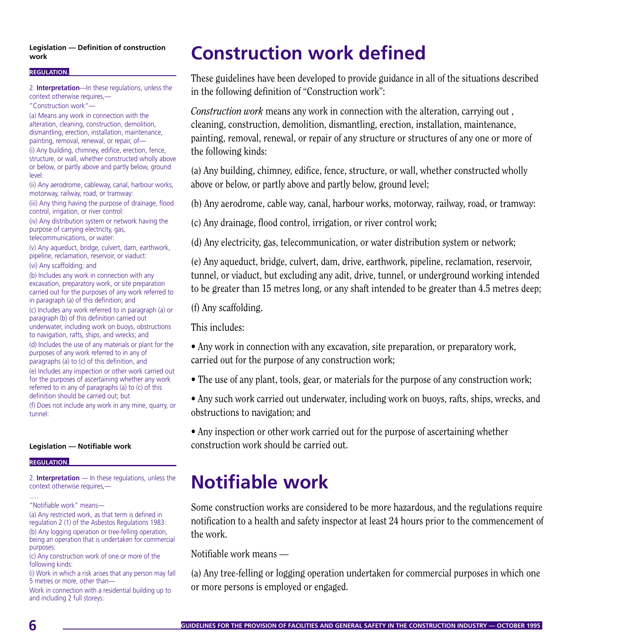#### **Legislation — Definition of construction work**

#### **REGULATION.**

2. **Interpretation**—In these regulations, unless the context otherwise requires,—

"Construction work"—

(a) Means any work in connection with the alteration, cleaning, construction, demolition, dismantling, erection, installation, maintenance, painting, removal, renewal, or repair, of—

(i) Any building, chimney, edifice, erection, fence, structure, or wall, whether constructed wholly above or below, or partly above and partly below, ground level:

(ii) Any aerodrome, cableway, canal, harbour works, motorway, railway, road, or tramway:

(iii) Any thing having the purpose of drainage, flood control, irrigation, or river control:

(iv) Any distribution system or network having the purpose of carrying electricity, gas, telecommunications, or water:

(v) Any aqueduct, bridge, culvert, dam, earthwork, pipeline, reclamation, reservoir, or viaduct:

(vi) Any scaffolding; and

(b) Includes any work in connection with any excavation, preparatory work, or site preparation carried out for the purposes of any work referred to in paragraph (a) of this definition; and

(c) Includes any work referred to in paragraph (a) or paragraph (b) of this definition carried out underwater, including work on buoys, obstructions to navigation, rafts, ships, and wrecks; and (d) Includes the use of any materials or plant for the purposes of any work referred to in any of paragraphs (a) to (c) of this definition, and

(e) Includes any inspection or other work carried out for the purposes of ascertaining whether any work referred to in any of paragraphs (a) to (c) of this definition should be carried out; but

(f) Does not include any work in any mine, quarry, or tunnel:

#### **Legislation — Notifiable work**

#### **REGULATION.**

.....

2. **Interpretation** — In these regulations, unless the context otherwise requires,—

"Notifiable work" means—

(a) Any restricted work, as that term is defined in regulation 2 (1) of the Asbestos Regulations 1983: (b) Any logging operation or tree-felling operation, being an operation that is undertaken for commercial purposes:

(c) Any construction work of one or more of the following kinds:

(i) Work in which a risk arises that any person may fall 5 metres or more, other than—

Work in connection with a residential building up to and including 2 full storeys:

# **Construction work defined**

These guidelines have been developed to provide guidance in all of the situations described in the following definition of "Construction work":

*Construction work* means any work in connection with the alteration, carrying out , cleaning, construction, demolition, dismantling, erection, installation, maintenance, painting, removal, renewal, or repair of any structure or structures of any one or more of the following kinds:

(a) Any building, chimney, edifice, fence, structure, or wall, whether constructed wholly above or below, or partly above and partly below, ground level;

(b) Any aerodrome, cable way, canal, harbour works, motorway, railway, road, or tramway:

(c) Any drainage, flood control, irrigation, or river control work;

(d) Any electricity, gas, telecommunication, or water distribution system or network;

(e) Any aqueduct, bridge, culvert, dam, drive, earthwork, pipeline, reclamation, reservoir, tunnel, or viaduct, but excluding any adit, drive, tunnel, or underground working intended to be greater than 15 metres long, or any shaft intended to be greater than 4.5 metres deep;

(f) Any scaffolding.

This includes:

• Any work in connection with any excavation, site preparation, or preparatory work, carried out for the purpose of any construction work;

- The use of any plant, tools, gear, or materials for the purpose of any construction work;
- Any such work carried out underwater, including work on buoys, rafts, ships, wrecks, and obstructions to navigation; and
- Any inspection or other work carried out for the purpose of ascertaining whether construction work should be carried out.

# **Notifiable work**

Some construction works are considered to be more hazardous, and the regulations require notification to a health and safety inspector at least 24 hours prior to the commencement of the work.

Notifiable work means —

(a) Any tree-felling or logging operation undertaken for commercial purposes in which one or more persons is employed or engaged.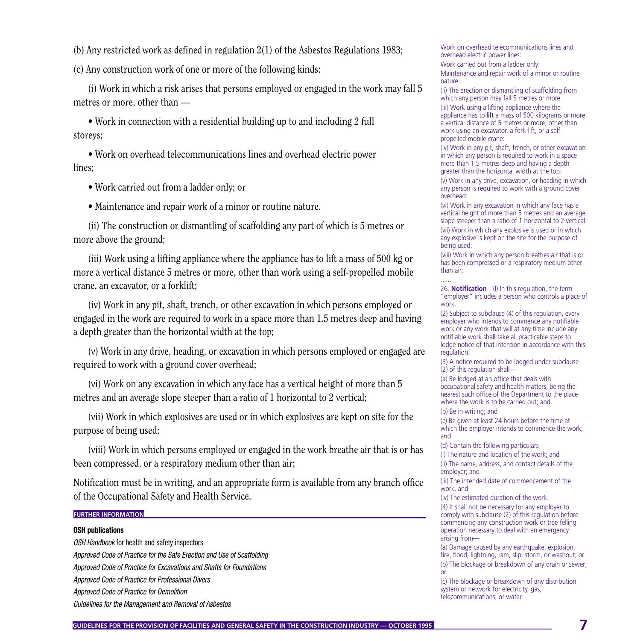(b) Any restricted work as defined in regulation 2(1) of the Asbestos Regulations 1983;

(c) Any construction work of one or more of the following kinds:

(i) Work in which a risk arises that persons employed or engaged in the work may fall 5 metres or more, other than —

• Work in connection with a residential building up to and including 2 full storeys;

• Work on overhead telecommunications lines and overhead electric power lines;

• Work carried out from a ladder only; or

• Maintenance and repair work of a minor or routine nature.

(ii) The construction or dismantling of scaffolding any part of which is 5 metres or more above the ground;

(iii) Work using a lifting appliance where the appliance has to lift a mass of 500 kg or more a vertical distance 5 metres or more, other than work using a self-propelled mobile crane, an excavator, or a forklift;

(iv) Work in any pit, shaft, trench, or other excavation in which persons employed or engaged in the work are required to work in a space more than 1.5 metres deep and having a depth greater than the horizontal width at the top;

(v) Work in any drive, heading, or excavation in which persons employed or engaged are required to work with a ground cover overhead;

(vi) Work on any excavation in which any face has a vertical height of more than 5 metres and an average slope steeper than a ratio of 1 horizontal to 2 vertical;

(vii) Work in which explosives are used or in which explosives are kept on site for the purpose of being used;

(viii) Work in which persons employed or engaged in the work breathe air that is or has been compressed, or a respiratory medium other than air;

Notification must be in writing, and an appropriate form is available from any branch office of the Occupational Safety and Health Service.

#### **FURTHER INFORMATION**

#### **OSH publications**

OSH Handbook for health and safety inspectors Approved Code of Practice for the Safe Erection and Use of Scaffolding Approved Code of Practice for Excavations and Shafts for Foundations Approved Code of Practice for Professional Divers Approved Code of Practice for Demolition Guidelines for the Management and Removal of Asbestos

Work on overhead telecommunications lines and overhead electric power lines:

Work carried out from a ladder only: Maintenance and repair work of a minor or routine nature:

(ii) The erection or dismantling of scaffolding from which any person may fall 5 metres or more: (iii) Work using a lifting appliance where the appliance has to lift a mass of 500 kilograms or more a vertical distance of 5 metres or more, other than work using an excavator, a fork-lift, or a selfpropelled mobile crane:

(iv) Work in any pit, shaft, trench, or other excavation in which any person is required to work in a space more than 1.5 metres deep and having a depth greater than the horizontal width at the top:

(v) Work in any drive, excavation, or heading in which any person is required to work with a ground cover overhead:

(vi) Work in any excavation in which any face has a vertical height of more than 5 metres and an average slope steeper than a ratio of 1 horizontal to 2 vertical: (vii) Work in which any explosive is used or in which any explosive is kept on the site for the purpose of being used:

(viii) Work in which any person breathes air that is or has been compressed or a respiratory medium other than air:

26. **Notification**—(I) In this regulation, the term "employer" includes a person who controls a place of work.

(2) Subject to subclause (4) of this regulation, every employer who intends to commence any notifiable work or any work that will at any time include any notifiable work shall take all practicable steps to lodge notice of that intention in accordance with this regulation.

(3) A notice required to be lodged under subclause (2) of this regulation shall—

(a) Be lodged at an office that deals with occupational safety and health matters, being the nearest such office of the Department to the place where the work is to be carried out; and (b) Be in writing; and

(c) Be given at least 24 hours before the time at

which the employer intends to commence the work; and

(d) Contain the following particulars—

(i) The nature and location of the work; and

(ii) The name, address, and contact details of the employer; and

(iii) The intended date of commencement of the work, and

(iv) The estimated duration of the work.

(4) It shall not be necessary for any employer to comply with subclause (2) of this regulation before commencing any construction work or tree felling operation necessary to deal with an emergency arising from—

(a) Damage caused by any earthquake, explosion, fire, flood, lightning, ram, slip, storm, or washout; or (b) The blockage or breakdown of any drain or sewer; or

(c) The blockage or breakdown of any distribution system or network for electricity, gas, telecommunications, or water.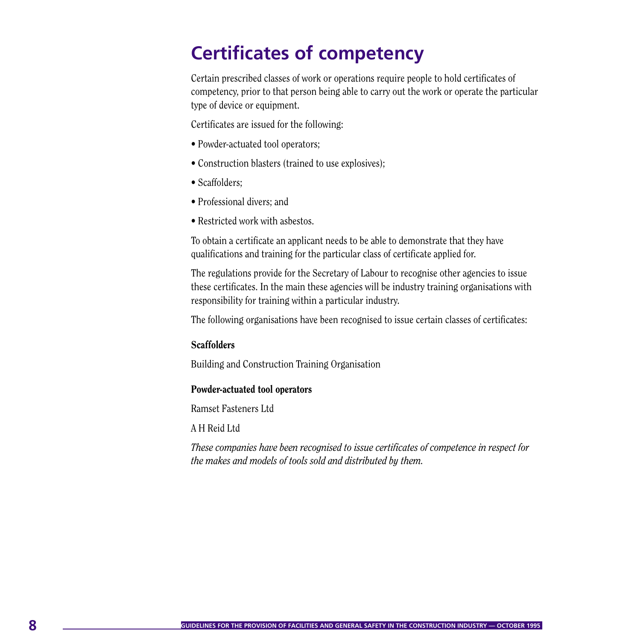# **Certificates of competency**

Certain prescribed classes of work or operations require people to hold certificates of competency, prior to that person being able to carry out the work or operate the particular type of device or equipment.

Certificates are issued for the following:

- Powder-actuated tool operators;
- Construction blasters (trained to use explosives);
- Scaffolders:
- Professional divers; and
- Restricted work with asbestos.

To obtain a certificate an applicant needs to be able to demonstrate that they have qualifications and training for the particular class of certificate applied for.

The regulations provide for the Secretary of Labour to recognise other agencies to issue these certificates. In the main these agencies will be industry training organisations with responsibility for training within a particular industry.

The following organisations have been recognised to issue certain classes of certificates:

### **Scaffolders**

Building and Construction Training Organisation

### Powder-actuated tool operators

Ramset Fasteners Ltd

A H Reid Ltd

*These companies have been recognised to issue certificates of competence in respect for the makes and models of tools sold and distributed by them.*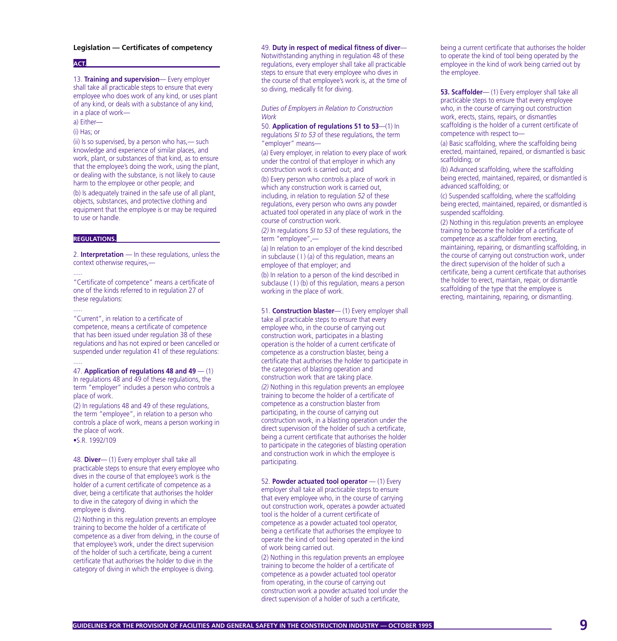#### **Legislation — Certificates of competency**

#### **ACT.**

13. **Training and supervision**— Every employer shall take all practicable steps to ensure that every employee who does work of any kind, or uses plant of any kind, or deals with a substance of any kind, in a place of work—

a) Either—

(i) Has; or

(ii) Is so supervised, by a person who has,— such knowledge and experience of similar places, and work, plant, or substances of that kind, as to ensure that the employee's doing the work, using the plant, or dealing with the substance, is not likely to cause harm to the employee or other people; and (b) Is adequately trained in the safe use of all plant, objects, substances, and protective clothing and equipment that the employee is or may be required to use or handle.

#### **REGULATIONS.**

.....

.....

2. **Interpretation** — In these regulations, unless the context otherwise requires,—

"Certificate of competence" means a certificate of one of the kinds referred to in regulation 27 of these regulations:

..... "Current", in relation to a certificate of competence, means a certificate of competence that has been issued under regulation 38 of these regulations and has not expired or been cancelled or suspended under regulation 41 of these regulations:

47. **Application of regulations 48 and 49** — (1) In regulations 48 and 49 of these regulations, the term "employer" includes a person who controls a place of work.

(2) In regulations 48 and 49 of these regulations, the term "employee", in relation to a person who controls a place of work, means a person working in the place of work.

•S.R. 1992/109

48. **Diver**— (1) Every employer shall take all practicable steps to ensure that every employee who dives in the course of that employee's work is the holder of a current certificate of competence as a diver, being a certificate that authorises the holder to dive in the category of diving in which the employee is diving.

(2) Nothing in this regulation prevents an employee training to become the holder of a certificate of competence as a diver from delving, in the course of that employee's work, under the direct supervision of the holder of such a certificate, being a current certificate that authorises the holder to dive in the category of diving in which the employee is diving.

#### 49. **Duty in respect of medical fitness of diver**—

Notwithstanding anything in regulation 48 of these regulations, every employer shall take all practicable steps to ensure that every employee who dives in the course of that employee's work is, at the time of so diving, medically fit for diving.

*Duties of Employers in Relation to Construction Work*

50. **Application of regulations 51 to 53**—(1) In regulations *5I to 53* of these regulations, the term "employer" means—

(a) Every employer, in relation to every place of work under the control of that employer in which any construction work is carried out; and

(b) Every person who controls a place of work in which any construction work is carried out, including, in relation to regulation *52* of these regulations, every person who owns any powder actuated tool operated in any place of work in the course of construction work.

*(2)* In regulations *5I to 53* of these regulations, the term "employee",—

(a) In relation to an employer of the kind described in subclause ( I ) (a) of this regulation, means an employee of that employer; and

(b) In relation to a person of the kind described in subclause (1) (b) of this regulation, means a person working in the place of work.

51. **Construction blaster**— (1) Every employer shall take all practicable steps to ensure that every employee who, in the course of carrying out construction work, participates in a blasting operation is the holder of a current certificate of competence as a construction blaster, being a certificate that authorises the holder to participate in the categories of blasting operation and construction work that are taking place.

*(2)* Nothing in this regulation prevents an employee training to become the holder of a certificate of competence as a construction blaster from participating, in the course of carrying out construction work, in a blasting operation under the direct supervision of the holder of such a certificate, being a current certificate that authorises the holder to participate in the categories of blasting operation and construction work in which the employee is participating.

52. **Powder actuated tool operator** - (1) Every employer shall take all practicable steps to ensure that every employee who, in the course of carrying out construction work, operates a powder actuated tool is the holder of a current certificate of competence as a powder actuated tool operator, being a certificate that authorises the employee to operate the kind of tool being operated in the kind of work being carried out.

(2) Nothing in this regulation prevents an employee training to become the holder of a certificate of competence as a powder actuated tool operator from operating, in the course of carrying out construction work a powder actuated tool under the direct supervision of a holder of such a certificate,

being a current certificate that authorises the holder to operate the kind of tool being operated by the employee in the kind of work being carried out by the employee.

**53. Scaffolder**— (1) Every employer shall take all practicable steps to ensure that every employee who, in the course of carrying out construction work, erects, stains, repairs, or dismantles scaffolding is the holder of a current certificate of competence with respect to—

(a) Basic scaffolding, where the scaffolding being erected, maintained, repaired, or dismantled is basic scaffolding; or

(b) Advanced scaffolding, where the scaffolding being erected, maintained, repaired, or dismantled is advanced scaffolding; or

(c) Suspended scaffolding, where the scaffolding being erected, maintained, repaired, or dismantled is suspended scaffolding.

(2) Nothing in this regulation prevents an employee training to become the holder of a certificate of competence as a scaffolder from erecting, maintaining, repairing, or dismantling scaffolding, in the course of carrying out construction work, under the direct supervision of the holder of such a certificate, being a current certificate that authorises the holder to erect, maintain, repair, or dismantle scaffolding of the type that the employee is erecting, maintaining, repairing, or dismantling.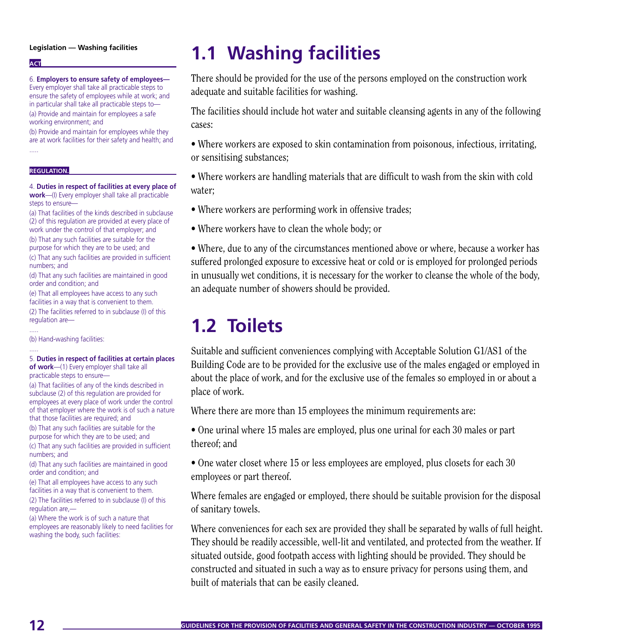#### **Legislation — Washing facilities**

#### **ACT**

6. **Employers to ensure safety of employees—** Every employer shall take all practicable steps to ensure the safety of employees while at work; and in particular shall take all practicable steps to— (a) Provide and maintain for employees a safe

working environment; and

(b) Provide and maintain for employees while they are at work facilities for their safety and health; and .....

#### **REGULATION.**

4. **Duties in respect of facilities at every place of work**—(I) Every employer shall take all practicable steps to ensure—

(a) That facilities of the kinds described in subclause (2) of this regulation are provided at every place of work under the control of that employer; and (b) That any such facilities are suitable for the purpose for which they are to be used; and (c) That any such facilities are provided in sufficient

numbers; and (d) That any such facilities are maintained in good order and condition; and

(e) That all employees have access to any such facilities in a way that is convenient to them.

(2) The facilities referred to in subclause (I) of this regulation are—

(b) Hand-washing facilities:

.....

.....

#### 5. **Duties in respect of facilities at certain places of work**—(1) Every employer shall take all practicable steps to ensure—

(a) That facilities of any of the kinds described in subclause (2) of this regulation are provided for employees at every place of work under the control of that employer where the work is of such a nature that those facilities are required; and

(b) That any such facilities are suitable for the purpose for which they are to be used; and

(c) That any such facilities are provided in sufficient numbers; and

(d) That any such facilities are maintained in good order and condition; and

(e) That all employees have access to any such facilities in a way that is convenient to them. (2) The facilities referred to in subclause (I) of this regulation are.-

(a) Where the work is of such a nature that employees are reasonably likely to need facilities for washing the body, such facilities:

# **1.1 Washing facilities**

There should be provided for the use of the persons employed on the construction work adequate and suitable facilities for washing.

The facilities should include hot water and suitable cleansing agents in any of the following cases:

• Where workers are exposed to skin contamination from poisonous, infectious, irritating, or sensitising substances;

• Where workers are handling materials that are difficult to wash from the skin with cold water;

- Where workers are performing work in offensive trades;
- Where workers have to clean the whole body; or

• Where, due to any of the circumstances mentioned above or where, because a worker has suffered prolonged exposure to excessive heat or cold or is employed for prolonged periods in unusually wet conditions, it is necessary for the worker to cleanse the whole of the body, an adequate number of showers should be provided.

# **1.2 Toilets**

Suitable and sufficient conveniences complying with Acceptable Solution G1/AS1 of the Building Code are to be provided for the exclusive use of the males engaged or employed in about the place of work, and for the exclusive use of the females so employed in or about a place of work.

Where there are more than 15 employees the minimum requirements are:

• One urinal where 15 males are employed, plus one urinal for each 30 males or part thereof; and

• One water closet where 15 or less employees are employed, plus closets for each 30 employees or part thereof.

Where females are engaged or employed, there should be suitable provision for the disposal of sanitary towels.

Where conveniences for each sex are provided they shall be separated by walls of full height. They should be readily accessible, well-lit and ventilated, and protected from the weather. If situated outside, good footpath access with lighting should be provided. They should be constructed and situated in such a way as to ensure privacy for persons using them, and built of materials that can be easily cleaned.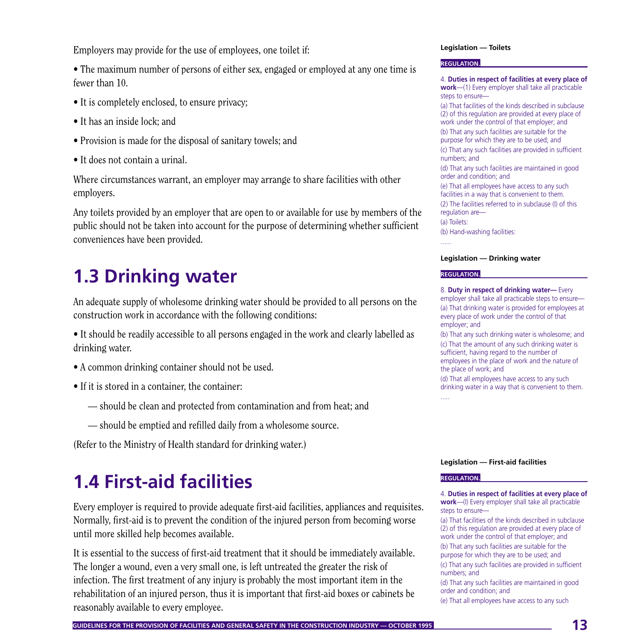Employers may provide for the use of employees, one toilet if:

• The maximum number of persons of either sex, engaged or employed at any one time is fewer than 10.

- It is completely enclosed, to ensure privacy;
- It has an inside lock; and
- Provision is made for the disposal of sanitary towels; and
- It does not contain a urinal.

Where circumstances warrant, an employer may arrange to share facilities with other employers.

Any toilets provided by an employer that are open to or available for use by members of the public should not be taken into account for the purpose of determining whether sufficient conveniences have been provided.

# **1.3 Drinking water**

An adequate supply of wholesome drinking water should be provided to all persons on the construction work in accordance with the following conditions:

• It should be readily accessible to all persons engaged in the work and clearly labelled as drinking water.

- A common drinking container should not be used.
- If it is stored in a container, the container:
	- should be clean and protected from contamination and from heat; and
	- should be emptied and refilled daily from a wholesome source.

(Refer to the Ministry of Health standard for drinking water.)

# **1.4 First-aid facilities**

Every employer is required to provide adequate first-aid facilities, appliances and requisites. Normally, first-aid is to prevent the condition of the injured person from becoming worse until more skilled help becomes available.

It is essential to the success of first-aid treatment that it should be immediately available. The longer a wound, even a very small one, is left untreated the greater the risk of infection. The first treatment of any injury is probably the most important item in the rehabilitation of an injured person, thus it is important that first-aid boxes or cabinets be reasonably available to every employee.

#### **Legislation — Toilets**

#### **REGULATION.**

4. **Duties in respect of facilities at every place of work**—(1) Every employer shall take all practicable steps to ensure— (a) That facilities of the kinds described in subclause (2) of this regulation are provided at every place of work under the control of that employer; and (b) That any such facilities are suitable for the purpose for which they are to be used; and (c) That any such facilities are provided in sufficient numbers; and (d) That any such facilities are maintained in good order and condition; and (e) That all employees have access to any such facilities in a way that is convenient to them. (2) The facilities referred to in subclause (I) of this regulation are— (a) Toilets: (b) Hand-washing facilities: ......

#### **Legislation — Drinking water**

#### **REGULATION.**

8. **Duty in respect of drinking water—** Every employer shall take all practicable steps to ensure— (a) That drinking water is provided for employees at every place of work under the control of that employer; and

(b) That any such drinking water is wholesome; and (c) That the amount of any such drinking water is sufficient, having regard to the number of

employees in the place of work and the nature of the place of work; and

(d) That all employees have access to any such drinking water in a way that is convenient to them.

#### **Legislation — First-aid facilities**

#### **REGULATION.**

.....

4. **Duties in respect of facilities at every place of work**—(I) Every employer shall take all practicable steps to ensure—

(a) That facilities of the kinds described in subclause (2) of this regulation are provided at every place of work under the control of that employer; and (b) That any such facilities are suitable for the purpose for which they are to be used; and

(c) That any such facilities are provided in sufficient numbers; and

(d) That any such facilities are maintained in good order and condition; and

(e) That all employees have access to any such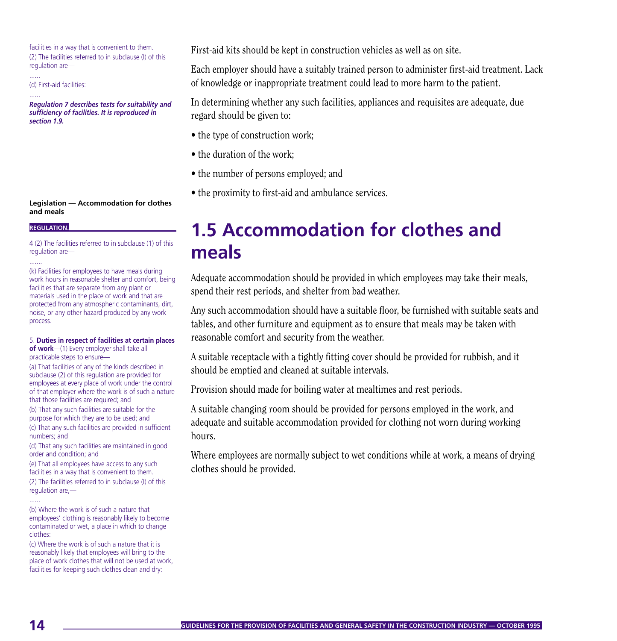facilities in a way that is convenient to them. (2) The facilities referred to in subclause (I) of this regulation are—

(d) First-aid facilities:

......

......

*Regulation 7 describes tests for suitability and sufficiency of facilities. It is reproduced in section 1.9.*

**Legislation — Accommodation for clothes and meals**

#### **REGULATION.**

.......

4 (2) The facilities referred to in subclause (1) of this regulation are—

(k) Facilities for employees to have meals during work hours in reasonable shelter and comfort, being facilities that are separate from any plant or materials used in the place of work and that are protected from any atmospheric contaminants, dirt, noise, or any other hazard produced by any work process.

5. **Duties in respect of facilities at certain places of work**—(1) Every employer shall take all practicable steps to ensure—

(a) That facilities of any of the kinds described in subclause (2) of this regulation are provided for employees at every place of work under the control of that employer where the work is of such a nature that those facilities are required; and

(b) That any such facilities are suitable for the purpose for which they are to be used; and (c) That any such facilities are provided in sufficient numbers; and

(d) That any such facilities are maintained in good order and condition; and

(e) That all employees have access to any such facilities in a way that is convenient to them.

(2) The facilities referred to in subclause (I) of this regulation are,—

(b) Where the work is of such a nature that employees' clothing is reasonably likely to become contaminated or wet, a place in which to change clothes:

(c) Where the work is of such a nature that it is reasonably likely that employees will bring to the place of work clothes that will not be used at work, facilities for keeping such clothes clean and dry:

First-aid kits should be kept in construction vehicles as well as on site.

Each employer should have a suitably trained person to administer first-aid treatment. Lack of knowledge or inappropriate treatment could lead to more harm to the patient.

In determining whether any such facilities, appliances and requisites are adequate, due regard should be given to:

- the type of construction work;
- the duration of the work:
- the number of persons employed; and
- the proximity to first-aid and ambulance services.

# **1.5 Accommodation for clothes and meals**

Adequate accommodation should be provided in which employees may take their meals, spend their rest periods, and shelter from bad weather.

Any such accommodation should have a suitable floor, be furnished with suitable seats and tables, and other furniture and equipment as to ensure that meals may be taken with reasonable comfort and security from the weather.

A suitable receptacle with a tightly fitting cover should be provided for rubbish, and it should be emptied and cleaned at suitable intervals.

Provision should made for boiling water at mealtimes and rest periods.

A suitable changing room should be provided for persons employed in the work, and adequate and suitable accommodation provided for clothing not worn during working hours.

Where employees are normally subject to wet conditions while at work, a means of drying clothes should be provided.

......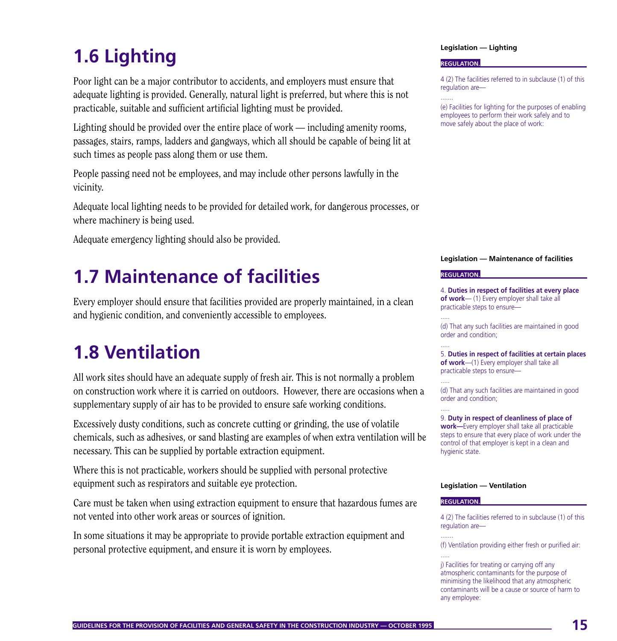# **1.6 Lighting**

Poor light can be a major contributor to accidents, and employers must ensure that adequate lighting is provided. Generally, natural light is preferred, but where this is not practicable, suitable and sufficient artificial lighting must be provided.

Lighting should be provided over the entire place of work — including amenity rooms, passages, stairs, ramps, ladders and gangways, which all should be capable of being lit at such times as people pass along them or use them.

People passing need not be employees, and may include other persons lawfully in the vicinity.

Adequate local lighting needs to be provided for detailed work, for dangerous processes, or where machinery is being used.

Adequate emergency lighting should also be provided.

# **1.7 Maintenance of facilities**

Every employer should ensure that facilities provided are properly maintained, in a clean and hygienic condition, and conveniently accessible to employees.

# **1.8 Ventilation**

All work sites should have an adequate supply of fresh air. This is not normally a problem on construction work where it is carried on outdoors. However, there are occasions when a supplementary supply of air has to be provided to ensure safe working conditions.

Excessively dusty conditions, such as concrete cutting or grinding, the use of volatile chemicals, such as adhesives, or sand blasting are examples of when extra ventilation will be necessary. This can be supplied by portable extraction equipment.

Where this is not practicable, workers should be supplied with personal protective equipment such as respirators and suitable eye protection.

Care must be taken when using extraction equipment to ensure that hazardous fumes are not vented into other work areas or sources of ignition.

In some situations it may be appropriate to provide portable extraction equipment and personal protective equipment, and ensure it is worn by employees.

### **Legislation — Lighting**

#### **REGULATION.**

.......

4 (2) The facilities referred to in subclause (1) of this regulation are—

(e) Facilities for lighting for the purposes of enabling employees to perform their work safely and to move safely about the place of work:

#### **Legislation — Maintenance of facilities**

#### **REGULATION.**

.....

.....

.....

.....

4. **Duties in respect of facilities at every place of work**— (1) Every employer shall take all practicable steps to ensure—

(d) That any such facilities are maintained in good order and condition;

5. **Duties in respect of facilities at certain places of work**—(1) Every employer shall take all practicable steps to ensure—

(d) That any such facilities are maintained in good order and condition;

9. **Duty in respect of cleanliness of place of work—**Every employer shall take all practicable steps to ensure that every place of work under the control of that employer is kept in a clean and hygienic state.

#### **Legislation — Ventilation**

#### **REGULATION.**

.......

.....

4 (2) The facilities referred to in subclause (1) of this regulation are—

(f) Ventilation providing either fresh or purified air:

j) Facilities for treating or carrying off any atmospheric contaminants for the purpose of minimising the likelihood that any atmospheric contaminants will be a cause or source of harm to any employee: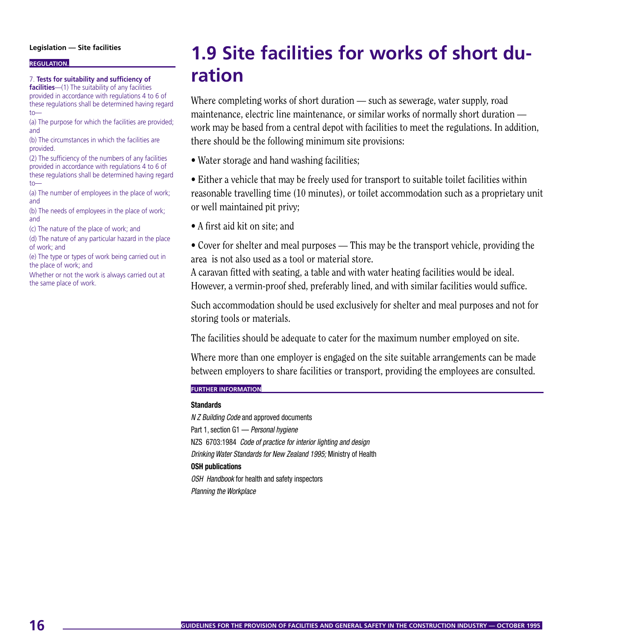#### **Legislation — Site facilities**

#### **REGULATION.**

7. **Tests for suitability and sufficiency of**

**facilities**—(1) The suitability of any facilities provided in accordance with regulations 4 to 6 of these regulations shall be determined having regard to—

(a) The purpose for which the facilities are provided; and

(b) The circumstances in which the facilities are provided.

(2) The sufficiency of the numbers of any facilities provided in accordance with regulations 4 to 6 of these regulations shall be determined having regard to—

(a) The number of employees in the place of work; and

(b) The needs of employees in the place of work; and

(c) The nature of the place of work; and (d) The nature of any particular hazard in the place of work; and

(e) The type or types of work being carried out in the place of work; and

Whether or not the work is always carried out at the same place of work.

# **1.9 Site facilities for works of short duration**

Where completing works of short duration — such as sewerage, water supply, road maintenance, electric line maintenance, or similar works of normally short duration work may be based from a central depot with facilities to meet the regulations. In addition, there should be the following minimum site provisions:

• Water storage and hand washing facilities;

• Either a vehicle that may be freely used for transport to suitable toilet facilities within reasonable travelling time (10 minutes), or toilet accommodation such as a proprietary unit or well maintained pit privy;

• A first aid kit on site; and

• Cover for shelter and meal purposes — This may be the transport vehicle, providing the area is not also used as a tool or material store.

A caravan fitted with seating, a table and with water heating facilities would be ideal. However, a vermin-proof shed, preferably lined, and with similar facilities would suffice.

Such accommodation should be used exclusively for shelter and meal purposes and not for storing tools or materials.

The facilities should be adequate to cater for the maximum number employed on site.

Where more than one employer is engaged on the site suitable arrangements can be made between employers to share facilities or transport, providing the employees are consulted.

#### **FURTHER INFORMATION**

#### **Standards**

N Z Building Code and approved documents Part 1, section G1 - Personal hygiene NZS 6703:1984 Code of practice for interior lighting and design Drinking Water Standards for New Zealand 1995; Ministry of Health **OSH publications** OSH Handbook for health and safety inspectors Planning the Workplace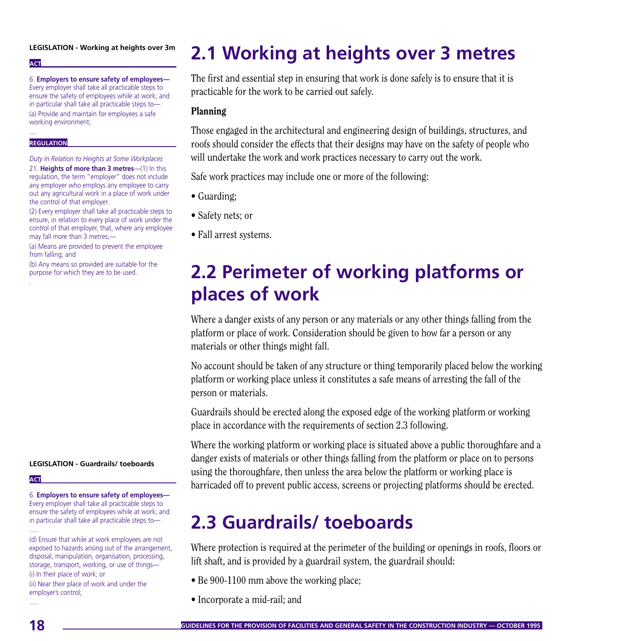#### **LEGISLATION - Working at heights over 3m**

#### **ACT**

....

.

6. **Employers to ensure safety of employees—** Every employer shall take all practicable steps to ensure the safety of employees while at work; and in particular shall take all practicable steps to— (a) Provide and maintain for employees a safe working environment;

#### **REGULATION**

*Duty in Relation to Heights at Some Workplaces* 21. **Heights of more than 3 metres**—(1) In this regulation, the term "employer" does not include any employer who employs any employee to carry out any agricultural work in a place of work under the control of that employer.

(2) Every employer shall take all practicable steps to ensure, in relation to every place of work under the control of that employer, that, where any employee may fall more than 3 metres,—

(a) Means are provided to prevent the employee from falling; and

(b) Any means so provided are suitable for the purpose for which they are to be used.

#### **LEGISLATION - Guardrails/ toeboards**

**ACT**

.....

6. **Employers to ensure safety of employees—** Every employer shall take all practicable steps to ensure the safety of employees while at work; and in particular shall take all practicable steps to—

(d) Ensure that while at work employees are not exposed to hazards arising out of the arrangement, disposal, manipulation, organisation, processing, storage, transport, working, or use of things—

(i) In their place of work; or

(ii) Near their place of work and under the employer's control;

# **2.1 Working at heights over 3 metres**

The first and essential step in ensuring that work is done safely is to ensure that it is practicable for the work to be carried out safely.

### Planning

Those engaged in the architectural and engineering design of buildings, structures, and roofs should consider the effects that their designs may have on the safety of people who will undertake the work and work practices necessary to carry out the work.

Safe work practices may include one or more of the following:

- Guarding;
- Safety nets; or
- Fall arrest systems.

### **2.2 Perimeter of working platforms or places of work**

Where a danger exists of any person or any materials or any other things falling from the platform or place of work. Consideration should be given to how far a person or any materials or other things might fall.

No account should be taken of any structure or thing temporarily placed below the working platform or working place unless it constitutes a safe means of arresting the fall of the person or materials.

Guardrails should be erected along the exposed edge of the working platform or working place in accordance with the requirements of section 2.3 following.

Where the working platform or working place is situated above a public thoroughfare and a danger exists of materials or other things falling from the platform or place on to persons using the thoroughfare, then unless the area below the platform or working place is barricaded off to prevent public access, screens or projecting platforms should be erected.

### **2.3 Guardrails/ toeboards**

Where protection is required at the perimeter of the building or openings in roofs, floors or lift shaft, and is provided by a guardrail system, the guardrail should:

- Be 900-1100 mm above the working place;
- Incorporate a mid-rail; and

.....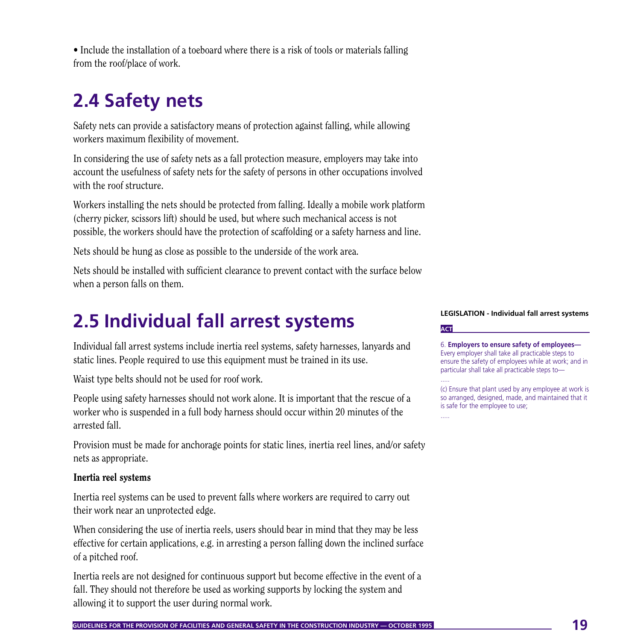• Include the installation of a toeboard where there is a risk of tools or materials falling from the roof/place of work.

# **2.4 Safety nets**

Safety nets can provide a satisfactory means of protection against falling, while allowing workers maximum flexibility of movement.

In considering the use of safety nets as a fall protection measure, employers may take into account the usefulness of safety nets for the safety of persons in other occupations involved with the roof structure.

Workers installing the nets should be protected from falling. Ideally a mobile work platform (cherry picker, scissors lift) should be used, but where such mechanical access is not possible, the workers should have the protection of scaffolding or a safety harness and line.

Nets should be hung as close as possible to the underside of the work area.

Nets should be installed with sufficient clearance to prevent contact with the surface below when a person falls on them.

# **2.5 Individual fall arrest systems**

Individual fall arrest systems include inertia reel systems, safety harnesses, lanyards and static lines. People required to use this equipment must be trained in its use.

Waist type belts should not be used for roof work.

People using safety harnesses should not work alone. It is important that the rescue of a worker who is suspended in a full body harness should occur within 20 minutes of the arrested fall.

Provision must be made for anchorage points for static lines, inertia reel lines, and/or safety nets as appropriate.

### Inertia reel systems

Inertia reel systems can be used to prevent falls where workers are required to carry out their work near an unprotected edge.

When considering the use of inertia reels, users should bear in mind that they may be less effective for certain applications, e.g. in arresting a person falling down the inclined surface of a pitched roof.

Inertia reels are not designed for continuous support but become effective in the event of a fall. They should not therefore be used as working supports by locking the system and allowing it to support the user during normal work.

#### **LEGISLATION - Individual fall arrest systems**

#### **ACT**

.....

.....

6. **Employers to ensure safety of employees—** Every employer shall take all practicable steps to ensure the safety of employees while at work; and in particular shall take all practicable steps to—

(c) Ensure that plant used by any employee at work is so arranged, designed, made, and maintained that it is safe for the employee to use;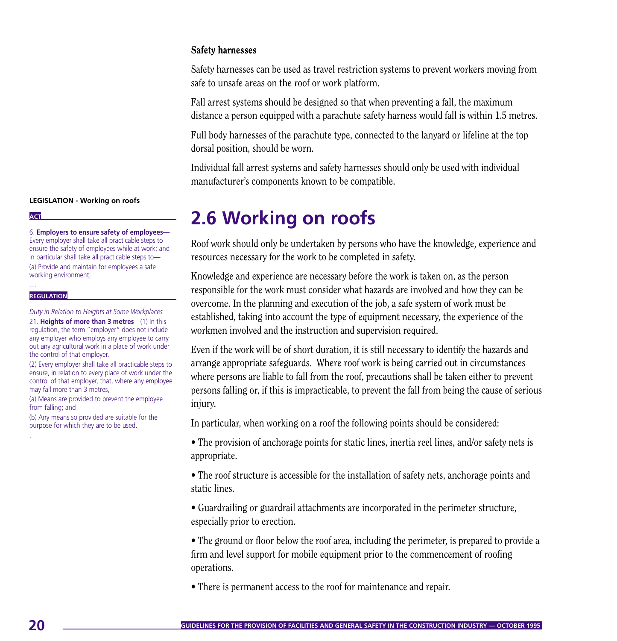### Safety harnesses

Safety harnesses can be used as travel restriction systems to prevent workers moving from safe to unsafe areas on the roof or work platform.

Fall arrest systems should be designed so that when preventing a fall, the maximum distance a person equipped with a parachute safety harness would fall is within 1.5 metres.

Full body harnesses of the parachute type, connected to the lanyard or lifeline at the top dorsal position, should be worn.

Individual fall arrest systems and safety harnesses should only be used with individual manufacturer's components known to be compatible.

#### **LEGISLATION - Working on roofs**

#### **ACT**

....

.

6. **Employers to ensure safety of employees—** Every employer shall take all practicable steps to ensure the safety of employees while at work; and in particular shall take all practicable steps to— (a) Provide and maintain for employees a safe working environment;

#### **REGULATION**

*Duty in Relation to Heights at Some Workplaces* 21. **Heights of more than 3 metres**—(1) In this regulation, the term "employer" does not include any employer who employs any employee to carry out any agricultural work in a place of work under the control of that employer.

(2) Every employer shall take all practicable steps to ensure, in relation to every place of work under the control of that employer, that, where any employee may fall more than 3 metres,—

(a) Means are provided to prevent the employee from falling; and

(b) Any means so provided are suitable for the purpose for which they are to be used.

# **2.6 Working on roofs**

Roof work should only be undertaken by persons who have the knowledge, experience and resources necessary for the work to be completed in safety.

Knowledge and experience are necessary before the work is taken on, as the person responsible for the work must consider what hazards are involved and how they can be overcome. In the planning and execution of the job, a safe system of work must be established, taking into account the type of equipment necessary, the experience of the workmen involved and the instruction and supervision required.

Even if the work will be of short duration, it is still necessary to identify the hazards and arrange appropriate safeguards. Where roof work is being carried out in circumstances where persons are liable to fall from the roof, precautions shall be taken either to prevent persons falling or, if this is impracticable, to prevent the fall from being the cause of serious injury.

In particular, when working on a roof the following points should be considered:

• The provision of anchorage points for static lines, inertia reel lines, and/or safety nets is appropriate.

• The roof structure is accessible for the installation of safety nets, anchorage points and static lines.

• Guardrailing or guardrail attachments are incorporated in the perimeter structure, especially prior to erection.

• The ground or floor below the roof area, including the perimeter, is prepared to provide a firm and level support for mobile equipment prior to the commencement of roofing operations.

• There is permanent access to the roof for maintenance and repair.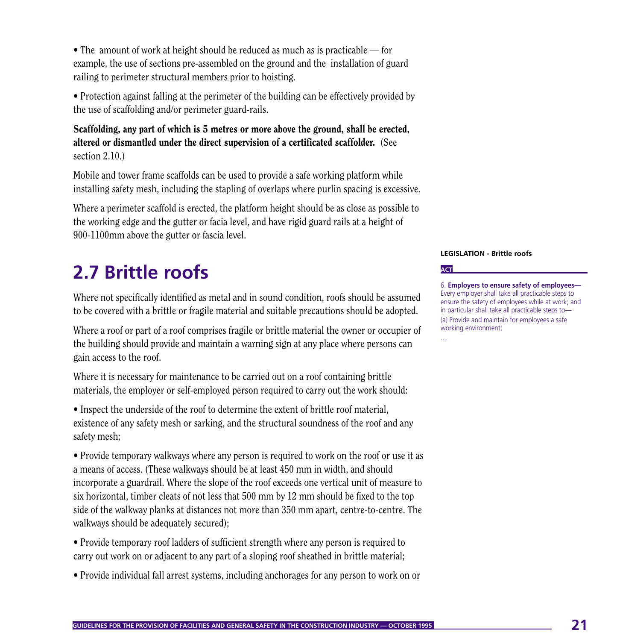• The amount of work at height should be reduced as much as is practicable — for example, the use of sections pre-assembled on the ground and the installation of guard railing to perimeter structural members prior to hoisting.

• Protection against falling at the perimeter of the building can be effectively provided by the use of scaffolding and/or perimeter guard-rails.

Scaffolding, any part of which is 5 metres or more above the ground, shall be erected, altered or dismantled under the direct supervision of a certificated scaffolder. (See section 2.10.)

Mobile and tower frame scaffolds can be used to provide a safe working platform while installing safety mesh, including the stapling of overlaps where purlin spacing is excessive.

Where a perimeter scaffold is erected, the platform height should be as close as possible to the working edge and the gutter or facia level, and have rigid guard rails at a height of 900-1100mm above the gutter or fascia level.

# **2.7 Brittle roofs**

Where not specifically identified as metal and in sound condition, roofs should be assumed to be covered with a brittle or fragile material and suitable precautions should be adopted.

Where a roof or part of a roof comprises fragile or brittle material the owner or occupier of the building should provide and maintain a warning sign at any place where persons can gain access to the roof.

Where it is necessary for maintenance to be carried out on a roof containing brittle materials, the employer or self-employed person required to carry out the work should:

• Inspect the underside of the roof to determine the extent of brittle roof material, existence of any safety mesh or sarking, and the structural soundness of the roof and any safety mesh;

• Provide temporary walkways where any person is required to work on the roof or use it as a means of access. (These walkways should be at least 450 mm in width, and should incorporate a guardrail. Where the slope of the roof exceeds one vertical unit of measure to six horizontal, timber cleats of not less that 500 mm by 12 mm should be fixed to the top side of the walkway planks at distances not more than 350 mm apart, centre-to-centre. The walkways should be adequately secured);

• Provide temporary roof ladders of sufficient strength where any person is required to carry out work on or adjacent to any part of a sloping roof sheathed in brittle material;

• Provide individual fall arrest systems, including anchorages for any person to work on or

#### **LEGISLATION - Brittle roofs**

#### **ACT**

....

6. **Employers to ensure safety of employees—** Every employer shall take all practicable steps to ensure the safety of employees while at work; and in particular shall take all practicable steps to— (a) Provide and maintain for employees a safe working environment;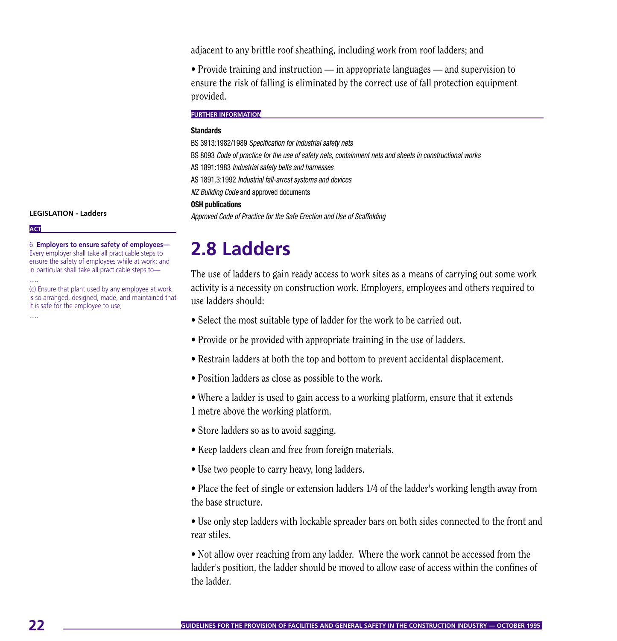adjacent to any brittle roof sheathing, including work from roof ladders; and

• Provide training and instruction — in appropriate languages — and supervision to ensure the risk of falling is eliminated by the correct use of fall protection equipment provided.

#### **FURTHER INFORMATION**

#### **Standards**

BS 3913:1982/1989 Specification for industrial safety nets BS 8093 Code of practice for the use of safety nets, containment nets and sheets in constructional works AS 1891:1983 Industrial safety belts and harnesses AS 1891.3:1992 Industrial fall-arrest systems and devices NZ Building Code and approved documents **OSH publications** Approved Code of Practice for the Safe Erection and Use of Scaffolding

**ACT**

**LEGISLATION - Ladders**

.....

.....

6. **Employers to ensure safety of employees—** Every employer shall take all practicable steps to ensure the safety of employees while at work; and in particular shall take all practicable steps to—

(c) Ensure that plant used by any employee at work is so arranged, designed, made, and maintained that it is safe for the employee to use;

### **2.8 Ladders**

The use of ladders to gain ready access to work sites as a means of carrying out some work activity is a necessity on construction work. Employers, employees and others required to use ladders should:

- Select the most suitable type of ladder for the work to be carried out.
- Provide or be provided with appropriate training in the use of ladders.
- Restrain ladders at both the top and bottom to prevent accidental displacement.
- Position ladders as close as possible to the work.
- Where a ladder is used to gain access to a working platform, ensure that it extends 1 metre above the working platform.
- Store ladders so as to avoid sagging.
- Keep ladders clean and free from foreign materials.
- Use two people to carry heavy, long ladders.

• Place the feet of single or extension ladders 1/4 of the ladder's working length away from the base structure.

• Use only step ladders with lockable spreader bars on both sides connected to the front and rear stiles.

• Not allow over reaching from any ladder. Where the work cannot be accessed from the ladder's position, the ladder should be moved to allow ease of access within the confines of the ladder.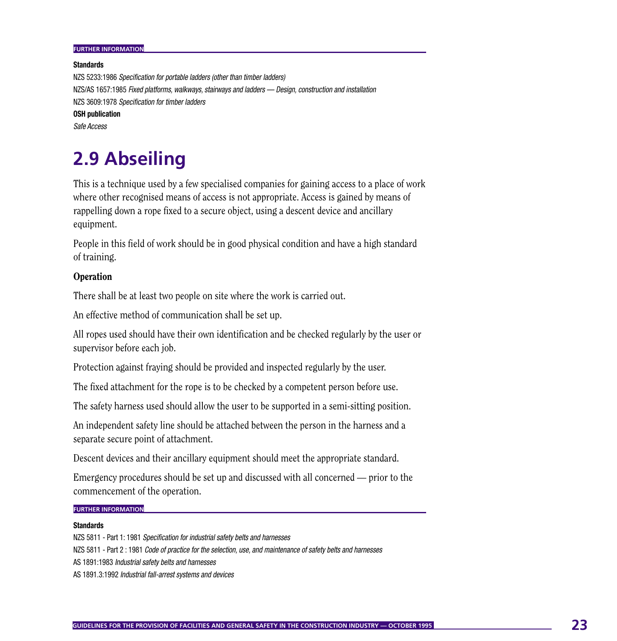#### **FURTHER INFORMATION**

#### **Standards**

NZS 5233:1986 Specification for portable ladders (other than timber ladders) NZS/AS 1657:1985 Fixed platforms, walkways, stairways and ladders — Design, construction and installation NZS 3609:1978 Specification for timber ladders **OSH publication** Safe Access

# **2.9 Abseiling**

This is a technique used by a few specialised companies for gaining access to a place of work where other recognised means of access is not appropriate. Access is gained by means of rappelling down a rope fixed to a secure object, using a descent device and ancillary equipment.

People in this field of work should be in good physical condition and have a high standard of training.

#### **Operation**

There shall be at least two people on site where the work is carried out.

An effective method of communication shall be set up.

All ropes used should have their own identification and be checked regularly by the user or supervisor before each job.

Protection against fraying should be provided and inspected regularly by the user.

The fixed attachment for the rope is to be checked by a competent person before use.

The safety harness used should allow the user to be supported in a semi-sitting position.

An independent safety line should be attached between the person in the harness and a separate secure point of attachment.

Descent devices and their ancillary equipment should meet the appropriate standard.

Emergency procedures should be set up and discussed with all concerned — prior to the commencement of the operation.

#### **FURTHER INFORMATION**

#### **Standards**

NZS 5811 - Part 1: 1981 Specification for industrial safety belts and harnesses NZS 5811 - Part 2 : 1981 Code of practice for the selection, use, and maintenance of safety belts and harnesses AS 1891:1983 Industrial safety belts and harnesses AS 1891.3:1992 Industrial fall-arrest systems and devices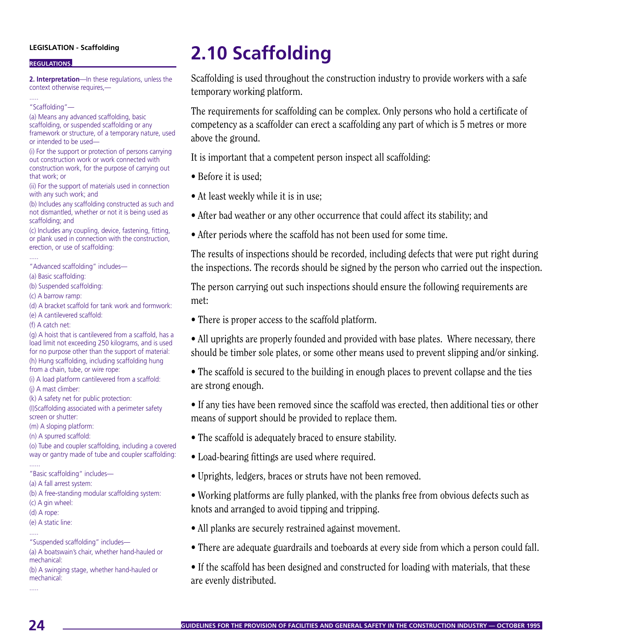#### **LEGISLATION - Scaffolding**

#### **REGULATIONS.**

**2. Interpretation**—In these regulations, unless the context otherwise requires,—

#### "Scaffolding"—

.....

(a) Means any advanced scaffolding, basic scaffolding, or suspended scaffolding or any framework or structure, of a temporary nature, used or intended to be used—

(i) For the support or protection of persons carrying out construction work or work connected with construction work, for the purpose of carrying out that work; or

(ii) For the support of materials used in connection with any such work; and

(b) Includes any scaffolding constructed as such and not dismantled, whether or not it is being used as scaffolding; and

(c) Includes any coupling, device, fastening, fitting, or plank used in connection with the construction, erection, or use of scaffolding:

..... "Advanced scaffolding" includes—

(a) Basic scaffolding:

(b) Suspended scaffolding:

(c) A barrow ramp:

(d) A bracket scaffold for tank work and formwork:

(e) A cantilevered scaffold:

(f) A catch net:

(g) A hoist that is cantilevered from a scaffold, has a load limit not exceeding 250 kilograms, and is used for no purpose other than the support of material: (h) Hung scaffolding, including scaffolding hung from a chain, tube, or wire rope:

- (i) A load platform cantilevered from a scaffold: (j) A mast climber:
- (k) A safety net for public protection:

(I)Scaffolding associated with a perimeter safety screen or shutter:

(m) A sloping platform:

(n) A spurred scaffold:

(o) Tube and coupler scaffolding, including a covered way or gantry made of tube and coupler scaffolding:

"Basic scaffolding" includes—

(a) A fall arrest system:

- (b) A free-standing modular scaffolding system:
- (c) A gin wheel:
- (d) A rope:

......

.....

(e) A static line:

"Suspended scaffolding" includes—

(a) A boatswain's chair, whether hand-hauled or mechanical:

(b) A swinging stage, whether hand-hauled or mechanical:

# **2.10 Scaffolding**

Scaffolding is used throughout the construction industry to provide workers with a safe temporary working platform.

The requirements for scaffolding can be complex. Only persons who hold a certificate of competency as a scaffolder can erect a scaffolding any part of which is 5 metres or more above the ground.

It is important that a competent person inspect all scaffolding:

- Before it is used;
- At least weekly while it is in use;
- After bad weather or any other occurrence that could affect its stability; and
- After periods where the scaffold has not been used for some time.

The results of inspections should be recorded, including defects that were put right during the inspections. The records should be signed by the person who carried out the inspection.

The person carrying out such inspections should ensure the following requirements are met:

• There is proper access to the scaffold platform.

• All uprights are properly founded and provided with base plates. Where necessary, there should be timber sole plates, or some other means used to prevent slipping and/or sinking.

• The scaffold is secured to the building in enough places to prevent collapse and the ties are strong enough.

• If any ties have been removed since the scaffold was erected, then additional ties or other means of support should be provided to replace them.

- The scaffold is adequately braced to ensure stability.
- Load-bearing fittings are used where required.
- Uprights, ledgers, braces or struts have not been removed.
- Working platforms are fully planked, with the planks free from obvious defects such as knots and arranged to avoid tipping and tripping.
- All planks are securely restrained against movement.
- There are adequate guardrails and toeboards at every side from which a person could fall.

• If the scaffold has been designed and constructed for loading with materials, that these are evenly distributed.

.....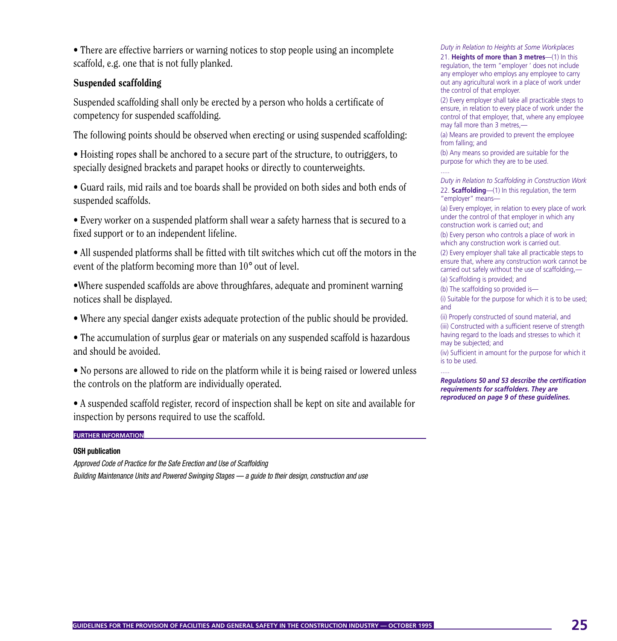• There are effective barriers or warning notices to stop people using an incomplete scaffold, e.g. one that is not fully planked.

### Suspended scaffolding

Suspended scaffolding shall only be erected by a person who holds a certificate of competency for suspended scaffolding.

The following points should be observed when erecting or using suspended scaffolding:

• Hoisting ropes shall be anchored to a secure part of the structure, to outriggers, to specially designed brackets and parapet hooks or directly to counterweights.

• Guard rails, mid rails and toe boards shall be provided on both sides and both ends of suspended scaffolds.

• Every worker on a suspended platform shall wear a safety harness that is secured to a fixed support or to an independent lifeline.

• All suspended platforms shall be fitted with tilt switches which cut off the motors in the event of the platform becoming more than 10° out of level.

•Where suspended scaffolds are above throughfares, adequate and prominent warning notices shall be displayed.

• Where any special danger exists adequate protection of the public should be provided.

• The accumulation of surplus gear or materials on any suspended scaffold is hazardous and should be avoided.

• No persons are allowed to ride on the platform while it is being raised or lowered unless the controls on the platform are individually operated.

• A suspended scaffold register, record of inspection shall be kept on site and available for inspection by persons required to use the scaffold.

#### **FURTHER INFORMATION**

#### **OSH publication**

Approved Code of Practice for the Safe Erection and Use of Scaffolding Building Maintenance Units and Powered Swinging Stages — a guide to their design, construction and use

#### *Duty in Relation to Heights at Some Workplaces*

21. **Heights of more than 3 metres**—(1) In this regulation, the term "employer ' does not include any employer who employs any employee to carry out any agricultural work in a place of work under the control of that employer.

(2) Every employer shall take all practicable steps to ensure, in relation to every place of work under the control of that employer, that, where any employee may fall more than 3 metres,—

(a) Means are provided to prevent the employee from falling; and

(b) Any means so provided are suitable for the purpose for which they are to be used.

.....

.....

*Duty in Relation to Scaffolding in Construction Work* 22. **Scaffolding**—(1) In this regulation, the term "employer" means—

(a) Every employer, in relation to every place of work under the control of that employer in which any construction work is carried out; and

(b) Every person who controls a place of work in which any construction work is carried out.

(2) Every employer shall take all practicable steps to ensure that, where any construction work cannot be carried out safely without the use of scaffolding,— (a) Scaffolding is provided; and

(b) The scaffolding so provided is—

(i) Suitable for the purpose for which it is to be used; and

(ii) Properly constructed of sound material, and

(iii) Constructed with a sufficient reserve of strength having regard to the loads and stresses to which it may be subjected; and

(iv) Sufficient in amount for the purpose for which it is to be used.

*Regulations 50 and 53 describe the certification requirements for scaffolders. They are reproduced on page 9 of these guidelines.*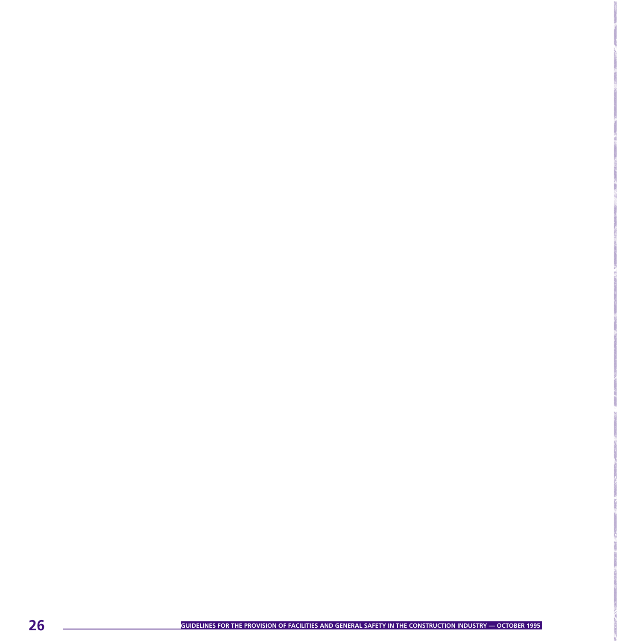GUIDELINES FOR THE PROVISION OF FACILITIES AND GENERAL SAFETY IN THE CONSTRUCTION INDUSTRY — OCTOBER 1995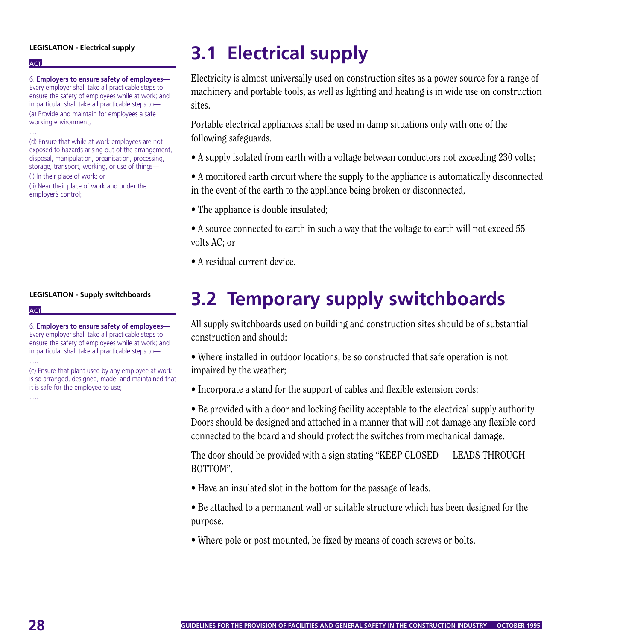#### **LEGISLATION - Electrical supply**

#### **ACT.**

....

.....

6. **Employers to ensure safety of employees—** Every employer shall take all practicable steps to ensure the safety of employees while at work; and in particular shall take all practicable steps to— (a) Provide and maintain for employees a safe working environment;

(d) Ensure that while at work employees are not exposed to hazards arising out of the arrangement, disposal, manipulation, organisation, processing, storage, transport, working, or use of things—

(i) In their place of work; or

(ii) Near their place of work and under the employer's control;

#### **LEGISLATION - Supply switchboards**

#### **ACT**

.....

.....

6. **Employers to ensure safety of employees—** Every employer shall take all practicable steps to ensure the safety of employees while at work; and in particular shall take all practicable steps to—

(c) Ensure that plant used by any employee at work is so arranged, designed, made, and maintained that it is safe for the employee to use;

# **3.1 Electrical supply**

Electricity is almost universally used on construction sites as a power source for a range of machinery and portable tools, as well as lighting and heating is in wide use on construction sites.

Portable electrical appliances shall be used in damp situations only with one of the following safeguards.

• A supply isolated from earth with a voltage between conductors not exceeding 230 volts;

• A monitored earth circuit where the supply to the appliance is automatically disconnected in the event of the earth to the appliance being broken or disconnected,

- The appliance is double insulated;
- A source connected to earth in such a way that the voltage to earth will not exceed 55 volts AC; or
- A residual current device.

### **3.2 Temporary supply switchboards**

All supply switchboards used on building and construction sites should be of substantial construction and should:

• Where installed in outdoor locations, be so constructed that safe operation is not impaired by the weather;

• Incorporate a stand for the support of cables and flexible extension cords;

• Be provided with a door and locking facility acceptable to the electrical supply authority. Doors should be designed and attached in a manner that will not damage any flexible cord connected to the board and should protect the switches from mechanical damage.

The door should be provided with a sign stating "KEEP CLOSED — LEADS THROUGH BOTTOM".

• Have an insulated slot in the bottom for the passage of leads.

• Be attached to a permanent wall or suitable structure which has been designed for the purpose.

• Where pole or post mounted, be fixed by means of coach screws or bolts.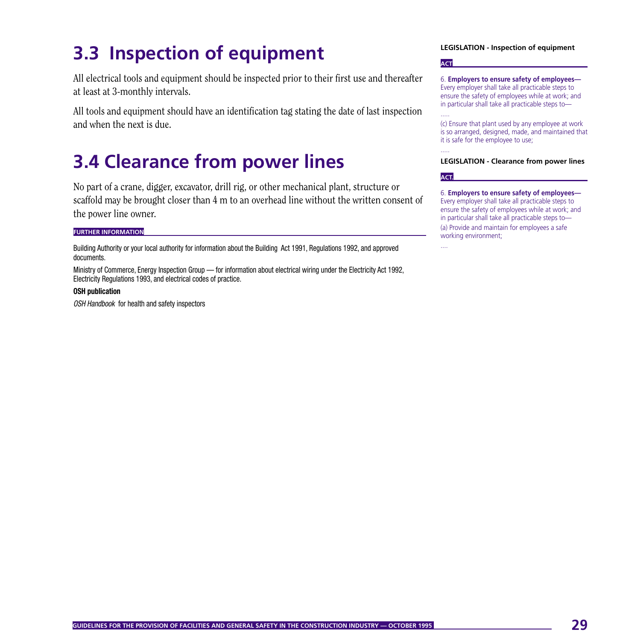# **3.3 Inspection of equipment**

All electrical tools and equipment should be inspected prior to their first use and thereafter at least at 3-monthly intervals.

All tools and equipment should have an identification tag stating the date of last inspection and when the next is due.

# **3.4 Clearance from power lines**

No part of a crane, digger, excavator, drill rig, or other mechanical plant, structure or scaffold may be brought closer than 4 m to an overhead line without the written consent of the power line owner.

#### **FURTHER INFORMATION**

Building Authority or your local authority for information about the Building Act 1991, Regulations 1992, and approved documents.

Ministry of Commerce, Energy Inspection Group — for information about electrical wiring under the Electricity Act 1992, Electricity Regulations 1993, and electrical codes of practice.

#### **OSH publication**

OSH Handbook for health and safety inspectors

#### **LEGISLATION - Inspection of equipment**



6. **Employers to ensure safety of employees—** Every employer shall take all practicable steps to ensure the safety of employees while at work; and in particular shall take all practicable steps to— .....

(c) Ensure that plant used by any employee at work is so arranged, designed, made, and maintained that it is safe for the employee to use;

**LEGISLATION - Clearance from power lines**

#### **ACT.**

....

.....

6. **Employers to ensure safety of employees—** Every employer shall take all practicable steps to ensure the safety of employees while at work; and in particular shall take all practicable steps to— (a) Provide and maintain for employees a safe working environment;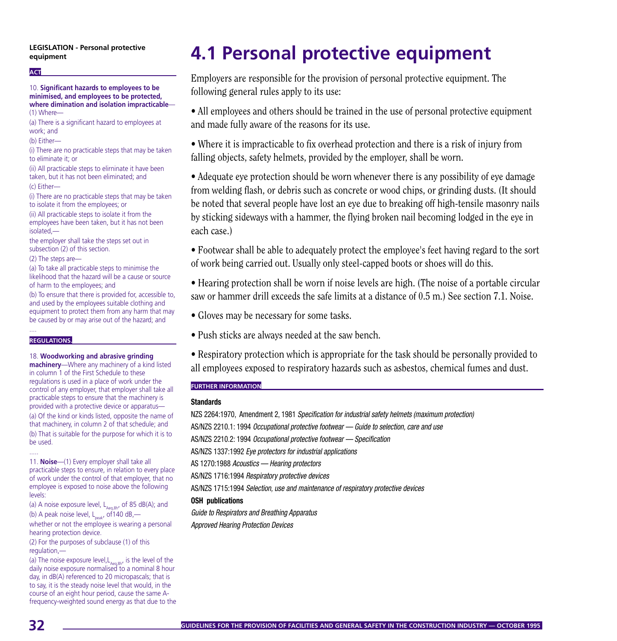#### **LEGISLATION - Personal protective equipment**

#### **ACT**

10. **Significant hazards to employees to be minimised, and employees to be protected, where dimination and isolation impracticable**— (1) Where—

(a) There is a significant hazard to employees at work; and

(b) Either—

(i) There are no practicable steps that may be taken to eliminate it; or

(ii) All practicable steps to elirninate it have been taken, but it has not been eliminated; and (c) Either—

(i) There are no practicable steps that may be taken to isolate it from the employees; or

(ii) All practicable steps to isolate it from the employees have been taken, but it has not been isolated,—

the employer shall take the steps set out in subsection (2) of this section.

(2) The steps are—

(a) To take all practicable steps to minimise the likelihood that the hazard will be a cause or source of harm to the employees; and

(b) To ensure that there is provided for, accessible to, and used by the employees suitable clothing and equipment to protect them from any harm that may be caused by or may arise out of the hazard; and

#### **REGULATIONS.**

....

.....

#### 18. **Woodworking and abrasive grinding**

**machinery**—Where any machinery of a kind listed in column 1 of the First Schedule to these regulations is used in a place of work under the control of any employer, that employer shall take all practicable steps to ensure that the machinery is provided with a protective device or apparatus— (a) Of the kind or kinds listed, opposite the name of that machinery, in column 2 of that schedule; and (b) That is suitable for the purpose for which it is to be used.

11. **Noise**—(1) Every employer shall take all practicable steps to ensure, in relation to every place of work under the control of that employer, that no employee is exposed to noise above the following levels:

(a) A noise exposure level,  $L_{Aea,8h}$ , of 85 dB(A); and (b) A peak noise level,  $L_{peak}$ , of 140 dB,—

whether or not the employee is wearing a personal hearing protection device.

(2) For the purposes of subclause (1) of this regulation,—

(a) The noise exposure level, L<sub>Aeq,8h</sub>, is the level of the<br>daily noise exposure normalised to a nominal 8 hour day, in dB(A) referenced to 20 micropascals; that is to say, it is the steady noise level that would, in the course of an eight hour period, cause the same Afrequency-weighted sound energy as that due to the

# **4.1 Personal protective equipment**

Employers are responsible for the provision of personal protective equipment. The following general rules apply to its use:

• All employees and others should be trained in the use of personal protective equipment and made fully aware of the reasons for its use.

• Where it is impracticable to fix overhead protection and there is a risk of injury from falling objects, safety helmets, provided by the employer, shall be worn.

• Adequate eye protection should be worn whenever there is any possibility of eye damage from welding flash, or debris such as concrete or wood chips, or grinding dusts. (It should be noted that several people have lost an eye due to breaking off high-tensile masonry nails by sticking sideways with a hammer, the flying broken nail becoming lodged in the eye in each case.)

• Footwear shall be able to adequately protect the employee's feet having regard to the sort of work being carried out. Usually only steel-capped boots or shoes will do this.

• Hearing protection shall be worn if noise levels are high. (The noise of a portable circular saw or hammer drill exceeds the safe limits at a distance of 0.5 m.) See section 7.1. Noise.

• Gloves may be necessary for some tasks.

• Push sticks are always needed at the saw bench.

• Respiratory protection which is appropriate for the task should be personally provided to all employees exposed to respiratory hazards such as asbestos, chemical fumes and dust.

#### **FURTHER INFORMATION**

#### **Standards**

NZS 2264:1970, Amendment 2, 1981 Specification for industrial safety helmets (maximum protection) AS/NZS 2210.1: 1994 Occupational protective footwear — Guide to selection, care and use AS/NZS 2210.2: 1994 Occupational protective footwear — Specification AS/NZS 1337:1992 Eye protectors for industrial applications AS 1270:1988 Acoustics — Hearing protectors AS/NZS 1716:1994 Respiratory protective devices AS/NZS 1715:1994 Selection, use and maintenance of respiratory protective devices **OSH publications**

### Guide to Respirators and Breathing Apparatus

Approved Hearing Protection Devices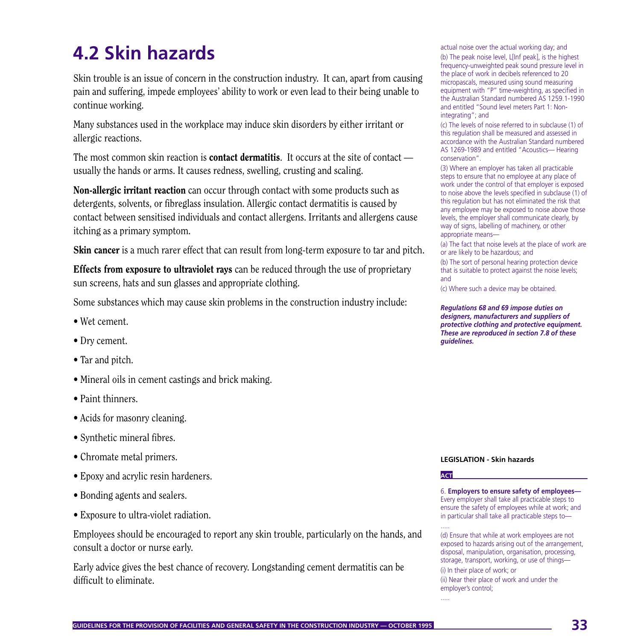# **4.2 Skin hazards**

Skin trouble is an issue of concern in the construction industry. It can, apart from causing pain and suffering, impede employees' ability to work or even lead to their being unable to continue working.

Many substances used in the workplace may induce skin disorders by either irritant or allergic reactions.

The most common skin reaction is **contact dermatitis**. It occurs at the site of contact usually the hands or arms. It causes redness, swelling, crusting and scaling.

Non-allergic irritant reaction can occur through contact with some products such as detergents, solvents, or fibreglass insulation. Allergic contact dermatitis is caused by contact between sensitised individuals and contact allergens. Irritants and allergens cause itching as a primary symptom.

Skin cancer is a much rarer effect that can result from long-term exposure to tar and pitch.

Effects from exposure to ultraviolet rays can be reduced through the use of proprietary sun screens, hats and sun glasses and appropriate clothing.

Some substances which may cause skin problems in the construction industry include:

- Wet cement.
- Dry cement.
- Tar and pitch.
- Mineral oils in cement castings and brick making.
- Paint thinners.
- Acids for masonry cleaning.
- Synthetic mineral fibres.
- Chromate metal primers.
- Epoxy and acrylic resin hardeners.
- Bonding agents and sealers.
- Exposure to ultra-violet radiation.

Employees should be encouraged to report any skin trouble, particularly on the hands, and consult a doctor or nurse early.

Early advice gives the best chance of recovery. Longstanding cement dermatitis can be difficult to eliminate.

actual noise over the actual working day; and

(b) The peak noise level, L[Inf peak], is the highest frequency-unweighted peak sound pressure level in the place of work in decibels referenced to 20 micropascals, measured using sound measuring equipment with "P" time-weighting, as specified in the Australian Standard numbered AS 1259.1-1990 and entitled "Sound level meters Part 1: Nonintegrating"; and

(c) The levels of noise referred to in subclause (1) of this regulation shall be measured and assessed in accordance with the Australian Standard numbered AS 1269-1989 and entitled "Acoustics— Hearing conservation".

(3) Where an employer has taken all practicable steps to ensure that no employee at any place of work under the control of that employer is exposed to noise above the levels specified in subclause (1) of this regulation but has not eliminated the risk that any employee may be exposed to noise above those levels, the employer shall communicate clearly, by way of signs, labelling of machinery, or other appropriate means—

(a) The fact that noise levels at the place of work are or are likely to be hazardous; and

(b) The sort of personal hearing protection device that is suitable to protect against the noise levels; and

(c) Where such a device may be obtained.

*Regulations 68 and 69 impose duties on designers, manufacturers and suppliers of protective clothing and protective equipment. These are reproduced in section 7.8 of these guidelines.*

#### **LEGISLATION - Skin hazards**

#### **ACT**

.....

.....

6. **Employers to ensure safety of employees—** Every employer shall take all practicable steps to ensure the safety of employees while at work; and in particular shall take all practicable steps to—

(d) Ensure that while at work employees are not exposed to hazards arising out of the arrangement, disposal, manipulation, organisation, processing, storage, transport, working, or use of things— (i) In their place of work; or

(ii) Near their place of work and under the employer's control;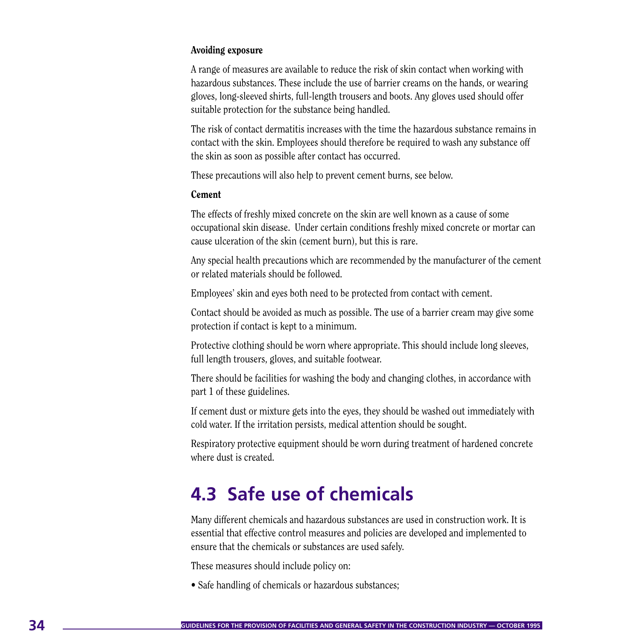### Avoiding exposure

A range of measures are available to reduce the risk of skin contact when working with hazardous substances. These include the use of barrier creams on the hands, or wearing gloves, long-sleeved shirts, full-length trousers and boots. Any gloves used should offer suitable protection for the substance being handled.

The risk of contact dermatitis increases with the time the hazardous substance remains in contact with the skin. Employees should therefore be required to wash any substance off the skin as soon as possible after contact has occurred.

These precautions will also help to prevent cement burns, see below.

#### Cement

The effects of freshly mixed concrete on the skin are well known as a cause of some occupational skin disease. Under certain conditions freshly mixed concrete or mortar can cause ulceration of the skin (cement burn), but this is rare.

Any special health precautions which are recommended by the manufacturer of the cement or related materials should be followed.

Employees' skin and eyes both need to be protected from contact with cement.

Contact should be avoided as much as possible. The use of a barrier cream may give some protection if contact is kept to a minimum.

Protective clothing should be worn where appropriate. This should include long sleeves, full length trousers, gloves, and suitable footwear.

There should be facilities for washing the body and changing clothes, in accordance with part 1 of these guidelines.

If cement dust or mixture gets into the eyes, they should be washed out immediately with cold water. If the irritation persists, medical attention should be sought.

Respiratory protective equipment should be worn during treatment of hardened concrete where dust is created.

### **4.3 Safe use of chemicals**

Many different chemicals and hazardous substances are used in construction work. It is essential that effective control measures and policies are developed and implemented to ensure that the chemicals or substances are used safely.

These measures should include policy on:

• Safe handling of chemicals or hazardous substances;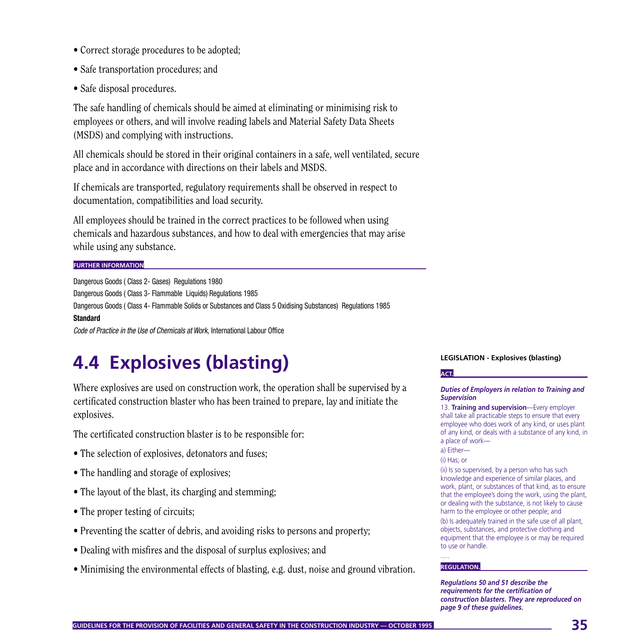- Correct storage procedures to be adopted;
- Safe transportation procedures; and
- Safe disposal procedures.

The safe handling of chemicals should be aimed at eliminating or minimising risk to employees or others, and will involve reading labels and Material Safety Data Sheets (MSDS) and complying with instructions.

All chemicals should be stored in their original containers in a safe, well ventilated, secure place and in accordance with directions on their labels and MSDS.

If chemicals are transported, regulatory requirements shall be observed in respect to documentation, compatibilities and load security.

All employees should be trained in the correct practices to be followed when using chemicals and hazardous substances, and how to deal with emergencies that may arise while using any substance.

#### **FURTHER INFORMATION**

Dangerous Goods ( Class 2- Gases) Regulations 1980

Dangerous Goods ( Class 3- Flammable Liquids) Regulations 1985

Dangerous Goods ( Class 4- Flammable Solids or Substances and Class 5 Oxidising Substances) Regulations 1985

#### **Standard**

Code of Practice in the Use of Chemicals at Work, International Labour Office

# **4.4 Explosives (blasting)**

Where explosives are used on construction work, the operation shall be supervised by a certificated construction blaster who has been trained to prepare, lay and initiate the explosives.

The certificated construction blaster is to be responsible for:

- The selection of explosives, detonators and fuses:
- The handling and storage of explosives;
- The layout of the blast, its charging and stemming;
- The proper testing of circuits;
- Preventing the scatter of debris, and avoiding risks to persons and property;
- Dealing with misfires and the disposal of surplus explosives; and
- Minimising the environmental effects of blasting, e.g. dust, noise and ground vibration.

#### **LEGISLATION - Explosives (blasting)**

#### **ACT.**

*Duties of Employers in relation to Training and Supervision*

13. **Training and supervision**—Every employer shall take all practicable steps to ensure that every employee who does work of any kind, or uses plant of any kind, or deals with a substance of any kind, in a place of work—

a) Either—

(i) Has; or

(ii) Is so supervised, by a person who has such knowledge and experience of similar places, and work, plant, or substances of that kind, as to ensure that the employee's doing the work, using the plant, or dealing with the substance, is not likely to cause harm to the employee or other people; and (b) Is adequately trained in the safe use of all plant, objects, substances, and protective clothing and equipment that the employee is or may be required to use or handle.

#### **REGULATION.**

.....

*Regulations 50 and 51 describe the requirements for the certification of construction blasters. They are reproduced on page 9 of these guidelines.*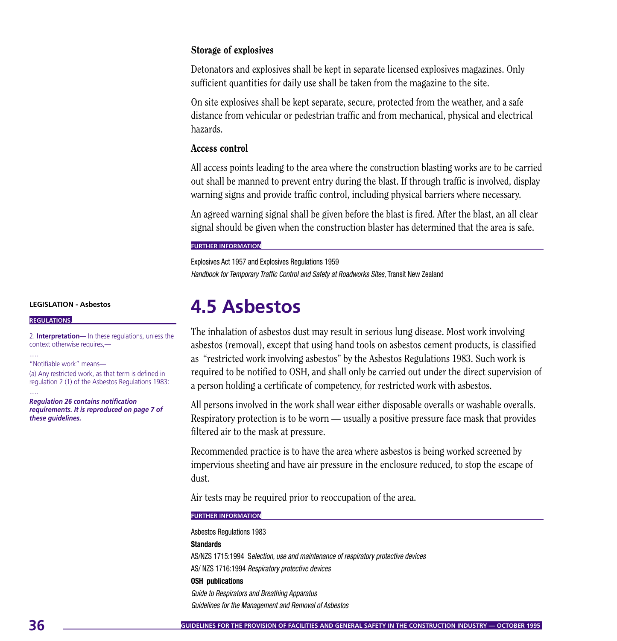### Storage of explosives

Detonators and explosives shall be kept in separate licensed explosives magazines. Only sufficient quantities for daily use shall be taken from the magazine to the site.

On site explosives shall be kept separate, secure, protected from the weather, and a safe distance from vehicular or pedestrian traffic and from mechanical, physical and electrical hazards.

#### Access control

All access points leading to the area where the construction blasting works are to be carried out shall be manned to prevent entry during the blast. If through traffic is involved, display warning signs and provide traffic control, including physical barriers where necessary.

An agreed warning signal shall be given before the blast is fired. After the blast, an all clear signal should be given when the construction blaster has determined that the area is safe.

#### **FURTHER INFORMATION**

Explosives Act 1957 and Explosives Regulations 1959 Handbook for Temporary Traffic Control and Safety at Roadworks Sites, Transit New Zealand

### **4.5 Asbestos**

The inhalation of asbestos dust may result in serious lung disease. Most work involving asbestos (removal), except that using hand tools on asbestos cement products, is classified as "restricted work involving asbestos" by the Asbestos Regulations 1983. Such work is required to be notified to OSH, and shall only be carried out under the direct supervision of a person holding a certificate of competency, for restricted work with asbestos.

All persons involved in the work shall wear either disposable overalls or washable overalls. Respiratory protection is to be worn — usually a positive pressure face mask that provides filtered air to the mask at pressure.

Recommended practice is to have the area where asbestos is being worked screened by impervious sheeting and have air pressure in the enclosure reduced, to stop the escape of dust.

Air tests may be required prior to reoccupation of the area.

#### **FURTHER INFORMATION**

Asbestos Regulations 1983 **Standards** AS/NZS 1715:1994 Selection, use and maintenance of respiratory protective devices AS/ NZS 1716:1994 Respiratory protective devices **OSH publications** Guide to Respirators and Breathing Apparatus Guidelines for the Management and Removal of Asbestos

### **LEGISLATION - Asbestos**

#### **REGULATIONS.**

.....

.....

2. **Interpretation**— In these regulations, unless the context otherwise requires,—

"Notifiable work" means— (a) Any restricted work, as that term is defined in regulation 2 (1) of the Asbestos Regulations 1983:

*Regulation 26 contains notification requirements. It is reproduced on page 7 of these guidelines.*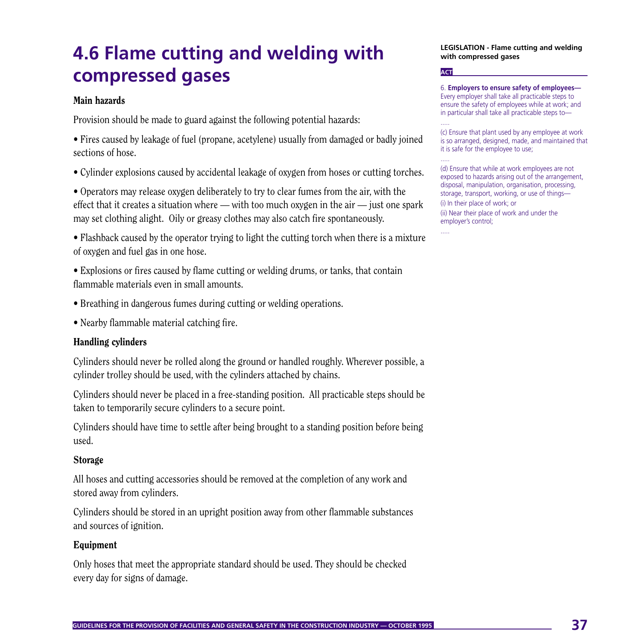# **4.6 Flame cutting and welding with compressed gases**

### Main hazards

Provision should be made to guard against the following potential hazards:

• Fires caused by leakage of fuel (propane, acetylene) usually from damaged or badly joined sections of hose.

• Cylinder explosions caused by accidental leakage of oxygen from hoses or cutting torches.

• Operators may release oxygen deliberately to try to clear fumes from the air, with the effect that it creates a situation where — with too much oxygen in the air — just one spark may set clothing alight. Oily or greasy clothes may also catch fire spontaneously.

• Flashback caused by the operator trying to light the cutting torch when there is a mixture of oxygen and fuel gas in one hose.

• Explosions or fires caused by flame cutting or welding drums, or tanks, that contain flammable materials even in small amounts.

- Breathing in dangerous fumes during cutting or welding operations.
- Nearby flammable material catching fire.

### Handling cylinders

Cylinders should never be rolled along the ground or handled roughly. Wherever possible, a cylinder trolley should be used, with the cylinders attached by chains.

Cylinders should never be placed in a free-standing position. All practicable steps should be taken to temporarily secure cylinders to a secure point.

Cylinders should have time to settle after being brought to a standing position before being used.

### Storage

All hoses and cutting accessories should be removed at the completion of any work and stored away from cylinders.

Cylinders should be stored in an upright position away from other flammable substances and sources of ignition.

### Equipment

Only hoses that meet the appropriate standard should be used. They should be checked every day for signs of damage.

**LEGISLATION - Flame cutting and welding with compressed gases**

#### **ACT**

.....

.....

.....

6. **Employers to ensure safety of employees—** Every employer shall take all practicable steps to ensure the safety of employees while at work; and in particular shall take all practicable steps to—

(c) Ensure that plant used by any employee at work is so arranged, designed, made, and maintained that it is safe for the employee to use;

(d) Ensure that while at work employees are not exposed to hazards arising out of the arrangement, disposal, manipulation, organisation, processing, storage, transport, working, or use of things— (i) In their place of work; or (ii) Near their place of work and under the employer's control;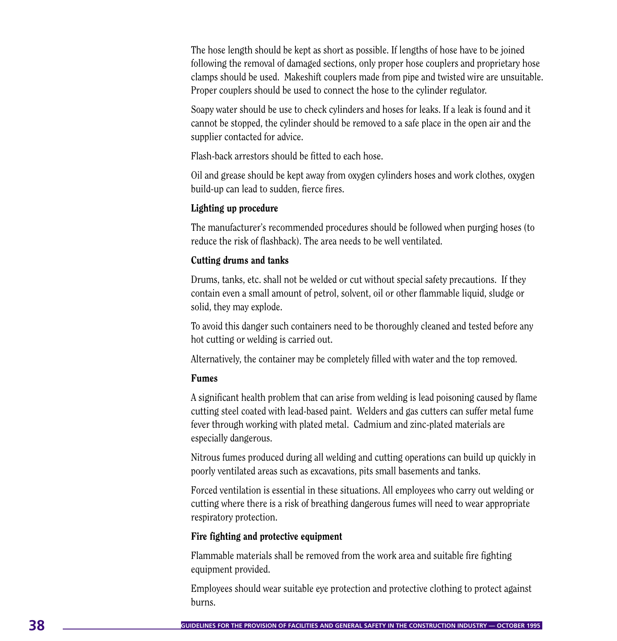The hose length should be kept as short as possible. If lengths of hose have to be joined following the removal of damaged sections, only proper hose couplers and proprietary hose clamps should be used. Makeshift couplers made from pipe and twisted wire are unsuitable. Proper couplers should be used to connect the hose to the cylinder regulator.

Soapy water should be use to check cylinders and hoses for leaks. If a leak is found and it cannot be stopped, the cylinder should be removed to a safe place in the open air and the supplier contacted for advice.

Flash-back arrestors should be fitted to each hose.

Oil and grease should be kept away from oxygen cylinders hoses and work clothes, oxygen build-up can lead to sudden, fierce fires.

### Lighting up procedure

The manufacturer's recommended procedures should be followed when purging hoses (to reduce the risk of flashback). The area needs to be well ventilated.

### Cutting drums and tanks

Drums, tanks, etc. shall not be welded or cut without special safety precautions. If they contain even a small amount of petrol, solvent, oil or other flammable liquid, sludge or solid, they may explode.

To avoid this danger such containers need to be thoroughly cleaned and tested before any hot cutting or welding is carried out.

Alternatively, the container may be completely filled with water and the top removed.

### Fumes

A significant health problem that can arise from welding is lead poisoning caused by flame cutting steel coated with lead-based paint. Welders and gas cutters can suffer metal fume fever through working with plated metal. Cadmium and zinc-plated materials are especially dangerous.

Nitrous fumes produced during all welding and cutting operations can build up quickly in poorly ventilated areas such as excavations, pits small basements and tanks.

Forced ventilation is essential in these situations. All employees who carry out welding or cutting where there is a risk of breathing dangerous fumes will need to wear appropriate respiratory protection.

### Fire fighting and protective equipment

Flammable materials shall be removed from the work area and suitable fire fighting equipment provided.

Employees should wear suitable eye protection and protective clothing to protect against burns.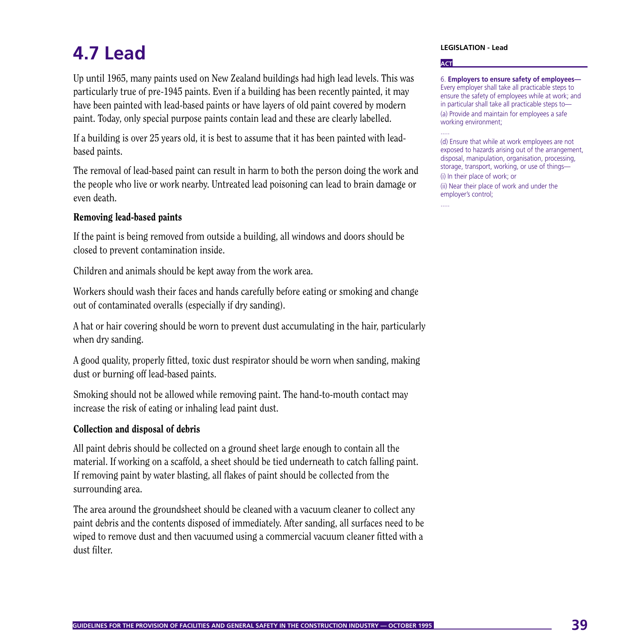# **4.7 Lead**

Up until 1965, many paints used on New Zealand buildings had high lead levels. This was particularly true of pre-1945 paints. Even if a building has been recently painted, it may have been painted with lead-based paints or have layers of old paint covered by modern paint. Today, only special purpose paints contain lead and these are clearly labelled.

If a building is over 25 years old, it is best to assume that it has been painted with leadbased paints.

The removal of lead-based paint can result in harm to both the person doing the work and the people who live or work nearby. Untreated lead poisoning can lead to brain damage or even death.

### Removing lead-based paints

If the paint is being removed from outside a building, all windows and doors should be closed to prevent contamination inside.

Children and animals should be kept away from the work area.

Workers should wash their faces and hands carefully before eating or smoking and change out of contaminated overalls (especially if dry sanding).

A hat or hair covering should be worn to prevent dust accumulating in the hair, particularly when dry sanding.

A good quality, properly fitted, toxic dust respirator should be worn when sanding, making dust or burning off lead-based paints.

Smoking should not be allowed while removing paint. The hand-to-mouth contact may increase the risk of eating or inhaling lead paint dust.

### Collection and disposal of debris

All paint debris should be collected on a ground sheet large enough to contain all the material. If working on a scaffold, a sheet should be tied underneath to catch falling paint. If removing paint by water blasting, all flakes of paint should be collected from the surrounding area.

The area around the groundsheet should be cleaned with a vacuum cleaner to collect any paint debris and the contents disposed of immediately. After sanding, all surfaces need to be wiped to remove dust and then vacuumed using a commercial vacuum cleaner fitted with a dust filter.

#### **LEGISLATION - Lead**

#### **ACT**

.....

.....

6. **Employers to ensure safety of employees—** Every employer shall take all practicable steps to ensure the safety of employees while at work; and in particular shall take all practicable steps to— (a) Provide and maintain for employees a safe working environment;

(d) Ensure that while at work employees are not exposed to hazards arising out of the arrangement, disposal, manipulation, organisation, processing, storage, transport, working, or use of things— (i) In their place of work; or

(ii) Near their place of work and under the employer's control;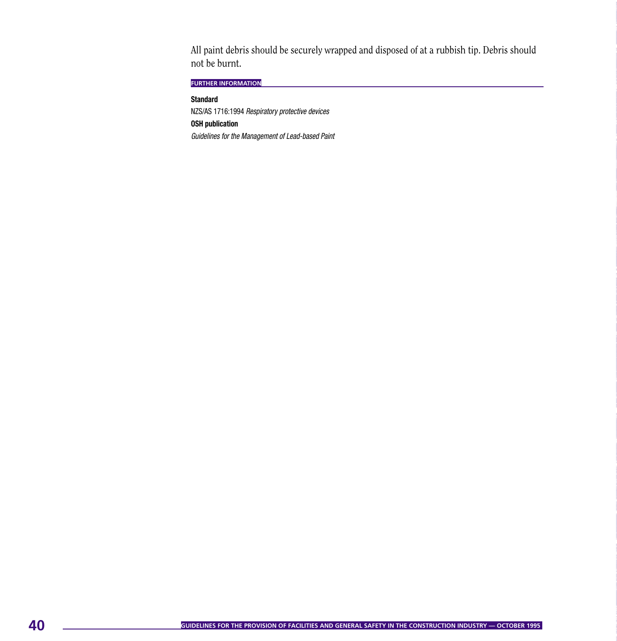All paint debris should be securely wrapped and disposed of at a rubbish tip. Debris should not be burnt.

#### **FURTHER INFORMATION**

### **Standard**

NZS/AS 1716:1994 Respiratory protective devices **OSH publication** Guidelines for the Management of Lead-based Paint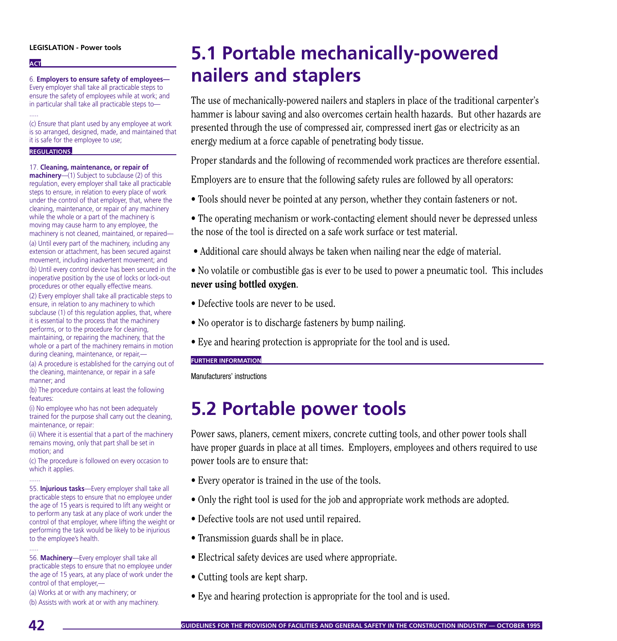#### **LEGISLATION - Power tools**

**ACT**

6. **Employers to ensure safety of employees—** Every employer shall take all practicable steps to ensure the safety of employees while at work; and in particular shall take all practicable steps to—

..... (c) Ensure that plant used by any employee at work is so arranged, designed, made, and maintained that it is safe for the employee to use;

#### **REGULATIONS.**

17. **Cleaning, maintenance, or repair of machinery**—(1) Subject to subclause (2) of this regulation, every employer shall take all practicable steps to ensure, in relation to every place of work under the control of that employer, that, where the cleaning, maintenance, or repair of any machinery while the whole or a part of the machinery is moving may cause harm to any employee, the machinery is not cleaned, maintained, or repaired—

(a) Until every part of the machinery, including any extension or attachment, has been secured against movement, including inadvertent movement; and

(b) Until every control device has been secured in the inoperative position by the use of locks or lock-out procedures or other equally effective means.

(2) Every employer shall take all practicable steps to ensure, in relation to any machinery to which subclause (1) of this regulation applies, that, where it is essential to the process that the machinery performs, or to the procedure for cleaning, maintaining, or repairing the machinery, that the whole or a part of the machinery remains in motion during cleaning, maintenance, or repair,—

(a) A procedure is established for the carrying out of the cleaning, maintenance, or repair in a safe manner; and

(b) The procedure contains at least the following features:

(i) No employee who has not been adequately trained for the purpose shall carry out the cleaning, maintenance, or repair:

(ii) Where it is essential that a part of the machinery remains moving, only that part shall be set in motion; and

(c) The procedure is followed on every occasion to which it applies.

55. **Injurious tasks**—Every employer shall take all practicable steps to ensure that no employee under the age of 15 years is required to lift any weight or to perform any task at any place of work under the control of that employer, where lifting the weight or performing the task would be likely to be injurious to the employee's health.

56. **Machinery**—Every employer shall take all practicable steps to ensure that no employee under the age of 15 years, at any place of work under the control of that employer,—

- (a) Works at or with any machinery; or
- (b) Assists with work at or with any machinery.

# **5.1 Portable mechanically-powered nailers and staplers**

The use of mechanically-powered nailers and staplers in place of the traditional carpenter's hammer is labour saving and also overcomes certain health hazards. But other hazards are presented through the use of compressed air, compressed inert gas or electricity as an energy medium at a force capable of penetrating body tissue.

Proper standards and the following of recommended work practices are therefore essential.

Employers are to ensure that the following safety rules are followed by all operators:

- Tools should never be pointed at any person, whether they contain fasteners or not.
- The operating mechanism or work-contacting element should never be depressed unless the nose of the tool is directed on a safe work surface or test material.
- Additional care should always be taken when nailing near the edge of material.
- No volatile or combustible gas is ever to be used to power a pneumatic tool. This includes never using bottled oxygen.
- Defective tools are never to be used.
- No operator is to discharge fasteners by bump nailing.
- Eye and hearing protection is appropriate for the tool and is used.

#### **FURTHER INFORMATION**

Manufacturers' instructions

# **5.2 Portable power tools**

Power saws, planers, cement mixers, concrete cutting tools, and other power tools shall have proper guards in place at all times. Employers, employees and others required to use power tools are to ensure that:

- Every operator is trained in the use of the tools.
- Only the right tool is used for the job and appropriate work methods are adopted.
- Defective tools are not used until repaired.
- Transmission guards shall be in place.
- Electrical safety devices are used where appropriate.
- Cutting tools are kept sharp.
- Eye and hearing protection is appropriate for the tool and is used.

......

.....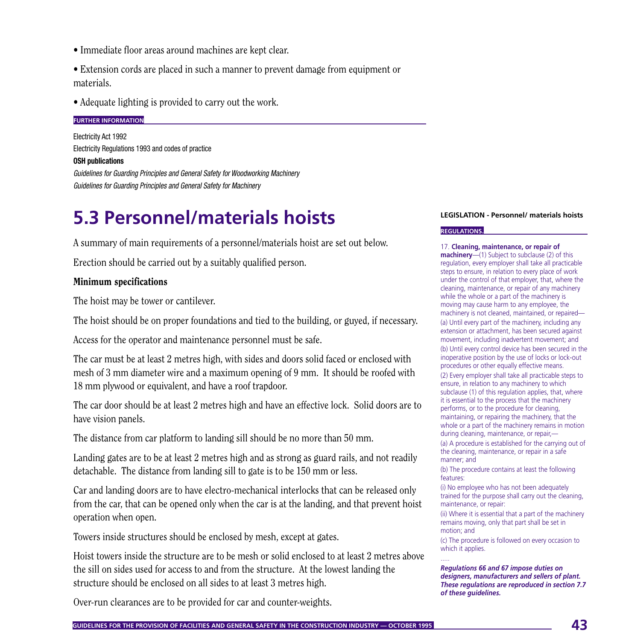• Immediate floor areas around machines are kept clear.

• Extension cords are placed in such a manner to prevent damage from equipment or materials.

• Adequate lighting is provided to carry out the work.

#### **FURTHER INFORMATION**

Electricity Act 1992 Electricity Regulations 1993 and codes of practice **OSH publications** Guidelines for Guarding Principles and General Safety for Woodworking Machinery Guidelines for Guarding Principles and General Safety for Machinery

### **5.3 Personnel/materials hoists**

A summary of main requirements of a personnel/materials hoist are set out below.

Erection should be carried out by a suitably qualified person.

### Minimum specifications

The hoist may be tower or cantilever.

The hoist should be on proper foundations and tied to the building, or guyed, if necessary.

Access for the operator and maintenance personnel must be safe.

The car must be at least 2 metres high, with sides and doors solid faced or enclosed with mesh of 3 mm diameter wire and a maximum opening of 9 mm. It should be roofed with 18 mm plywood or equivalent, and have a roof trapdoor.

The car door should be at least 2 metres high and have an effective lock. Solid doors are to have vision panels.

The distance from car platform to landing sill should be no more than 50 mm.

Landing gates are to be at least 2 metres high and as strong as guard rails, and not readily detachable. The distance from landing sill to gate is to be 150 mm or less.

Car and landing doors are to have electro-mechanical interlocks that can be released only from the car, that can be opened only when the car is at the landing, and that prevent hoist operation when open.

Towers inside structures should be enclosed by mesh, except at gates.

Hoist towers inside the structure are to be mesh or solid enclosed to at least 2 metres above the sill on sides used for access to and from the structure. At the lowest landing the structure should be enclosed on all sides to at least 3 metres high.

Over-run clearances are to be provided for car and counter-weights.

#### **LEGISLATION - Personnel/ materials hoists**

#### **REGULATIONS.**

#### 17. **Cleaning, maintenance, or repair of**

**machinery**—(1) Subject to subclause (2) of this regulation, every employer shall take all practicable steps to ensure, in relation to every place of work under the control of that employer, that, where the cleaning, maintenance, or repair of any machinery while the whole or a part of the machinery is moving may cause harm to any employee, the machinery is not cleaned, maintained, or repaired— (a) Until every part of the machinery, including any extension or attachment, has been secured against movement, including inadvertent movement; and

(b) Until every control device has been secured in the inoperative position by the use of locks or lock-out procedures or other equally effective means.

(2) Every employer shall take all practicable steps to ensure, in relation to any machinery to which subclause (1) of this regulation applies, that, where it is essential to the process that the machinery performs, or to the procedure for cleaning, maintaining, or repairing the machinery, that the whole or a part of the machinery remains in motion during cleaning, maintenance, or repair,—

(a) A procedure is established for the carrying out of the cleaning, maintenance, or repair in a safe manner; and

(b) The procedure contains at least the following features:

(i) No employee who has not been adequately trained for the purpose shall carry out the cleaning, maintenance, or repair:

(ii) Where it is essential that a part of the machinery remains moving, only that part shall be set in motion; and

(c) The procedure is followed on every occasion to which it applies.

.....

*Regulations 66 and 67 impose duties on designers, manufacturers and sellers of plant. These regulations are reproduced in section 7.7 of these guidelines.*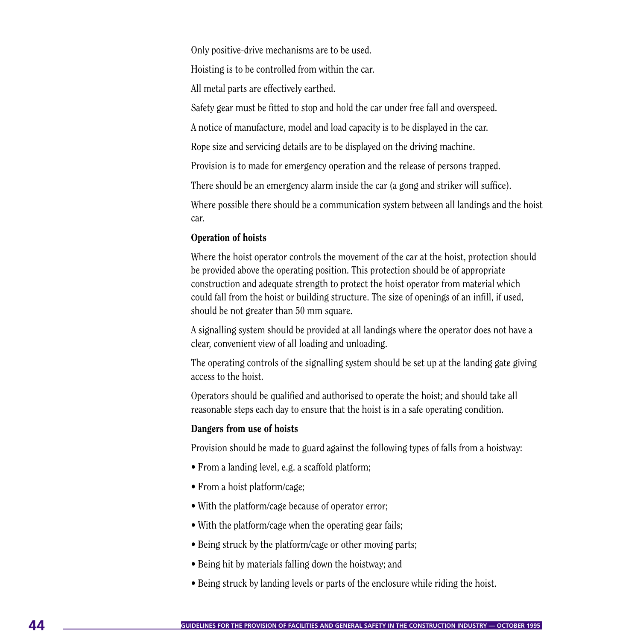Only positive-drive mechanisms are to be used.

Hoisting is to be controlled from within the car.

All metal parts are effectively earthed.

Safety gear must be fitted to stop and hold the car under free fall and overspeed.

A notice of manufacture, model and load capacity is to be displayed in the car.

Rope size and servicing details are to be displayed on the driving machine.

Provision is to made for emergency operation and the release of persons trapped.

There should be an emergency alarm inside the car (a gong and striker will suffice).

Where possible there should be a communication system between all landings and the hoist car.

### Operation of hoists

Where the hoist operator controls the movement of the car at the hoist, protection should be provided above the operating position. This protection should be of appropriate construction and adequate strength to protect the hoist operator from material which could fall from the hoist or building structure. The size of openings of an infill, if used, should be not greater than 50 mm square.

A signalling system should be provided at all landings where the operator does not have a clear, convenient view of all loading and unloading.

The operating controls of the signalling system should be set up at the landing gate giving access to the hoist.

Operators should be qualified and authorised to operate the hoist; and should take all reasonable steps each day to ensure that the hoist is in a safe operating condition.

### Dangers from use of hoists

Provision should be made to guard against the following types of falls from a hoistway:

- From a landing level, e.g. a scaffold platform;
- From a hoist platform/cage;
- With the platform/cage because of operator error;
- With the platform/cage when the operating gear fails;
- Being struck by the platform/cage or other moving parts;
- Being hit by materials falling down the hoistway; and
- Being struck by landing levels or parts of the enclosure while riding the hoist.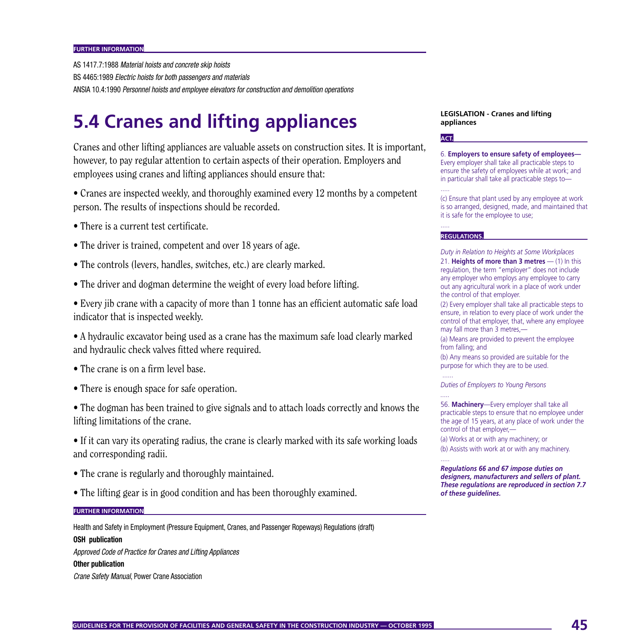AS 1417.7:1988 Material hoists and concrete skip hoists BS 4465:1989 Electric hoists for both passengers and materials ANSIA 10.4:1990 Personnel hoists and employee elevators for construction and demolition operations

# **5.4 Cranes and lifting appliances**

Cranes and other lifting appliances are valuable assets on construction sites. It is important, however, to pay regular attention to certain aspects of their operation. Employers and employees using cranes and lifting appliances should ensure that:

• Cranes are inspected weekly, and thoroughly examined every 12 months by a competent person. The results of inspections should be recorded.

- There is a current test certificate.
- The driver is trained, competent and over 18 years of age.
- The controls (levers, handles, switches, etc.) are clearly marked.
- The driver and dogman determine the weight of every load before lifting.

• Every jib crane with a capacity of more than 1 tonne has an efficient automatic safe load indicator that is inspected weekly.

• A hydraulic excavator being used as a crane has the maximum safe load clearly marked and hydraulic check valves fitted where required.

- The crane is on a firm level base.
- There is enough space for safe operation.

• The dogman has been trained to give signals and to attach loads correctly and knows the lifting limitations of the crane.

• If it can vary its operating radius, the crane is clearly marked with its safe working loads and corresponding radii.

- The crane is regularly and thoroughly maintained.
- The lifting gear is in good condition and has been thoroughly examined.

#### **FURTHER INFORMATION**

Health and Safety in Employment (Pressure Equipment, Cranes, and Passenger Ropeways) Regulations (draft)

#### **OSH publication**

Approved Code of Practice for Cranes and Lifting Appliances **Other publication** Crane Safety Manual, Power Crane Association

#### **LEGISLATION - Cranes and lifting appliances**

#### **ACT.**

.....

.....

......

*.....*

.....

6. **Employers to ensure safety of employees—** Every employer shall take all practicable steps to ensure the safety of employees while at work; and in particular shall take all practicable steps to—

(c) Ensure that plant used by any employee at work is so arranged, designed, made, and maintained that it is safe for the employee to use;

#### **REGULATIONS.**

*Duty in Relation to Heights at Some Workplaces* 21. **Heights of more than 3 metres** - (1) In this regulation, the term "employer" does not include

any employer who employs any employee to carry out any agricultural work in a place of work under the control of that employer.

(2) Every employer shall take all practicable steps to ensure, in relation to every place of work under the control of that employer, that, where any employee may fall more than 3 metres,—

(a) Means are provided to prevent the employee from falling; and

(b) Any means so provided are suitable for the purpose for which they are to be used.

*Duties of Employers to Young Persons*

56. **Machinery**—Every employer shall take all practicable steps to ensure that no employee under the age of 15 years, at any place of work under the control of that employer,—

(a) Works at or with any machinery; or (b) Assists with work at or with any machinery.

*Regulations 66 and 67 impose duties on designers, manufacturers and sellers of plant. These regulations are reproduced in section 7.7 of these guidelines.*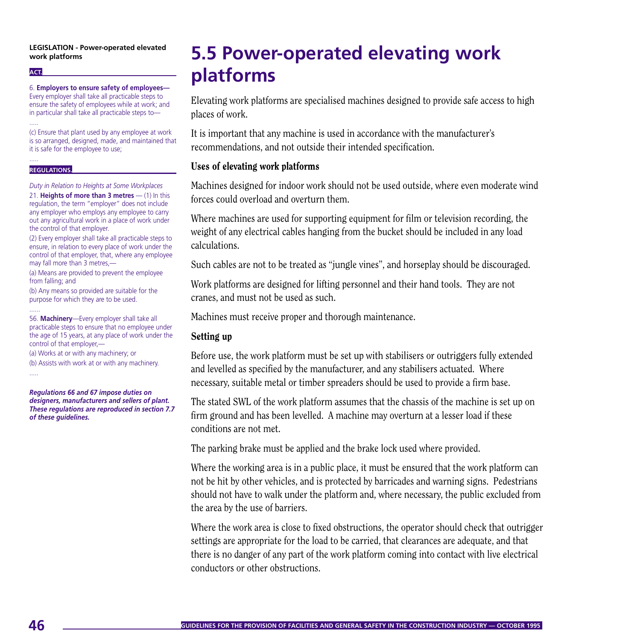#### **LEGISLATION - Power-operated elevated work platforms**

**ACT.**

.....

.....

......

.....

6. **Employers to ensure safety of employees—** Every employer shall take all practicable steps to ensure the safety of employees while at work; and in particular shall take all practicable steps to—

(c) Ensure that plant used by any employee at work is so arranged, designed, made, and maintained that it is safe for the employee to use;

#### **REGULATIONS.**

*Duty in Relation to Heights at Some Workplaces* 21. **Heights of more than 3 metres** - (1) In this regulation, the term "employer" does not include any employer who employs any employee to carry out any agricultural work in a place of work under the control of that employer.

(2) Every employer shall take all practicable steps to ensure, in relation to every place of work under the control of that employer, that, where any employee may fall more than 3 metres,—

(a) Means are provided to prevent the employee from falling; and

(b) Any means so provided are suitable for the purpose for which they are to be used.

56. **Machinery**—Every employer shall take all practicable steps to ensure that no employee under the age of 15 years, at any place of work under the control of that employer,—

(a) Works at or with any machinery; or (b) Assists with work at or with any machinery.

*Regulations 66 and 67 impose duties on designers, manufacturers and sellers of plant. These regulations are reproduced in section 7.7 of these guidelines.*

# **5.5 Power-operated elevating work platforms**

Elevating work platforms are specialised machines designed to provide safe access to high places of work.

It is important that any machine is used in accordance with the manufacturer's recommendations, and not outside their intended specification.

### Uses of elevating work platforms

Machines designed for indoor work should not be used outside, where even moderate wind forces could overload and overturn them.

Where machines are used for supporting equipment for film or television recording, the weight of any electrical cables hanging from the bucket should be included in any load calculations.

Such cables are not to be treated as "jungle vines", and horseplay should be discouraged.

Work platforms are designed for lifting personnel and their hand tools. They are not cranes, and must not be used as such.

Machines must receive proper and thorough maintenance.

### Setting up

Before use, the work platform must be set up with stabilisers or outriggers fully extended and levelled as specified by the manufacturer, and any stabilisers actuated. Where necessary, suitable metal or timber spreaders should be used to provide a firm base.

The stated SWL of the work platform assumes that the chassis of the machine is set up on firm ground and has been levelled. A machine may overturn at a lesser load if these conditions are not met.

The parking brake must be applied and the brake lock used where provided.

Where the working area is in a public place, it must be ensured that the work platform can not be hit by other vehicles, and is protected by barricades and warning signs. Pedestrians should not have to walk under the platform and, where necessary, the public excluded from the area by the use of barriers.

Where the work area is close to fixed obstructions, the operator should check that outrigger settings are appropriate for the load to be carried, that clearances are adequate, and that there is no danger of any part of the work platform coming into contact with live electrical conductors or other obstructions.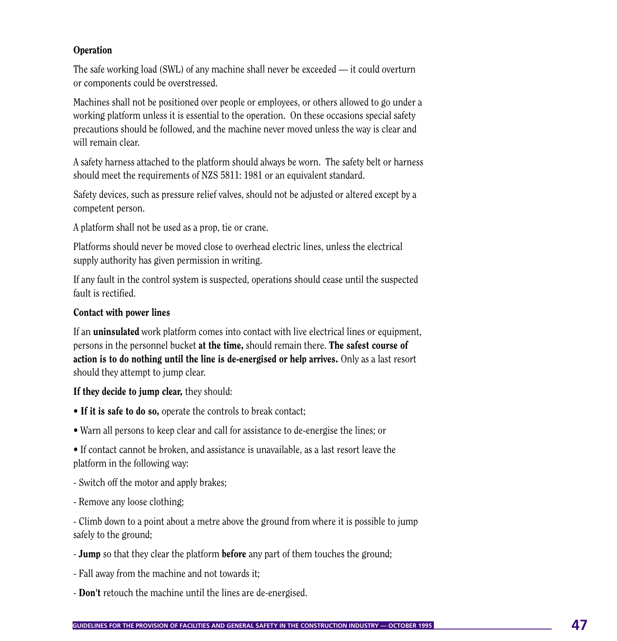### **Operation**

The safe working load (SWL) of any machine shall never be exceeded — it could overturn or components could be overstressed.

Machines shall not be positioned over people or employees, or others allowed to go under a working platform unless it is essential to the operation. On these occasions special safety precautions should be followed, and the machine never moved unless the way is clear and will remain clear.

A safety harness attached to the platform should always be worn. The safety belt or harness should meet the requirements of NZS 5811: 1981 or an equivalent standard.

Safety devices, such as pressure relief valves, should not be adjusted or altered except by a competent person.

A platform shall not be used as a prop, tie or crane.

Platforms should never be moved close to overhead electric lines, unless the electrical supply authority has given permission in writing.

If any fault in the control system is suspected, operations should cease until the suspected fault is rectified.

### Contact with power lines

If an uninsulated work platform comes into contact with live electrical lines or equipment, persons in the personnel bucket at the time, should remain there. The safest course of action is to do nothing until the line is de-energised or help arrives. Only as a last resort should they attempt to jump clear.

### If they decide to jump clear, they should:

- If it is safe to do so, operate the controls to break contact;
- Warn all persons to keep clear and call for assistance to de-energise the lines; or

• If contact cannot be broken, and assistance is unavailable, as a last resort leave the platform in the following way:

- Switch off the motor and apply brakes;
- Remove any loose clothing;

- Climb down to a point about a metre above the ground from where it is possible to jump safely to the ground;

- **Jump** so that they clear the platform **before** any part of them touches the ground;
- Fall away from the machine and not towards it;
- Don't retouch the machine until the lines are de-energised.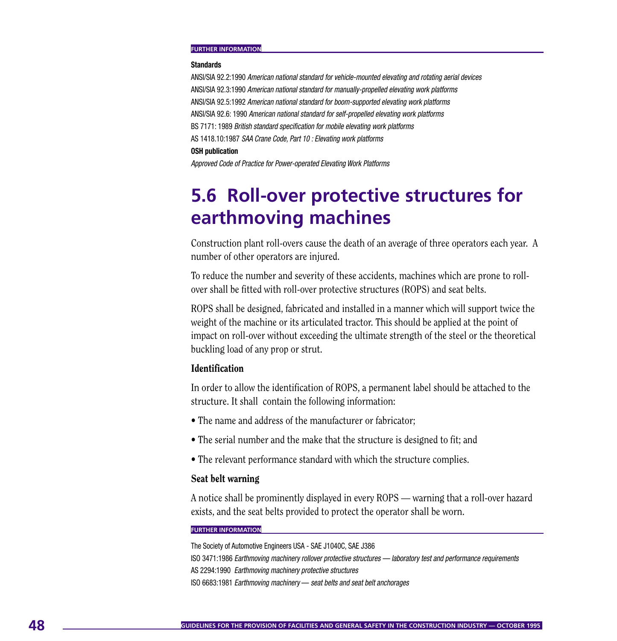#### **FURTHER INFORMATION**

#### **Standards**

ANSI/SIA 92.2:1990 American national standard for vehicle-mounted elevating and rotating aerial devices ANSI/SIA 92.3:1990 American national standard for manually-propelled elevating work platforms ANSI/SIA 92.5:1992 American national standard for boom-supported elevating work platforms ANSI/SIA 92.6: 1990 American national standard for self-propelled elevating work platforms BS 7171: 1989 British standard specification for mobile elevating work platforms AS 1418.10:1987 SAA Crane Code, Part 10 : Elevating work platforms **OSH publication** Approved Code of Practice for Power-operated Elevating Work Platforms

# **5.6 Roll-over protective structures for earthmoving machines**

Construction plant roll-overs cause the death of an average of three operators each year. A number of other operators are injured.

To reduce the number and severity of these accidents, machines which are prone to rollover shall be fitted with roll-over protective structures (ROPS) and seat belts.

ROPS shall be designed, fabricated and installed in a manner which will support twice the weight of the machine or its articulated tractor. This should be applied at the point of impact on roll-over without exceeding the ultimate strength of the steel or the theoretical buckling load of any prop or strut.

### Identification

In order to allow the identification of ROPS, a permanent label should be attached to the structure. It shall contain the following information:

- The name and address of the manufacturer or fabricator;
- The serial number and the make that the structure is designed to fit; and
- The relevant performance standard with which the structure complies.

### Seat belt warning

A notice shall be prominently displayed in every ROPS — warning that a roll-over hazard exists, and the seat belts provided to protect the operator shall be worn.

#### **FURTHER INFORMATION**

The Society of Automotive Engineers USA - SAE J1040C, SAE J386 ISO 3471:1986 Earthmoving machinery rollover protective structures — laboratory test and performance requirements AS 2294:1990 Earthmoving machinery protective structures ISO 6683:1981 Earthmoving machinery — seat belts and seat belt anchorages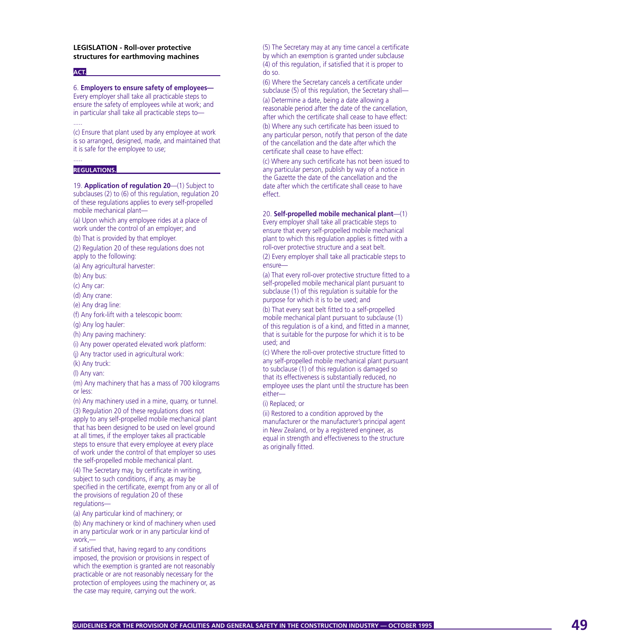#### **LEGISLATION - Roll-over protective structures for earthmoving machines**

#### **ACT.**

#### 6. **Employers to ensure safety of employees—**

Every employer shall take all practicable steps to ensure the safety of employees while at work; and in particular shall take all practicable steps to—

..... (c) Ensure that plant used by any employee at work is so arranged, designed, made, and maintained that it is safe for the employee to use;

#### **REGULATIONS.**

.....

19. **Application of regulation 20**—(1) Subject to subclauses (2) to (6) of this regulation, regulation 20 of these regulations applies to every self-propelled mobile mechanical plant— (a) Upon which any employee rides at a place of work under the control of an employer; and (b) That is provided by that employer. (2) Regulation 20 of these regulations does not apply to the following: (a) Any agricultural harvester: (b) Any bus: (c) Any car: (d) Any crane: (e) Any drag line: (f) Any fork-lift with a telescopic boom: (g) Any log hauler: (h) Any paving machinery:

(i) Any power operated elevated work platform:

(j) Any tractor used in agricultural work:

(k) Any truck:

(l) Any van:

(m) Any machinery that has a mass of 700 kilograms or less:

(n) Any machinery used in a mine, quarry, or tunnel. (3) Regulation 20 of these regulations does not apply to any self-propelled mobile mechanical plant that has been designed to be used on level ground at all times, if the employer takes all practicable steps to ensure that every employee at every place of work under the control of that employer so uses the self-propelled mobile mechanical plant.

(4) The Secretary may, by certificate in writing, subject to such conditions, if any, as may be specified in the certificate, exempt from any or all of the provisions of regulation 20 of these regulations—

(a) Any particular kind of machinery; or

(b) Any machinery or kind of machinery when used in any particular work or in any particular kind of work,—

if satisfied that, having regard to any conditions imposed, the provision or provisions in respect of which the exemption is granted are not reasonably practicable or are not reasonably necessary for the protection of employees using the machinery or, as the case may require, carrying out the work.

(5) The Secretary may at any time cancel a certificate by which an exemption is granted under subclause (4) of this regulation, if satisfied that it is proper to do so.

(6) Where the Secretary cancels a certificate under subclause (5) of this regulation, the Secretary shall— (a) Determine a date, being a date allowing a

reasonable period after the date of the cancellation, after which the certificate shall cease to have effect:

(b) Where any such certificate has been issued to any particular person, notify that person of the date of the cancellation and the date after which the certificate shall cease to have effect:

(c) Where any such certificate has not been issued to any particular person, publish by way of a notice in the Gazette the date of the cancellation and the date after which the certificate shall cease to have effect.

#### 20. **Self-propelled mobile mechanical plant**—(1)

Every employer shall take all practicable steps to ensure that every self-propelled mobile mechanical plant to which this regulation applies is fitted with a roll-over protective structure and a seat belt. (2) Every employer shall take all practicable steps to ensure—

(a) That every roll-over protective structure fitted to a self-propelled mobile mechanical plant pursuant to subclause (1) of this regulation is suitable for the purpose for which it is to be used; and

(b) That every seat belt fitted to a self-propelled mobile mechanical plant pursuant to subclause (1) of this regulation is of a kind, and fitted in a manner, that is suitable for the purpose for which it is to be used; and

(c) Where the roll-over protective structure fitted to any self-propelled mobile mechanical plant pursuant to subclause (1) of this regulation is damaged so that its effectiveness is substantially reduced, no employee uses the plant until the structure has been either—

(i) Replaced; or

(ii) Restored to a condition approved by the manufacturer or the manufacturer's principal agent in New Zealand, or by a registered engineer, as equal in strength and effectiveness to the structure as originally fitted.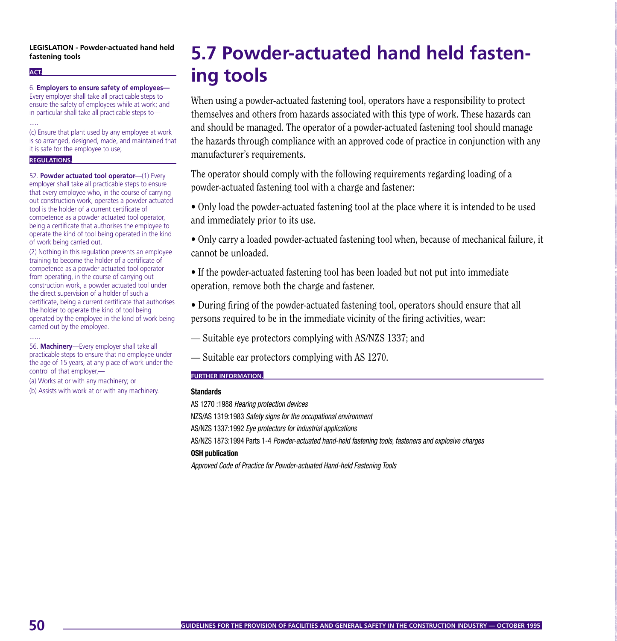#### **LEGISLATION - Powder-actuated hand held fastening tools**

#### **ACT.**

.....

6. **Employers to ensure safety of employees—** Every employer shall take all practicable steps to ensure the safety of employees while at work; and in particular shall take all practicable steps to—

(c) Ensure that plant used by any employee at work is so arranged, designed, made, and maintained that it is safe for the employee to use;

#### **REGULATIONS.**

52. **Powder actuated tool operator**—(1) Every employer shall take all practicable steps to ensure that every employee who, in the course of carrying out construction work, operates a powder actuated tool is the holder of a current certificate of competence as a powder actuated tool operator, being a certificate that authorises the employee to operate the kind of tool being operated in the kind of work being carried out.

(2) Nothing in this regulation prevents an employee training to become the holder of a certificate of competence as a powder actuated tool operator from operating, in the course of carrying out construction work, a powder actuated tool under the direct supervision of a holder of such a certificate, being a current certificate that authorises the holder to operate the kind of tool being operated by the employee in the kind of work being carried out by the employee.

...... 56. **Machinery**—Every employer shall take all practicable steps to ensure that no employee under the age of 15 years, at any place of work under the control of that employer,—

(a) Works at or with any machinery; or (b) Assists with work at or with any machinery.

# **5.7 Powder-actuated hand held fastening tools**

When using a powder-actuated fastening tool, operators have a responsibility to protect themselves and others from hazards associated with this type of work. These hazards can and should be managed. The operator of a powder-actuated fastening tool should manage the hazards through compliance with an approved code of practice in conjunction with any manufacturer's requirements.

The operator should comply with the following requirements regarding loading of a powder-actuated fastening tool with a charge and fastener:

• Only load the powder-actuated fastening tool at the place where it is intended to be used and immediately prior to its use.

• Only carry a loaded powder-actuated fastening tool when, because of mechanical failure, it cannot be unloaded.

• If the powder-actuated fastening tool has been loaded but not put into immediate operation, remove both the charge and fastener.

• During firing of the powder-actuated fastening tool, operators should ensure that all persons required to be in the immediate vicinity of the firing activities, wear:

— Suitable eye protectors complying with AS/NZS 1337; and

— Suitable ear protectors complying with AS 1270.

#### **FURTHER INFORMATION.**

#### **Standards**

AS 1270 :1988 Hearing protection devices NZS/AS 1319:1983 Safety signs for the occupational environment AS/NZS 1337:1992 Eye protectors for industrial applications AS/NZS 1873:1994 Parts 1-4 Powder-actuated hand-held fastening tools, fasteners and explosive charges

#### **OSH publication**

Approved Code of Practice for Powder-actuated Hand-held Fastening Tools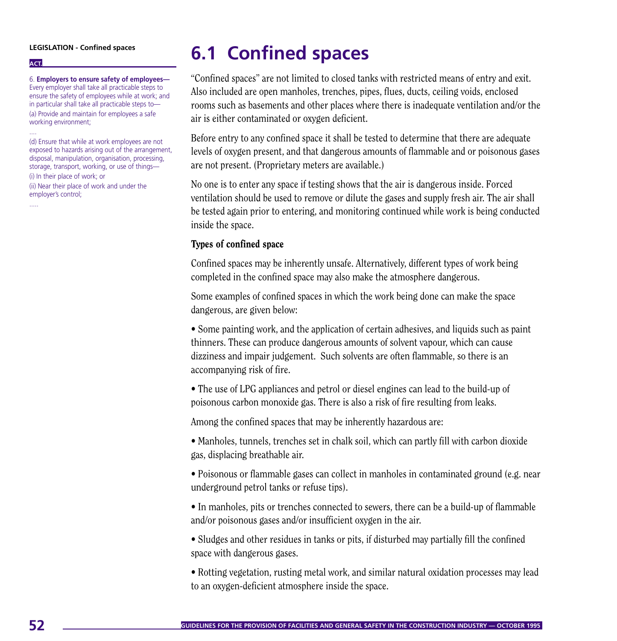#### **LEGISLATION - Confined spaces**

**ACT.**

....

6. **Employers to ensure safety of employees—** Every employer shall take all practicable steps to ensure the safety of employees while at work; and in particular shall take all practicable steps to— (a) Provide and maintain for employees a safe working environment;

(d) Ensure that while at work employees are not exposed to hazards arising out of the arrangement, disposal, manipulation, organisation, processing, storage, transport, working, or use of things—

(i) In their place of work; or

(ii) Near their place of work and under the employer's control;

# **6.1 Confined spaces**

"Confined spaces" are not limited to closed tanks with restricted means of entry and exit. Also included are open manholes, trenches, pipes, flues, ducts, ceiling voids, enclosed rooms such as basements and other places where there is inadequate ventilation and/or the air is either contaminated or oxygen deficient.

Before entry to any confined space it shall be tested to determine that there are adequate levels of oxygen present, and that dangerous amounts of flammable and or poisonous gases are not present. (Proprietary meters are available.)

No one is to enter any space if testing shows that the air is dangerous inside. Forced ventilation should be used to remove or dilute the gases and supply fresh air. The air shall be tested again prior to entering, and monitoring continued while work is being conducted inside the space.

### Types of confined space

Confined spaces may be inherently unsafe. Alternatively, different types of work being completed in the confined space may also make the atmosphere dangerous.

Some examples of confined spaces in which the work being done can make the space dangerous, are given below:

• Some painting work, and the application of certain adhesives, and liquids such as paint thinners. These can produce dangerous amounts of solvent vapour, which can cause dizziness and impair judgement. Such solvents are often flammable, so there is an accompanying risk of fire.

• The use of LPG appliances and petrol or diesel engines can lead to the build-up of poisonous carbon monoxide gas. There is also a risk of fire resulting from leaks.

Among the confined spaces that may be inherently hazardous are:

• Manholes, tunnels, trenches set in chalk soil, which can partly fill with carbon dioxide gas, displacing breathable air.

• Poisonous or flammable gases can collect in manholes in contaminated ground (e.g. near underground petrol tanks or refuse tips).

• In manholes, pits or trenches connected to sewers, there can be a build-up of flammable and/or poisonous gases and/or insufficient oxygen in the air.

• Sludges and other residues in tanks or pits, if disturbed may partially fill the confined space with dangerous gases.

• Rotting vegetation, rusting metal work, and similar natural oxidation processes may lead to an oxygen-deficient atmosphere inside the space.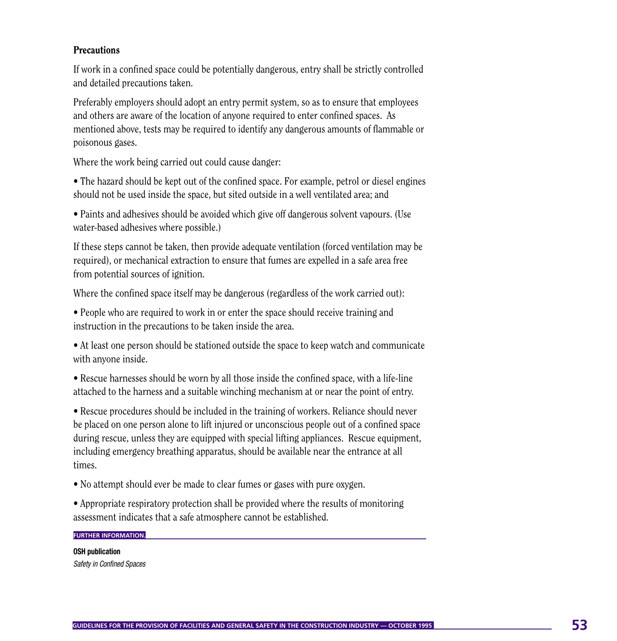### Precautions

If work in a confined space could be potentially dangerous, entry shall be strictly controlled and detailed precautions taken.

Preferably employers should adopt an entry permit system, so as to ensure that employees and others are aware of the location of anyone required to enter confined spaces. As mentioned above, tests may be required to identify any dangerous amounts of flammable or poisonous gases.

Where the work being carried out could cause danger:

• The hazard should be kept out of the confined space. For example, petrol or diesel engines should not be used inside the space, but sited outside in a well ventilated area; and

• Paints and adhesives should be avoided which give off dangerous solvent vapours. (Use water-based adhesives where possible.)

If these steps cannot be taken, then provide adequate ventilation (forced ventilation may be required), or mechanical extraction to ensure that fumes are expelled in a safe area free from potential sources of ignition.

Where the confined space itself may be dangerous (regardless of the work carried out):

• People who are required to work in or enter the space should receive training and instruction in the precautions to be taken inside the area.

• At least one person should be stationed outside the space to keep watch and communicate with anyone inside.

• Rescue harnesses should be worn by all those inside the confined space, with a life-line attached to the harness and a suitable winching mechanism at or near the point of entry.

• Rescue procedures should be included in the training of workers. Reliance should never be placed on one person alone to lift injured or unconscious people out of a confined space during rescue, unless they are equipped with special lifting appliances. Rescue equipment, including emergency breathing apparatus, should be available near the entrance at all times.

• No attempt should ever be made to clear fumes or gases with pure oxygen.

• Appropriate respiratory protection shall be provided where the results of monitoring assessment indicates that a safe atmosphere cannot be established.

### **FURTHER INFORMATION.**

**OSH publication** Safety in Confined Spaces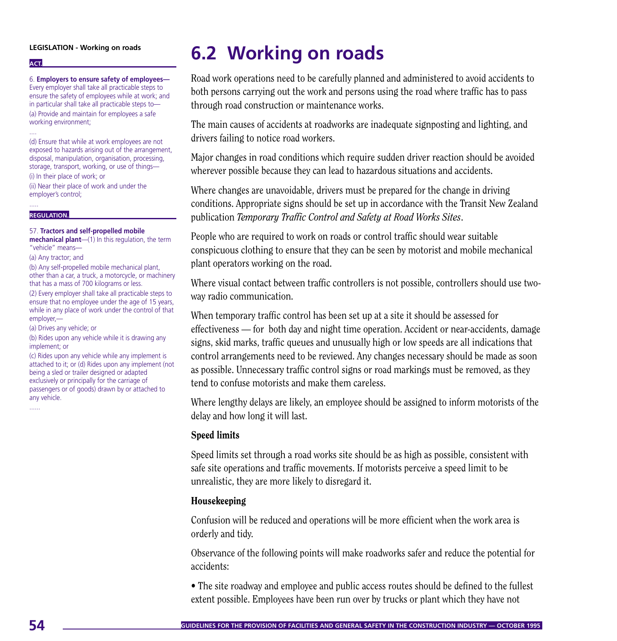#### **LEGISLATION - Working on roads**

#### **ACT.**

....

.....

......

6. **Employers to ensure safety of employees—** Every employer shall take all practicable steps to ensure the safety of employees while at work; and in particular shall take all practicable steps to— (a) Provide and maintain for employees a safe working environment;

(d) Ensure that while at work employees are not exposed to hazards arising out of the arrangement, disposal, manipulation, organisation, processing, storage, transport, working, or use of things—

(i) In their place of work; or

(ii) Near their place of work and under the employer's control;

#### **REGULATION.**

#### 57. **Tractors and self-propelled mobile**

**mechanical plant**—(1) In this regulation, the term "vehicle" means—

(a) Any tractor; and

(b) Any self-propelled mobile mechanical plant, other than a car, a truck, a motorcycle, or machinery that has a mass of 700 kilograms or less.

(2) Every employer shall take all practicable steps to ensure that no employee under the age of 15 years, while in any place of work under the control of that employer,—

(a) Drives any vehicle; or

(b) Rides upon any vehicle while it is drawing any implement; or

(c) Rides upon any vehicle while any implement is attached to it; or (d) Rides upon any implement (not being a sled or trailer designed or adapted exclusively or principally for the carriage of passengers or of goods) drawn by or attached to any vehicle.

# **6.2 Working on roads**

Road work operations need to be carefully planned and administered to avoid accidents to both persons carrying out the work and persons using the road where traffic has to pass through road construction or maintenance works.

The main causes of accidents at roadworks are inadequate signposting and lighting, and drivers failing to notice road workers.

Major changes in road conditions which require sudden driver reaction should be avoided wherever possible because they can lead to hazardous situations and accidents.

Where changes are unavoidable, drivers must be prepared for the change in driving conditions. Appropriate signs should be set up in accordance with the Transit New Zealand publication *Temporary Traffic Control and Safety at Road Works Sites*.

People who are required to work on roads or control traffic should wear suitable conspicuous clothing to ensure that they can be seen by motorist and mobile mechanical plant operators working on the road.

Where visual contact between traffic controllers is not possible, controllers should use twoway radio communication.

When temporary traffic control has been set up at a site it should be assessed for effectiveness — for both day and night time operation. Accident or near-accidents, damage signs, skid marks, traffic queues and unusually high or low speeds are all indications that control arrangements need to be reviewed. Any changes necessary should be made as soon as possible. Unnecessary traffic control signs or road markings must be removed, as they tend to confuse motorists and make them careless.

Where lengthy delays are likely, an employee should be assigned to inform motorists of the delay and how long it will last.

### Speed limits

Speed limits set through a road works site should be as high as possible, consistent with safe site operations and traffic movements. If motorists perceive a speed limit to be unrealistic, they are more likely to disregard it.

### Housekeeping

Confusion will be reduced and operations will be more efficient when the work area is orderly and tidy.

Observance of the following points will make roadworks safer and reduce the potential for accidents:

• The site roadway and employee and public access routes should be defined to the fullest extent possible. Employees have been run over by trucks or plant which they have not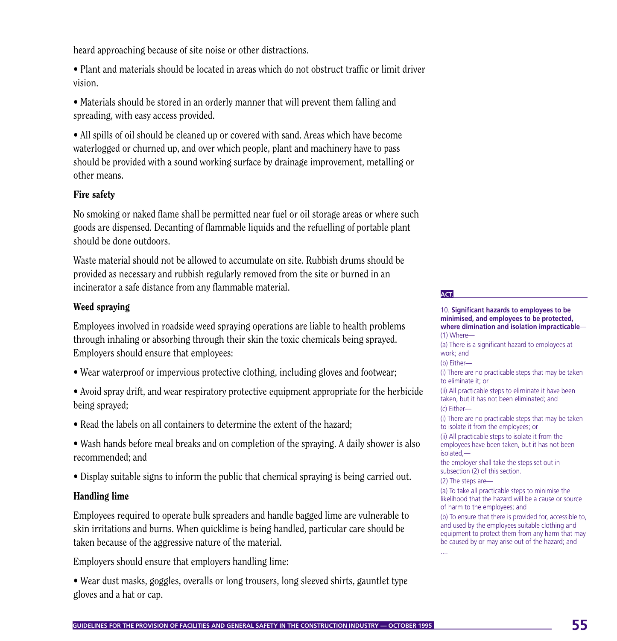heard approaching because of site noise or other distractions.

• Plant and materials should be located in areas which do not obstruct traffic or limit driver vision.

• Materials should be stored in an orderly manner that will prevent them falling and spreading, with easy access provided.

• All spills of oil should be cleaned up or covered with sand. Areas which have become waterlogged or churned up, and over which people, plant and machinery have to pass should be provided with a sound working surface by drainage improvement, metalling or other means.

### Fire safety

No smoking or naked flame shall be permitted near fuel or oil storage areas or where such goods are dispensed. Decanting of flammable liquids and the refuelling of portable plant should be done outdoors.

Waste material should not be allowed to accumulate on site. Rubbish drums should be provided as necessary and rubbish regularly removed from the site or burned in an incinerator a safe distance from any flammable material.

### Weed spraying

Employees involved in roadside weed spraying operations are liable to health problems through inhaling or absorbing through their skin the toxic chemicals being sprayed. Employers should ensure that employees:

- Wear waterproof or impervious protective clothing, including gloves and footwear;
- Avoid spray drift, and wear respiratory protective equipment appropriate for the herbicide being sprayed;
- Read the labels on all containers to determine the extent of the hazard;
- Wash hands before meal breaks and on completion of the spraying. A daily shower is also recommended; and
- Display suitable signs to inform the public that chemical spraying is being carried out.

### Handling lime

Employees required to operate bulk spreaders and handle bagged lime are vulnerable to skin irritations and burns. When quicklime is being handled, particular care should be taken because of the aggressive nature of the material.

Employers should ensure that employers handling lime:

• Wear dust masks, goggles, overalls or long trousers, long sleeved shirts, gauntlet type gloves and a hat or cap.

**ACT.**

10. **Significant hazards to employees to be minimised, and employees to be protected, where dimination and isolation impracticable**— (1) Where— (a) There is a significant hazard to employees at work; and (b) Either— (i) There are no practicable steps that may be taken to eliminate it; or (ii) All practicable steps to elirninate it have been taken, but it has not been eliminated; and (c) Either—

(i) There are no practicable steps that may be taken to isolate it from the employees; or

(ii) All practicable steps to isolate it from the employees have been taken, but it has not been isolated,—

the employer shall take the steps set out in subsection (2) of this section.

(2) The steps are—

....

(a) To take all practicable steps to minimise the likelihood that the hazard will be a cause or source of harm to the employees; and

(b) To ensure that there is provided for, accessible to, and used by the employees suitable clothing and equipment to protect them from any harm that may be caused by or may arise out of the hazard; and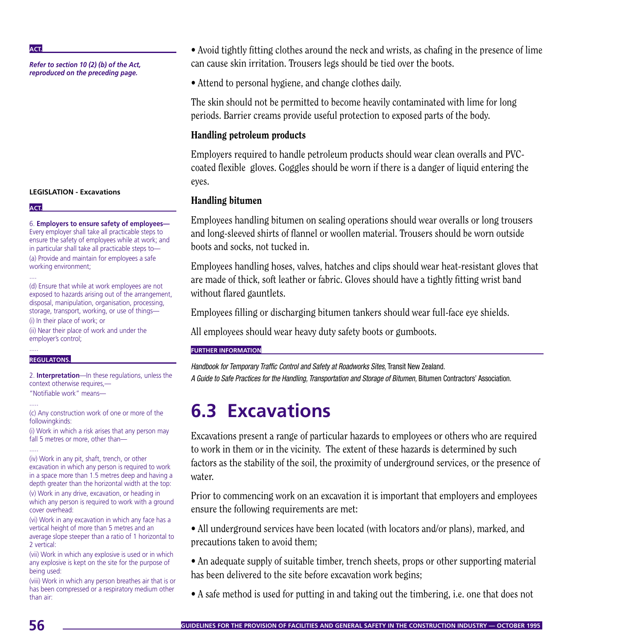*Refer to section 10 (2) (b) of the Act, reproduced on the preceding page.*

#### **LEGISLATION - Excavations**

#### **ACT.**

6. **Employers to ensure safety of employees—** Every employer shall take all practicable steps to ensure the safety of employees while at work; and in particular shall take all practicable steps to— (a) Provide and maintain for employees a safe working environment;

.... (d) Ensure that while at work employees are not exposed to hazards arising out of the arrangement, disposal, manipulation, organisation, processing, storage, transport, working, or use of things— (i) In their place of work; or

(ii) Near their place of work and under the employer's control;

#### **REGULATONS.**

.....

.....

.....

2. **Interpretation**—In these regulations, unless the context otherwise requires,— "Notifiable work" means—

(c) Any construction work of one or more of the followingkinds:

(i) Work in which a risk arises that any person may fall 5 metres or more, other than—

(iv) Work in any pit, shaft, trench, or other excavation in which any person is required to work in a space more than 1.5 metres deep and having a depth greater than the horizontal width at the top:

(v) Work in any drive, excavation, or heading in which any person is required to work with a ground cover overhead:

(vi) Work in any excavation in which any face has a vertical height of more than 5 metres and an average slope steeper than a ratio of 1 horizontal to 2 vertical:

(vii) Work in which any explosive is used or in which any explosive is kept on the site for the purpose of being used:

(viii) Work in which any person breathes air that is or has been compressed or a respiratory medium other than air:

• Avoid tightly fitting clothes around the neck and wrists, as chafing in the presence of lime can cause skin irritation. Trousers legs should be tied over the boots.

• Attend to personal hygiene, and change clothes daily.

The skin should not be permitted to become heavily contaminated with lime for long periods. Barrier creams provide useful protection to exposed parts of the body.

### Handling petroleum products

Employers required to handle petroleum products should wear clean overalls and PVCcoated flexible gloves. Goggles should be worn if there is a danger of liquid entering the eyes.

### Handling bitumen

Employees handling bitumen on sealing operations should wear overalls or long trousers and long-sleeved shirts of flannel or woollen material. Trousers should be worn outside boots and socks, not tucked in.

Employees handling hoses, valves, hatches and clips should wear heat-resistant gloves that are made of thick, soft leather or fabric. Gloves should have a tightly fitting wrist band without flared gauntlets.

Employees filling or discharging bitumen tankers should wear full-face eye shields.

All employees should wear heavy duty safety boots or gumboots.

#### **FURTHER INFORMATION**

Handbook for Temporary Traffic Control and Safety at Roadworks Sites, Transit New Zealand. A Guide to Safe Practices for the Handling, Transportation and Storage of Bitumen, Bitumen Contractors' Association.

# **6.3 Excavations**

Excavations present a range of particular hazards to employees or others who are required to work in them or in the vicinity. The extent of these hazards is determined by such factors as the stability of the soil, the proximity of underground services, or the presence of water.

Prior to commencing work on an excavation it is important that employers and employees ensure the following requirements are met:

• All underground services have been located (with locators and/or plans), marked, and precautions taken to avoid them;

• An adequate supply of suitable timber, trench sheets, props or other supporting material has been delivered to the site before excavation work begins;

• A safe method is used for putting in and taking out the timbering, i.e. one that does not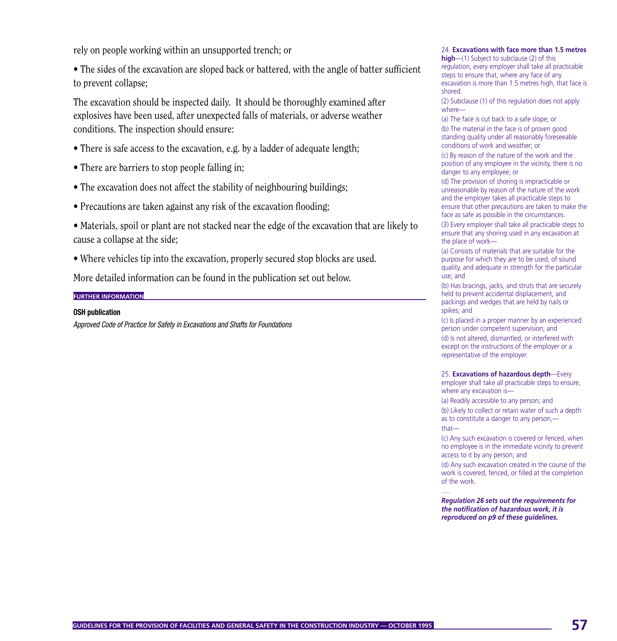rely on people working within an unsupported trench; or

• The sides of the excavation are sloped back or battered, with the angle of batter sufficient to prevent collapse;

The excavation should be inspected daily. It should be thoroughly examined after explosives have been used, after unexpected falls of materials, or adverse weather conditions. The inspection should ensure:

- There is safe access to the excavation, e.g. by a ladder of adequate length;
- There are barriers to stop people falling in;
- The excavation does not affect the stability of neighbouring buildings;
- Precautions are taken against any risk of the excavation flooding;

• Materials, spoil or plant are not stacked near the edge of the excavation that are likely to cause a collapse at the side;

• Where vehicles tip into the excavation, properly secured stop blocks are used.

More detailed information can be found in the publication set out below.

#### **FURTHER INFORMATION**

#### **OSH publication**

Approved Code of Practice for Safety in Excavations and Shafts for Foundations

#### 24. **Excavations with face more than 1.5 metres**

**high**—(1) Subject to subclause (2) of this regulation, every employer shall take all practicable steps to ensure that, where any face of any excavation is more than 1.5 metres high, that face is shored.

(2) Subclause (1) of this regulation does not apply where—

(a) The face is cut back to a safe slope; or (b) The material in the face is of proven good

standing quality under all reasonably foreseeable conditions of work and weather; or

(c) By reason of the nature of the work and the position of any employee in the vicinity, there is no danger to any employee; or

(d) The provision of shoring is impracticable or unreasonable by reason of the nature of the work and the employer takes all practicable steps to ensure that other precautions are taken to make the face as safe as possible in the circumstances.

(3) Every employer shall take all practicable steps to ensure that any shoring used in any excavation at the place of work—

(a) Consists of materials that are suitable for the purpose for which they are to be used, of sound quality, and adequate in strength for the particular use; and

(b) Has bracings, jacks, and struts that are securely held to prevent accidental displacement, and packings and wedges that are held by nails or spikes; and

(c) Is placed in a proper manner by an experienced person under competent supervision; and (d) Is not altered, dismantled, or interfered with except on the instructions of the employer or a representative of the employer.

#### 25. **Excavations of hazardous depth**—Every

employer shall take all practicable steps to ensure, where any excavation is—

(a) Readily accessible to any person; and

(b) Likely to collect or retain water of such a depth as to constitute a danger to any person, that—

(c) Any such excavation is covered or fenced, when no employee is in the immediate vicinity to prevent access to it by any person; and

(d) Any such excavation created in the course of the work is covered, fenced, or filled at the completion of the work.

*Regulation 26 sets out the requirements for the notification of hazardous work, it is reproduced on p9 of these guidelines.*

*.....*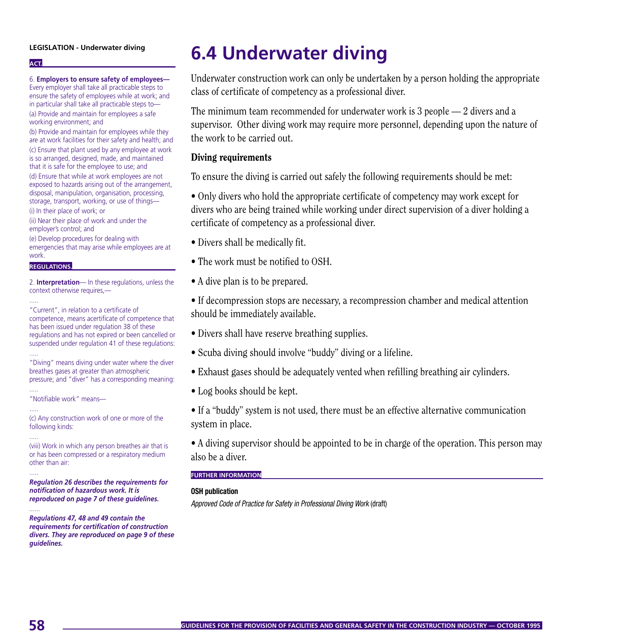#### **LEGISLATION - Underwater diving**

#### **ACT.**

6. **Employers to ensure safety of employees—** Every employer shall take all practicable steps to ensure the safety of employees while at work; and in particular shall take all practicable steps to— (a) Provide and maintain for employees a safe working environment; and

(b) Provide and maintain for employees while they are at work facilities for their safety and health; and

(c) Ensure that plant used by any employee at work is so arranged, designed, made, and maintained that it is safe for the employee to use; and

(d) Ensure that while at work employees are not exposed to hazards arising out of the arrangement, disposal, manipulation, organisation, processing, storage, transport, working, or use of things— (i) In their place of work; or

(ii) Near their place of work and under the employer's control; and

(e) Develop procedures for dealing with emergencies that may arise while employees are at work.

#### **REGULATIONS.**

.....

.....

.....

.....

.....

.....

*......*

2. **Interpretation**— In these regulations, unless the context otherwise requires,—

"Current", in relation to a certificate of competence, means acertificate of competence that has been issued under regulation 38 of these regulations and has not expired or been cancelled or suspended under regulation 41 of these regulations:

"Diving" means diving under water where the diver breathes gases at greater than atmospheric pressure; and "diver" has a corresponding meaning:

"Notifiable work" means—

(c) Any construction work of one or more of the following kinds:

(viii) Work in which any person breathes air that is or has been compressed or a respiratory medium other than air:

*Regulation 26 describes the requirements for notification of hazardous work. It is reproduced on page 7 of these guidelines.*

*Regulations 47, 48 and 49 contain the requirements for certification of construction divers. They are reproduced on page 9 of these guidelines.*

# **6.4 Underwater diving**

Underwater construction work can only be undertaken by a person holding the appropriate class of certificate of competency as a professional diver.

The minimum team recommended for underwater work is 3 people — 2 divers and a supervisor. Other diving work may require more personnel, depending upon the nature of the work to be carried out.

#### Diving requirements

To ensure the diving is carried out safely the following requirements should be met:

• Only divers who hold the appropriate certificate of competency may work except for divers who are being trained while working under direct supervision of a diver holding a certificate of competency as a professional diver.

- Divers shall be medically fit.
- The work must be notified to OSH.
- A dive plan is to be prepared.

• If decompression stops are necessary, a recompression chamber and medical attention should be immediately available.

- Divers shall have reserve breathing supplies.
- Scuba diving should involve "buddy" diving or a lifeline.
- Exhaust gases should be adequately vented when refilling breathing air cylinders.
- Log books should be kept.

• If a "buddy" system is not used, there must be an effective alternative communication system in place.

• A diving supervisor should be appointed to be in charge of the operation. This person may also be a diver.

#### **FURTHER INFORMATION**

#### **OSH publication**

Approved Code of Practice for Safety in Professional Diving Work (draft)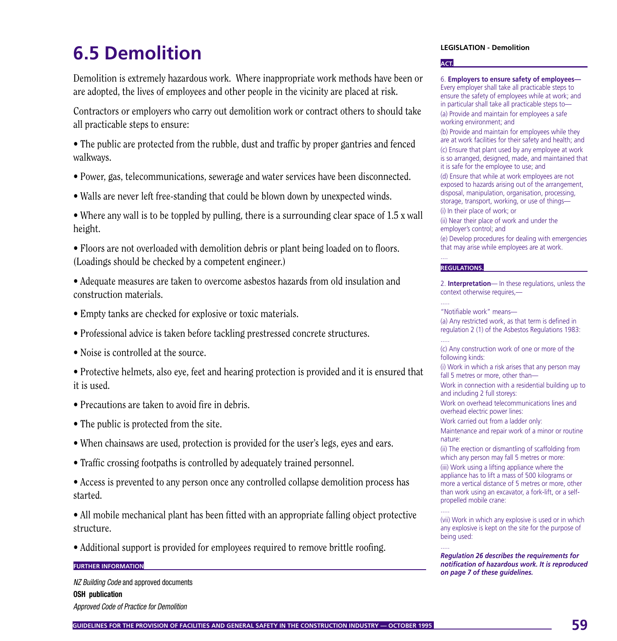# **6.5 Demolition**

Demolition is extremely hazardous work. Where inappropriate work methods have been or are adopted, the lives of employees and other people in the vicinity are placed at risk.

Contractors or employers who carry out demolition work or contract others to should take all practicable steps to ensure:

• The public are protected from the rubble, dust and traffic by proper gantries and fenced walkways.

• Power, gas, telecommunications, sewerage and water services have been disconnected.

• Walls are never left free-standing that could be blown down by unexpected winds.

• Where any wall is to be toppled by pulling, there is a surrounding clear space of 1.5 x wall height.

• Floors are not overloaded with demolition debris or plant being loaded on to floors. (Loadings should be checked by a competent engineer.)

• Adequate measures are taken to overcome asbestos hazards from old insulation and construction materials.

- Empty tanks are checked for explosive or toxic materials.
- Professional advice is taken before tackling prestressed concrete structures.
- Noise is controlled at the source.

• Protective helmets, also eye, feet and hearing protection is provided and it is ensured that it is used.

- Precautions are taken to avoid fire in debris.
- The public is protected from the site.
- When chainsaws are used, protection is provided for the user's legs, eyes and ears.
- Traffic crossing footpaths is controlled by adequately trained personnel.

• Access is prevented to any person once any controlled collapse demolition process has started.

• All mobile mechanical plant has been fitted with an appropriate falling object protective structure.

• Additional support is provided for employees required to remove brittle roofing.

#### **FURTHER INFORMATION**

NZ Building Code and approved documents **OSH publication** Approved Code of Practice for Demolition

### **LEGISLATION - Demolition**

#### **ACT.**

6. **Employers to ensure safety of employees—** Every employer shall take all practicable steps to ensure the safety of employees while at work; and in particular shall take all practicable steps to— (a) Provide and maintain for employees a safe

working environment; and

(b) Provide and maintain for employees while they are at work facilities for their safety and health; and

(c) Ensure that plant used by any employee at work is so arranged, designed, made, and maintained that it is safe for the employee to use; and

(d) Ensure that while at work employees are not exposed to hazards arising out of the arrangement, disposal, manipulation, organisation, processing, storage, transport, working, or use of things— (i) In their place of work; or

(ii) Near their place of work and under the employer's control; and

(e) Develop procedures for dealing with emergencies that may arise while employees are at work.

#### **REGULATIONS.**

....

.....

.....

.....

2. **Interpretation**— In these regulations, unless the context otherwise requires,—

"Notifiable work" means—

(a) Any restricted work, as that term is defined in regulation 2 (1) of the Asbestos Regulations 1983:

(c) Any construction work of one or more of the following kinds:

(i) Work in which a risk arises that any person may fall 5 metres or more, other than—

Work in connection with a residential building up to and including 2 full storeys:

Work on overhead telecommunications lines and overhead electric power lines:

Work carried out from a ladder only:

Maintenance and repair work of a minor or routine nature:

(ii) The erection or dismantling of scaffolding from which any person may fall 5 metres or more:

(iii) Work using a lifting appliance where the appliance has to lift a mass of 500 kilograms or more a vertical distance of 5 metres or more, other than work using an excavator, a fork-lift, or a selfpropelled mobile crane:

..... (vii) Work in which any explosive is used or in which any explosive is kept on the site for the purpose of being used:

*Regulation 26 describes the requirements for notification of hazardous work. It is reproduced on page 7 of these guidelines.*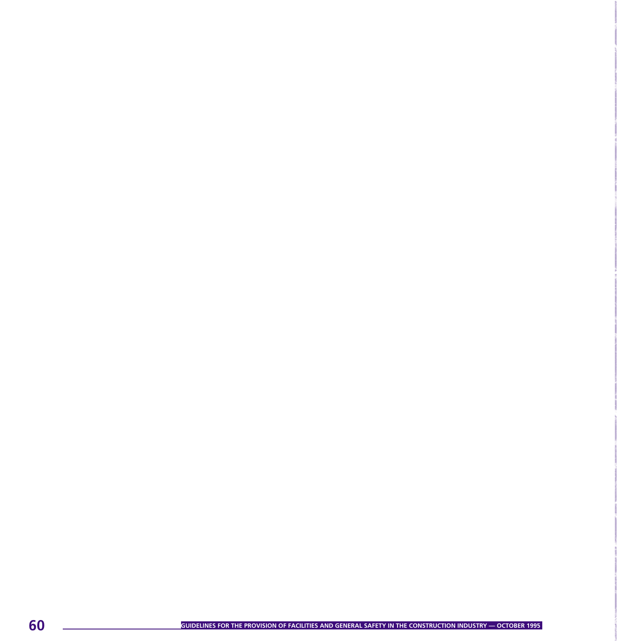**GUIDELINES FOR THE PROVISION OF FACILITIES AND GENERAL SAFETY IN THE CONSTRUCTION INDUSTRY — OCTOBER 1995**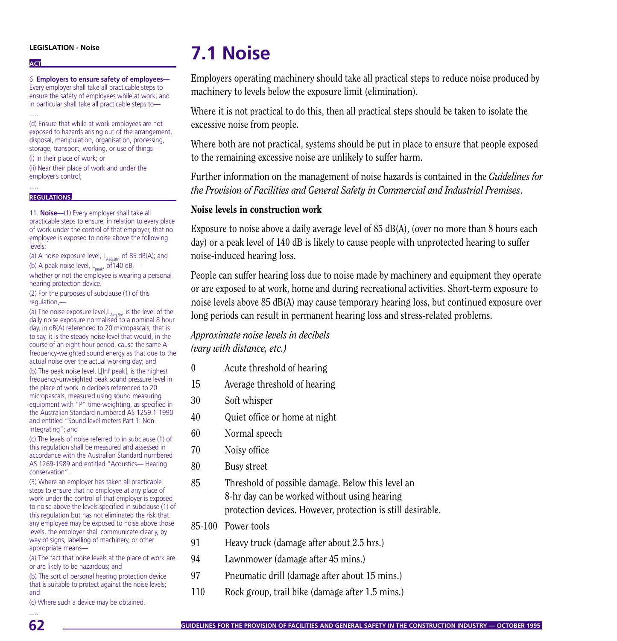#### **LEGISLATION - Noise**

#### **ACT**

.....

.....

6. **Employers to ensure safety of employees—** Every employer shall take all practicable steps to ensure the safety of employees while at work; and in particular shall take all practicable steps to—

(d) Ensure that while at work employees are not exposed to hazards arising out of the arrangement, disposal, manipulation, organisation, processing, storage, transport, working, or use of things—

(i) In their place of work; or

(ii) Near their place of work and under the employer's control;

#### **REGULATIONS.**

11. **Noise**—(1) Every employer shall take all practicable steps to ensure, in relation to every place of work under the control of that employer, that no employee is exposed to noise above the following levels:

(a) A noise exposure level,  $L_{A_{PQ},8h}$ , of 85 dB(A); and (b) A peak noise level,  $L_{\text{peak}}$  of 140 dB,—

whether or not the employee is wearing a personal hearing protection device.

(2) For the purposes of subclause (1) of this regulation,—

(a) The noise exposure level, L<sub>Aeq,8h</sub>, is the level of the<br>daily noise exposure normalised to a nominal 8 hour day, in dB(A) referenced to 20 micropascals; that is to say, it is the steady noise level that would, in the course of an eight hour period, cause the same Afrequency-weighted sound energy as that due to the actual noise over the actual working day; and (b) The peak noise level, L[Inf peak], is the highest frequency-unweighted peak sound pressure level in the place of work in decibels referenced to 20 micropascals, measured using sound measuring equipment with "P" time-weighting, as specified in the Australian Standard numbered AS 1259.1-1990 and entitled "Sound level meters Part 1: Nonintegrating"; and

(c) The levels of noise referred to in subclause (1) of this regulation shall be measured and assessed in accordance with the Australian Standard numbered AS 1269-1989 and entitled "Acoustics— Hearing conservation".

(3) Where an employer has taken all practicable steps to ensure that no employee at any place of work under the control of that employer is exposed to noise above the levels specified in subclause (1) of this regulation but has not eliminated the risk that any employee may be exposed to noise above those levels, the employer shall communicate clearly, by way of signs, labelling of machinery, or other appropriate means—

(a) The fact that noise levels at the place of work are or are likely to be hazardous; and

(b) The sort of personal hearing protection device that is suitable to protect against the noise levels; and

(c) Where such a device may be obtained.

# **7.1 Noise**

Employers operating machinery should take all practical steps to reduce noise produced by machinery to levels below the exposure limit (elimination).

Where it is not practical to do this, then all practical steps should be taken to isolate the excessive noise from people.

Where both are not practical, systems should be put in place to ensure that people exposed to the remaining excessive noise are unlikely to suffer harm.

Further information on the management of noise hazards is contained in the *Guidelines for the Provision of Facilities and General Safety in Commercial and Industrial Premises*.

### Noise levels in construction work

Exposure to noise above a daily average level of 85 dB(A), (over no more than 8 hours each day) or a peak level of 140 dB is likely to cause people with unprotected hearing to suffer noise-induced hearing loss.

People can suffer hearing loss due to noise made by machinery and equipment they operate or are exposed to at work, home and during recreational activities. Short-term exposure to noise levels above 85 dB(A) may cause temporary hearing loss, but continued exposure over long periods can result in permanent hearing loss and stress-related problems.

*Approximate noise levels in decibels (vary with distance, etc.)*

- 0 Acute threshold of hearing
- 15 Average threshold of hearing
- 30 Soft whisper
- 40 Quiet office or home at night
- 60 Normal speech
- 70 Noisy office
- 80 Busy street
- 85 Threshold of possible damage. Below this level an 8-hr day can be worked without using hearing protection devices. However, protection is still desirable.
- 85-100 Power tools
- 91 Heavy truck (damage after about 2.5 hrs.)
- 94 Lawnmower (damage after 45 mins.)
- 97 Pneumatic drill (damage after about 15 mins.)
- 110 Rock group, trail bike (damage after 1.5 mins.)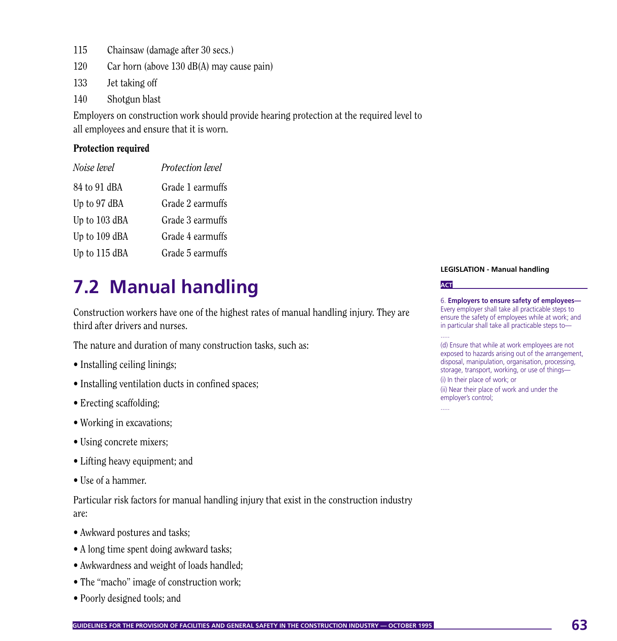- 115 Chainsaw (damage after 30 secs.)
- 120 Car horn (above 130 dB(A) may cause pain)
- 133 Jet taking off
- 140 Shotgun blast

Employers on construction work should provide hearing protection at the required level to all employees and ensure that it is worn.

### Protection required

| Noise level   | Protection level |
|---------------|------------------|
| 84 to 91 dBA  | Grade 1 earmuffs |
| Up to 97 dBA  | Grade 2 earmuffs |
| Up to 103 dBA | Grade 3 earmuffs |
| Up to 109 dBA | Grade 4 earmuffs |
| Up to 115 dBA | Grade 5 earmuffs |

# **7.2 Manual handling**

Construction workers have one of the highest rates of manual handling injury. They are third after drivers and nurses.

The nature and duration of many construction tasks, such as:

- Installing ceiling linings;
- Installing ventilation ducts in confined spaces;
- Erecting scaffolding;
- Working in excavations;
- Using concrete mixers;
- Lifting heavy equipment; and
- Use of a hammer.

Particular risk factors for manual handling injury that exist in the construction industry are:

- Awkward postures and tasks;
- A long time spent doing awkward tasks;
- Awkwardness and weight of loads handled;
- The "macho" image of construction work;
- Poorly designed tools; and

#### **LEGISLATION - Manual handling**

#### **ACT**

.....

.....

6. **Employers to ensure safety of employees—** Every employer shall take all practicable steps to ensure the safety of employees while at work; and in particular shall take all practicable steps to—

(d) Ensure that while at work employees are not exposed to hazards arising out of the arrangement, disposal, manipulation, organisation, processing, storage, transport, working, or use of things— (i) In their place of work; or (ii) Near their place of work and under the employer's control;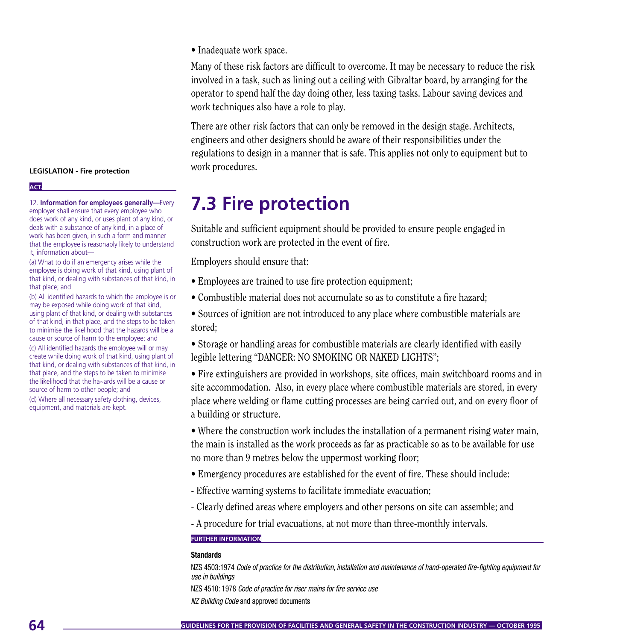• Inadequate work space.

Many of these risk factors are difficult to overcome. It may be necessary to reduce the risk involved in a task, such as lining out a ceiling with Gibraltar board, by arranging for the operator to spend half the day doing other, less taxing tasks. Labour saving devices and work techniques also have a role to play.

There are other risk factors that can only be removed in the design stage. Architects, engineers and other designers should be aware of their responsibilities under the regulations to design in a manner that is safe. This applies not only to equipment but to work procedures.

### **7.3 Fire protection**

Suitable and sufficient equipment should be provided to ensure people engaged in construction work are protected in the event of fire.

Employers should ensure that:

- Employees are trained to use fire protection equipment;
- Combustible material does not accumulate so as to constitute a fire hazard;
- Sources of ignition are not introduced to any place where combustible materials are stored;

• Storage or handling areas for combustible materials are clearly identified with easily legible lettering "DANGER: NO SMOKING OR NAKED LIGHTS";

• Fire extinguishers are provided in workshops, site offices, main switchboard rooms and in site accommodation. Also, in every place where combustible materials are stored, in every place where welding or flame cutting processes are being carried out, and on every floor of a building or structure.

• Where the construction work includes the installation of a permanent rising water main, the main is installed as the work proceeds as far as practicable so as to be available for use no more than 9 metres below the uppermost working floor;

- Emergency procedures are established for the event of fire. These should include:
- Effective warning systems to facilitate immediate evacuation;
- Clearly defined areas where employers and other persons on site can assemble; and
- A procedure for trial evacuations, at not more than three-monthly intervals.

#### **FURTHER INFORMATION**

#### **Standards**

NZS 4503:1974 Code of practice for the distribution, installation and maintenance of hand-operated fire-fighting equipment for use in buildings

NZS 4510: 1978 Code of practice for riser mains for fire service use NZ Building Code and approved documents

#### **LEGISLATION - Fire protection**

#### **ACT.**

12. **Information for employees generally—**Every employer shall ensure that every employee who does work of any kind, or uses plant of any kind, or deals with a substance of any kind, in a place of work has been given, in such a form and manner that the employee is reasonably likely to understand it, information about—

(a) What to do if an emergency arises while the employee is doing work of that kind, using plant of that kind, or dealing with substances of that kind, in that place; and

(b) All identified hazards to which the employee is or may be exposed while doing work of that kind, using plant of that kind, or dealing with substances of that kind, in that place, and the steps to be taken to minimise the likelihood that the hazards will be a cause or source of harm to the employee; and

(c) All identified hazards the employee will or may create while doing work of that kind, using plant of that kind, or dealing with substances of that kind, in that piace, and the steps to be taken to minimise the likelihood that the ha~ards will be a cause or source of harm to other people; and

(d) Where all necessary safety clothing, devices, equipment, and materials are kept.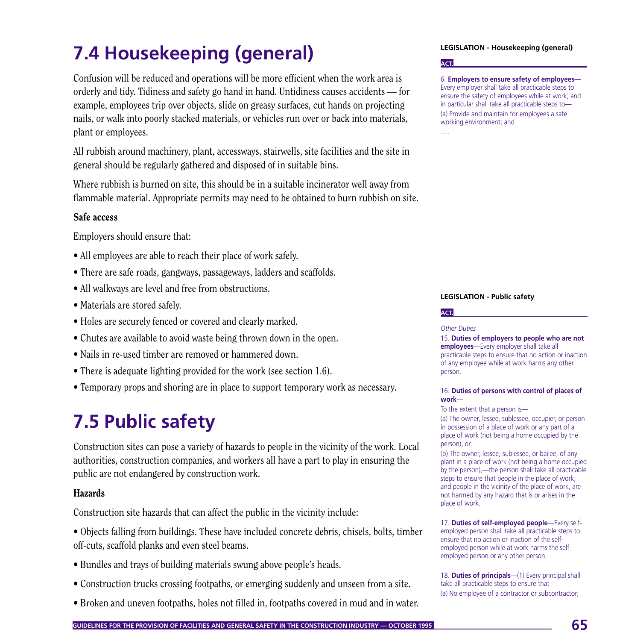# **7.4 Housekeeping (general)**

Confusion will be reduced and operations will be more efficient when the work area is orderly and tidy. Tidiness and safety go hand in hand. Untidiness causes accidents — for example, employees trip over objects, slide on greasy surfaces, cut hands on projecting nails, or walk into poorly stacked materials, or vehicles run over or back into materials, plant or employees.

All rubbish around machinery, plant, accessways, stairwells, site facilities and the site in general should be regularly gathered and disposed of in suitable bins.

Where rubbish is burned on site, this should be in a suitable incinerator well away from flammable material. Appropriate permits may need to be obtained to burn rubbish on site.

### Safe access

Employers should ensure that:

- All employees are able to reach their place of work safely.
- There are safe roads, gangways, passageways, ladders and scaffolds.
- All walkways are level and free from obstructions.
- Materials are stored safely.
- Holes are securely fenced or covered and clearly marked.
- Chutes are available to avoid waste being thrown down in the open.
- Nails in re-used timber are removed or hammered down.
- There is adequate lighting provided for the work (see section 1.6).
- Temporary props and shoring are in place to support temporary work as necessary.

# **7.5 Public safety**

Construction sites can pose a variety of hazards to people in the vicinity of the work. Local authorities, construction companies, and workers all have a part to play in ensuring the public are not endangered by construction work.

### Hazards

Construction site hazards that can affect the public in the vicinity include:

• Objects falling from buildings. These have included concrete debris, chisels, bolts, timber off-cuts, scaffold planks and even steel beams.

- Bundles and trays of building materials swung above people's heads.
- Construction trucks crossing footpaths, or emerging suddenly and unseen from a site.
- Broken and uneven footpaths, holes not filled in, footpaths covered in mud and in water.

#### **LEGISLATION - Housekeeping (general)**

#### **ACT.**

.....

6. **Employers to ensure safety of employees—** Every employer shall take all practicable steps to ensure the safety of employees while at work; and in particular shall take all practicable steps to— (a) Provide and maintain for employees a safe working environment; and

#### **LEGISLATION - Public safety**

#### **ACT.**

#### *Other Duties*

15. **Duties of employers to people who are not employees**—Every employer shall take all practicable steps to ensure that no action or inaction of any employee while at work harms any other person.

#### 16. **Duties of persons with control of places of work**—

To the extent that a person is—

(a) The owner, lessee, sublessee, occupier, or person in possession of a place of work or any part of a place of work (not being a home occupied by the person); or

(b) The owner, lessee, sublessee, or bailee, of any plant in a place of work (not being a home occupied by the person),—the person shall take all practicable steps to ensure that people in the place of work, and people in the vicinity of the place of work, are not harmed by any hazard that is or arises in the place of work.

17. **Duties of self-employed people**—Every selfemployed person shall take all practicable steps to ensure that no action or inaction of the selfemployed person while at work harms the selfemployed person or any other person.

18. **Duties of principals**—(1) Every principal shall take all practicable steps to ensure that— (a) No employee of a contractor or subcontractor;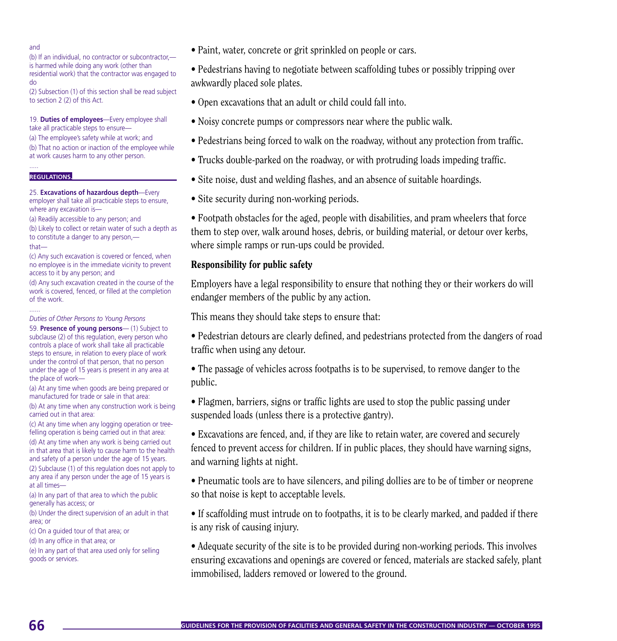#### and

(b) If an individual, no contractor or subcontractor, is harmed while doing any work (other than residential work) that the contractor was engaged to do

(2) Subsection (1) of this section shall be read subject to section 2 (2) of this Act.

19. **Duties of employees**—Every employee shall take all practicable steps to ensure—

(a) The employee's safety while at work; and (b) That no action or inaction of the employee while at work causes harm to any other person.

#### **REGULATIONS.**

.....

25. **Excavations of hazardous depth**—Every employer shall take all practicable steps to ensure, where any excavation is—

(a) Readily accessible to any person; and

(b) Likely to collect or retain water of such a depth as to constitute a danger to any person, that—

(c) Any such excavation is covered or fenced, when no employee is in the immediate vicinity to prevent access to it by any person; and

(d) Any such excavation created in the course of the work is covered, fenced, or filled at the completion of the work.

...... *Duties of Other Persons to Young Persons*

59. **Presence of young persons**— (1) Subject to subclause (2) of this regulation, every person who controls a place of work shall take all practicable steps to ensure, in relation to every place of work under the control of that person, that no person under the age of 15 years is present in any area at the place of work—

(a) At any time when goods are being prepared or manufactured for trade or sale in that area: (b) At any time when any construction work is being

carried out in that area: (c) At any time when any logging operation or treefelling operation is being carried out in that area:

(d) At any time when any work is being carried out in that area that is likely to cause harm to the health and safety of a person under the age of 15 years. (2) Subclause (1) of this regulation does not apply to

any area if any person under the age of 15 years is at all times—

(a) In any part of that area to which the public generally has access; or

(b) Under the direct supervision of an adult in that area; or

(c) On a guided tour of that area; or

(d) In any office in that area; or

(e) In any part of that area used only for selling goods or services.

• Paint, water, concrete or grit sprinkled on people or cars.

• Pedestrians having to negotiate between scaffolding tubes or possibly tripping over awkwardly placed sole plates.

- Open excavations that an adult or child could fall into.
- Noisy concrete pumps or compressors near where the public walk.
- Pedestrians being forced to walk on the roadway, without any protection from traffic.
- Trucks double-parked on the roadway, or with protruding loads impeding traffic.
- Site noise, dust and welding flashes, and an absence of suitable hoardings.
- Site security during non-working periods.

• Footpath obstacles for the aged, people with disabilities, and pram wheelers that force them to step over, walk around hoses, debris, or building material, or detour over kerbs, where simple ramps or run-ups could be provided.

### Responsibility for public safety

Employers have a legal responsibility to ensure that nothing they or their workers do will endanger members of the public by any action.

This means they should take steps to ensure that:

• Pedestrian detours are clearly defined, and pedestrians protected from the dangers of road traffic when using any detour.

• The passage of vehicles across footpaths is to be supervised, to remove danger to the public.

• Flagmen, barriers, signs or traffic lights are used to stop the public passing under suspended loads (unless there is a protective gantry).

• Excavations are fenced, and, if they are like to retain water, are covered and securely fenced to prevent access for children. If in public places, they should have warning signs, and warning lights at night.

• Pneumatic tools are to have silencers, and piling dollies are to be of timber or neoprene so that noise is kept to acceptable levels.

• If scaffolding must intrude on to footpaths, it is to be clearly marked, and padded if there is any risk of causing injury.

• Adequate security of the site is to be provided during non-working periods. This involves ensuring excavations and openings are covered or fenced, materials are stacked safely, plant immobilised, ladders removed or lowered to the ground.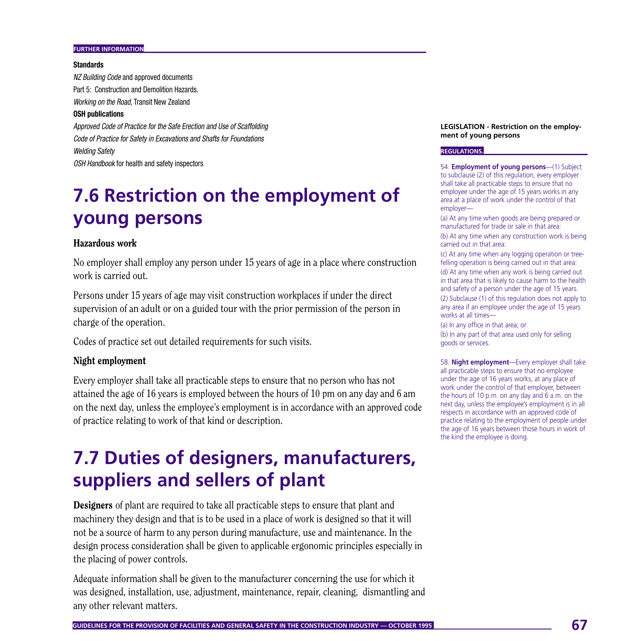#### **FURTHER INFORMATION**

#### **Standards**

NZ Building Code and approved documents Part 5: Construction and Demolition Hazards. Working on the Road, Transit New Zealand **OSH publications** Approved Code of Practice for the Safe Erection and Use of Scaffolding Code of Practice for Safety in Excavations and Shafts for Foundations Welding Safety OSH Handbook for health and safety inspectors

# **7.6 Restriction on the employment of young persons**

### Hazardous work

No employer shall employ any person under 15 years of age in a place where construction work is carried out.

Persons under 15 years of age may visit construction workplaces if under the direct supervision of an adult or on a guided tour with the prior permission of the person in charge of the operation.

Codes of practice set out detailed requirements for such visits.

### Night employment

Every employer shall take all practicable steps to ensure that no person who has not attained the age of 16 years is employed between the hours of 10 pm on any day and 6 am on the next day, unless the employee's employment is in accordance with an approved code of practice relating to work of that kind or description.

# **7.7 Duties of designers, manufacturers, suppliers and sellers of plant**

Designers of plant are required to take all practicable steps to ensure that plant and machinery they design and that is to be used in a place of work is designed so that it will not be a source of harm to any person during manufacture, use and maintenance. In the design process consideration shall be given to applicable ergonomic principles especially in the placing of power controls.

Adequate information shall be given to the manufacturer concerning the use for which it was designed, installation, use, adjustment, maintenance, repair, cleaning, dismantling and any other relevant matters.

**LEGISLATION - Restriction on the employment of young persons**

#### **REGULATIONS.**

54. **Employment of young persons**—(1) Subject to subclause (2) of this regulation, every employer shall take all practicable steps to ensure that no employee under the age of 15 years works in any area at a place of work under the control of that employer—

(a) At any time when goods are being prepared or manufactured for trade or sale in that area:

(b) At any time when any construction work is being carried out in that area:

(c) At any time when any logging operation or treefelling operation is being carried out in that area: (d) At any time when any work is being carried out in that area that is likely to cause harm to the health and safety of a person under the age of 15 years. (2) Subclause (1) of this regulation does not apply to any area if an employee under the age of 15 years works at all times—

(a) In any office in that area; or (b) In any part of that area used only for selling goods or services.

58. **Night employment**—Every employer shall take all practicable steps to ensure that no employee under the age of 16 years works, at any place of work under the control of that employer, between the hours of 10 p.m. on any day and 6 a.m. on the next day, unless the employee's employment is in all respects in accordance with an approved code of practice relating to the employment of people under the age of 16 years between those hours in work of the kind the employee is doing.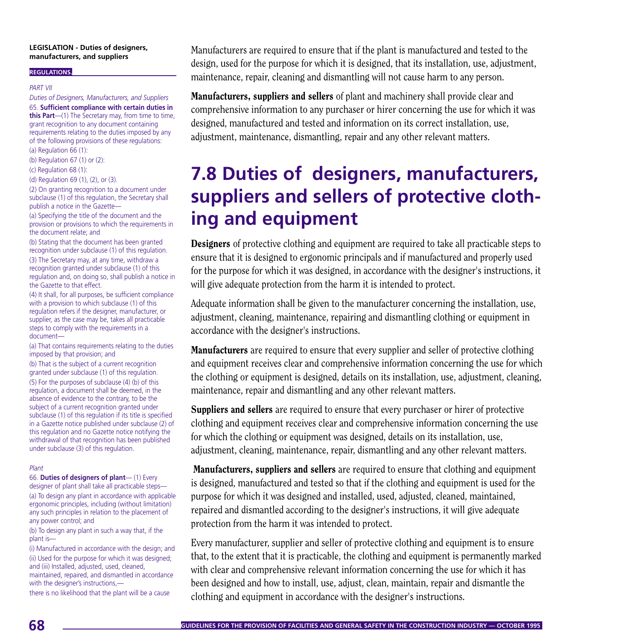**LEGISLATION - Duties of designers, manufacturers, and suppliers**

#### **REGULATIONS.**

#### *PART VII*

*Duties of Designers, Manufacturers, and Suppliers* 65. **Sufficient compliance with certain duties in this Part**—(1) The Secretary may, from time to time, grant recognition to any document containing requirements relating to the duties imposed by any of the following provisions of these regulations:

(a) Regulation 66 (1):

(b) Regulation 67 (1) or (2):

(c) Regulation 68 (1):

(d) Regulation 69 (1), (2), or (3).

(2) On granting recognition to a document under subclause (1) of this regulation, the Secretary shall publish a notice in the Gazette—

(a) Specifying the title of the document and the provision or provisions to which the requirements in the document relate; and

(b) Stating that the document has been granted recognition under subclause (1) of this regulation.

(3) The Secretary may, at any time, withdraw a recognition granted under subclause (1) of this regulation and, on doing so, shall publish a notice in the Gazette to that effect.

(4) It shall, for all purposes, be sufficient compliance with a provision to which subclause (1) of this regulation refers if the designer, manufacturer, or supplier, as the case may be, takes all practicable steps to comply with the requirements in a document—

(a) That contains requirements relating to the duties imposed by that provision; and

(b) That is the subject of a current recognition granted under subclause (1) of this regulation. (5) For the purposes of subclause (4) (b) of this regulation, a document shall be deemed, in the absence of evidence to the contrary, to be the subject of a current recognition granted under subclause (1) of this regulation if its title is specified in a Gazette notice published under subclause (2) of this regulation and no Gazette notice notifying the withdrawal of that recognition has been published under subclause (3) of this regulation.

#### *Plant*

66. **Duties of designers of plant**— (1) Every designer of plant shall take all practicable steps—

(a) To design any plant in accordance with applicable ergonomic principles, including (without limitation) any such principles in relation to the placement of any power control; and

(b) To design any plant in such a way that, if the plant is—

(i) Manufactured in accordance with the design; and (ii) Used for the purpose for which it was designed: and (iii) Installed, adjusted, used, cleaned, maintained, repaired, and dismantled in accordance with the designer's instructions.—

there is no likelihood that the plant will be a cause

Manufacturers are required to ensure that if the plant is manufactured and tested to the design, used for the purpose for which it is designed, that its installation, use, adjustment, maintenance, repair, cleaning and dismantling will not cause harm to any person.

Manufacturers, suppliers and sellers of plant and machinery shall provide clear and comprehensive information to any purchaser or hirer concerning the use for which it was designed, manufactured and tested and information on its correct installation, use, adjustment, maintenance, dismantling, repair and any other relevant matters.

# **7.8 Duties of designers, manufacturers, suppliers and sellers of protective clothing and equipment**

Designers of protective clothing and equipment are required to take all practicable steps to ensure that it is designed to ergonomic principals and if manufactured and properly used for the purpose for which it was designed, in accordance with the designer's instructions, it will give adequate protection from the harm it is intended to protect.

Adequate information shall be given to the manufacturer concerning the installation, use, adjustment, cleaning, maintenance, repairing and dismantling clothing or equipment in accordance with the designer's instructions.

Manufacturers are required to ensure that every supplier and seller of protective clothing and equipment receives clear and comprehensive information concerning the use for which the clothing or equipment is designed, details on its installation, use, adjustment, cleaning, maintenance, repair and dismantling and any other relevant matters.

Suppliers and sellers are required to ensure that every purchaser or hirer of protective clothing and equipment receives clear and comprehensive information concerning the use for which the clothing or equipment was designed, details on its installation, use, adjustment, cleaning, maintenance, repair, dismantling and any other relevant matters.

Manufacturers, suppliers and sellers are required to ensure that clothing and equipment is designed, manufactured and tested so that if the clothing and equipment is used for the purpose for which it was designed and installed, used, adjusted, cleaned, maintained, repaired and dismantled according to the designer's instructions, it will give adequate protection from the harm it was intended to protect.

Every manufacturer, supplier and seller of protective clothing and equipment is to ensure that, to the extent that it is practicable, the clothing and equipment is permanently marked with clear and comprehensive relevant information concerning the use for which it has been designed and how to install, use, adjust, clean, maintain, repair and dismantle the clothing and equipment in accordance with the designer's instructions.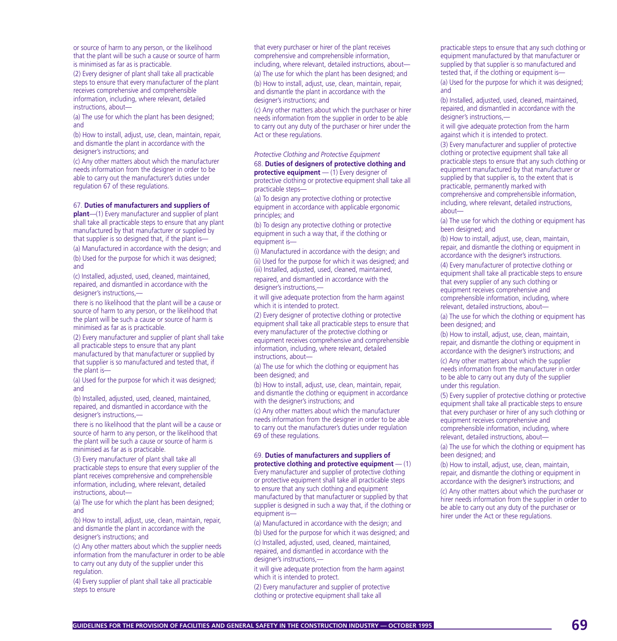or source of harm to any person, or the likelihood that the plant will be such a cause or source of harm is minimised as far as is practicable.

(2) Every designer of plant shall take all practicable steps to ensure that every manufacturer of the plant receives comprehensive and comprehensible information, including, where relevant, detailed instructions, about—

(a) The use for which the plant has been designed; and

(b) How to install, adjust, use, clean, maintain, repair, and dismantle the plant in accordance with the designer's instructions; and

(c) Any other matters about which the manufacturer needs information from the designer in order to be able to carry out the manufacturer's duties under regulation 67 of these regulations.

#### 67. **Duties of manufacturers and suppliers of**

**plant**—(1) Every manufacturer and supplier of plant shall take all practicable steps to ensure that any plant manufactured by that manufacturer or supplied by that supplier is so designed that, if the plant is—

(a) Manufactured in accordance with the design; and (b) Used for the purpose for which it was designed; and

(c) Installed, adjusted, used, cleaned, maintained, repaired, and dismantled in accordance with the designer's instructions,—

there is no likelihood that the plant will be a cause or source of harm to any person, or the likelihood that the plant will be such a cause or source of harm is minimised as far as is practicable.

(2) Every manufacturer and supplier of plant shall take all practicable steps to ensure that any plant manufactured by that manufacturer or supplied by that supplier is so manufactured and tested that, if the plant is—

(a) Used for the purpose for which it was designed; and

(b) Installed, adjusted, used, cleaned, maintained, repaired, and dismantled in accordance with the designer's instructions,—

there is no likelihood that the plant will be a cause or source of harm to any person, or the likelihood that the plant will be such a cause or source of harm is minimised as far as is practicable.

(3) Every manufacturer of plant shall take all practicable steps to ensure that every supplier of the plant receives comprehensive and comprehensible information, including, where relevant, detailed instructions, about—

(a) The use for which the plant has been designed; and

(b) How to install, adjust, use, clean, maintain, repair, and dismantle the plant in accordance with the designer's instructions; and

(c) Any other matters about which the supplier needs information from the manufacturer in order to be able to carry out any duty of the supplier under this regulation.

(4) Every supplier of plant shall take all practicable steps to ensure

that every purchaser or hirer of the plant receives comprehensive and comprehensible information, including, where relevant, detailed instructions, about— (a) The use for which the plant has been designed; and

(b) How to install, adjust, use, clean, maintain, repair, and dismantle the plant in accordance with the designer's instructions; and

(c) Any other matters about which the purchaser or hirer needs information from the supplier in order to be able to carry out any duty of the purchaser or hirer under the Act or these regulations.

#### *Protective Clothing and Protective Equipment* 68. **Duties of designers of protective clothing and**

**protective equipment** — (1) Every designer of protective clothing or protective equipment shall take all practicable steps—

(a) To design any protective clothing or protective equipment in accordance with applicable ergonomic principles; and

(b) To design any protective clothing or protective equipment in such a way that, if the clothing or equipment is-

(i) Manufactured in accordance with the design; and (ii) Used for the purpose for which it was designed; and (iii) Installed, adjusted, used, cleaned, maintained, repaired, and dismantled in accordance with the designer's instructions,—

it will give adequate protection from the harm against which it is intended to protect.

(2) Every designer of protective clothing or protective equipment shall take all practicable steps to ensure that every manufacturer of the protective clothing or equipment receives comprehensive and comprehensible information, including, where relevant, detailed instructions, about—

(a) The use for which the clothing or equipment has been designed; and

(b) How to install, adjust, use, clean, maintain, repair, and dismantle the clothing or equipment in accordance with the designer's instructions; and

(c) Any other matters about which the manufacturer needs information from the designer in order to be able to carry out the manufacturer's duties under regulation 69 of these regulations.

#### 69. **Duties of manufacturers and suppliers of protective clothing and protective equipment** — (1)

Every manufacturer and supplier of protective clothing or protective equipment shall take all practicable steps to ensure that any such clothing and equipment manufactured by that manufacturer or supplied by that supplier is designed in such a way that, if the clothing or equipment is—

(a) Manufactured in accordance with the design; and (b) Used for the purpose for which it was designed; and

(c) Installed, adjusted, used, cleaned, maintained, repaired, and dismantled in accordance with the designer's instructions,—

it will give adequate protection from the harm against which it is intended to protect.

(2) Every manufacturer and supplier of protective clothing or protective equipment shall take all

practicable steps to ensure that any such clothing or equipment manufactured by that manufacturer or supplied by that supplier is so manufactured and tested that, if the clothing or equipment is— (a) Used for the purpose for which it was designed:

and

(b) Installed, adjusted, used, cleaned, maintained, repaired, and dismantled in accordance with the designer's instructions.

it will give adequate protection from the harm against which it is intended to protect.

(3) Every manufacturer and supplier of protective clothing or protective equipment shall take all practicable steps to ensure that any such clothing or equipment manufactured by that manufacturer or supplied by that supplier is, to the extent that is practicable, permanently marked with comprehensive and comprehensible information, including, where relevant, detailed instructions, about—

(a) The use for which the clothing or equipment has been designed; and

(b) How to install, adjust, use, clean, maintain, repair, and dismantle the clothing or equipment in accordance with the designer's instructions.

(4) Every manufacturer of protective clothing or equipment shall take all practicable steps to ensure that every supplier of any such clothing or equipment receives comprehensive and comprehensible information, including, where relevant, detailed instructions, about—

(a) The use for which the clothing or equipment has been designed; and

(b) How to install, adjust, use, clean, maintain, repair, and dismantle the clothing or equipment in accordance with the designer's instructions; and (c) Any other matters about which the supplier needs information from the manufacturer in order to be able to carry out any duty of the supplier under this regulation.

(5) Every supplier of protective clothing or protective equipment shall take all practicable steps to ensure that every purchaser or hirer of any such clothing or equipment receives comprehensive and comprehensible information, including, where relevant, detailed instructions, about—

(a) The use for which the clothing or equipment has been designed; and

(b) How to install, adjust, use, clean, maintain, repair, and dismantle the clothing or equipment in accordance with the designer's instructions; and

(c) Any other matters about which the purchaser or hirer needs information from the supplier in order to be able to carry out any duty of the purchaser or hirer under the Act or these regulations.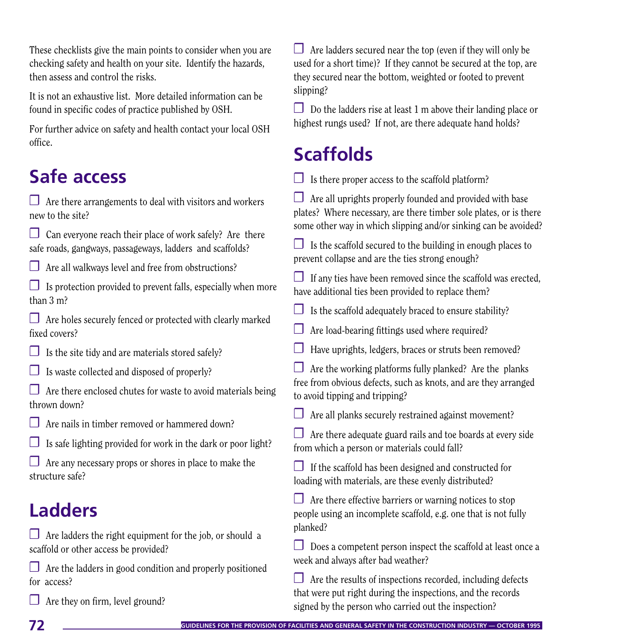These checklists give the main points to consider when you are checking safety and health on your site. Identify the hazards, then assess and control the risks.

It is not an exhaustive list. More detailed information can be found in specific codes of practice published by OSH.

For further advice on safety and health contact your local OSH office.

# **Safe access**

 $\Box$  Are there arrangements to deal with visitors and workers new to the site?

 $\Box$  Can everyone reach their place of work safely? Are there safe roads, gangways, passageways, ladders and scaffolds?

 $\Box$  Are all walkways level and free from obstructions?

 $\square$  Is protection provided to prevent falls, especially when more than 3 m?

 $\Box$  Are holes securely fenced or protected with clearly marked fixed covers?

 $\Box$  Is the site tidy and are materials stored safely?

 $\Box$  Is waste collected and disposed of properly?

 $\Box$  Are there enclosed chutes for waste to avoid materials being thrown down?

 $\Box$  Are nails in timber removed or hammered down?

 $\Box$  Is safe lighting provided for work in the dark or poor light?

 $\Box$  Are any necessary props or shores in place to make the structure safe?

# **Ladders**

 $\Box$  Are ladders the right equipment for the job, or should a scaffold or other access be provided?

 $\Box$  Are the ladders in good condition and properly positioned for access?

 $\Box$  Are they on firm, level ground?

 $\Box$  Are ladders secured near the top (even if they will only be used for a short time)? If they cannot be secured at the top, are they secured near the bottom, weighted or footed to prevent slipping?

 $\square$  Do the ladders rise at least 1 m above their landing place or highest rungs used? If not, are there adequate hand holds?

# **Scaffolds**

 $\Box$  Is there proper access to the scaffold platform?

 $\Box$  Are all uprights properly founded and provided with base plates? Where necessary, are there timber sole plates, or is there some other way in which slipping and/or sinking can be avoided?

 $\Box$  Is the scaffold secured to the building in enough places to prevent collapse and are the ties strong enough?

 $\Box$  If any ties have been removed since the scaffold was erected, have additional ties been provided to replace them?

 $\Box$  Is the scaffold adequately braced to ensure stability?

 $\Box$  Are load-bearing fittings used where required?

 $\Box$  Have uprights, ledgers, braces or struts been removed?

 $\Box$  Are the working platforms fully planked? Are the planks free from obvious defects, such as knots, and are they arranged to avoid tipping and tripping?

 $\Box$  Are all planks securely restrained against movement?

 $\Box$  Are there adequate guard rails and toe boards at every side from which a person or materials could fall?

 $\Box$  If the scaffold has been designed and constructed for loading with materials, are these evenly distributed?

 $\Box$  Are there effective barriers or warning notices to stop people using an incomplete scaffold, e.g. one that is not fully planked?

 $\square$  Does a competent person inspect the scaffold at least once a week and always after bad weather?

 $\Box$  Are the results of inspections recorded, including defects that were put right during the inspections, and the records signed by the person who carried out the inspection?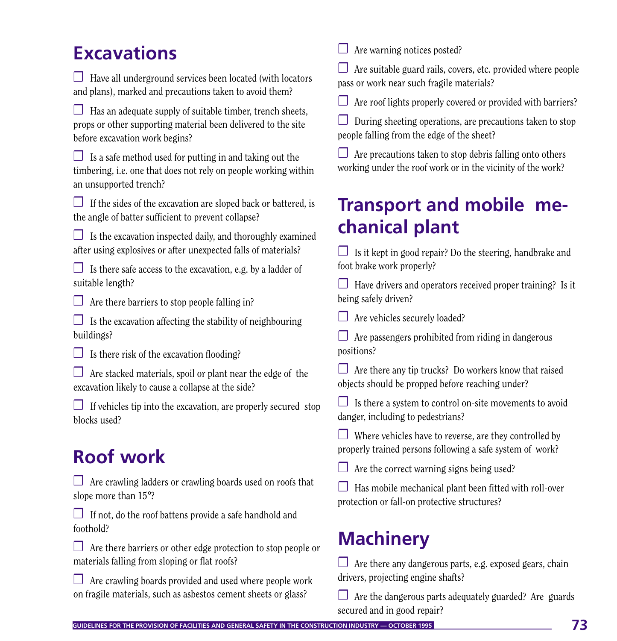# **Excavations**

 $\Box$  Have all underground services been located (with locators and plans), marked and precautions taken to avoid them?

 $\Box$  Has an adequate supply of suitable timber, trench sheets, props or other supporting material been delivered to the site before excavation work begins?

 $\Box$  Is a safe method used for putting in and taking out the timbering, i.e. one that does not rely on people working within an unsupported trench?

 $\Box$  If the sides of the excavation are sloped back or battered, is the angle of batter sufficient to prevent collapse?

 $\Box$  Is the excavation inspected daily, and thoroughly examined after using explosives or after unexpected falls of materials?

 $\Box$  Is there safe access to the excavation, e.g. by a ladder of suitable length?

 $\Box$  Are there barriers to stop people falling in?

 $\Box$  Is the excavation affecting the stability of neighbouring buildings?

 $\Box$  Is there risk of the excavation flooding?

 $\Box$  Are stacked materials, spoil or plant near the edge of the excavation likely to cause a collapse at the side?

 $\Box$  If vehicles tip into the excavation, are properly secured stop blocks used?

# **Roof work**

 $\Box$  Are crawling ladders or crawling boards used on roofs that slope more than 15°?

 $\Box$  If not, do the roof battens provide a safe handhold and foothold?

 $\Box$  Are there barriers or other edge protection to stop people or materials falling from sloping or flat roofs?

 $\Box$  Are crawling boards provided and used where people work on fragile materials, such as asbestos cement sheets or glass?

 $\Box$  Are warning notices posted?

 $\Box$  Are suitable guard rails, covers, etc. provided where people pass or work near such fragile materials?

 $\Box$  Are roof lights properly covered or provided with barriers?

 $\Box$  During sheeting operations, are precautions taken to stop people falling from the edge of the sheet?

 $\Box$  Are precautions taken to stop debris falling onto others working under the roof work or in the vicinity of the work?

# **Transport and mobile mechanical plant**

 $\Box$  Is it kept in good repair? Do the steering, handbrake and foot brake work properly?

 $\Box$  Have drivers and operators received proper training? Is it being safely driven?

 $\Box$  Are vehicles securely loaded?

 $\Box$  Are passengers prohibited from riding in dangerous positions?

 $\Box$  Are there any tip trucks? Do workers know that raised objects should be propped before reaching under?

 $\Box$  Is there a system to control on-site movements to avoid danger, including to pedestrians?

 $\Box$  Where vehicles have to reverse, are they controlled by properly trained persons following a safe system of work?

 $\Box$  Are the correct warning signs being used?

 $\Box$  Has mobile mechanical plant been fitted with roll-over protection or fall-on protective structures?

# **Machinery**

 $\Box$  Are there any dangerous parts, e.g. exposed gears, chain drivers, projecting engine shafts?

 $\Box$  Are the dangerous parts adequately guarded? Are guards secured and in good repair?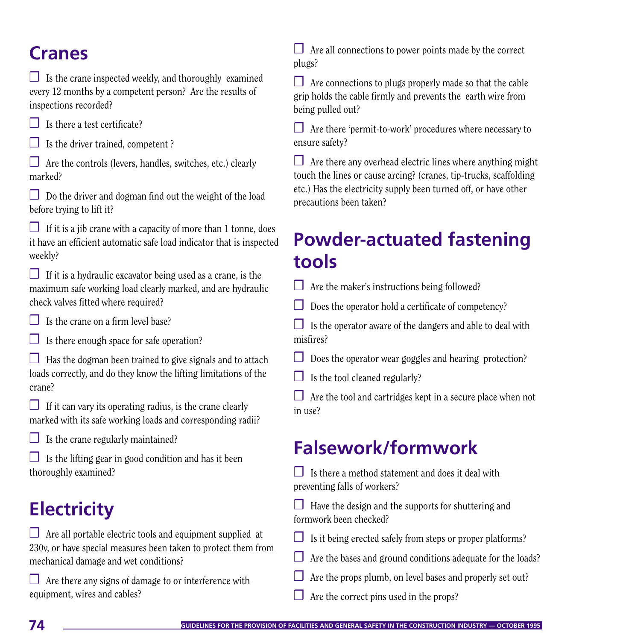# **Cranes**

 $\Box$  Is the crane inspected weekly, and thoroughly examined every 12 months by a competent person? Are the results of inspections recorded?

- $\Box$  Is there a test certificate?
- $\Box$  Is the driver trained, competent ?

 $\Box$  Are the controls (levers, handles, switches, etc.) clearly marked?

 $\Box$  Do the driver and dogman find out the weight of the load before trying to lift it?

 $\Box$  If it is a jib crane with a capacity of more than 1 tonne, does it have an efficient automatic safe load indicator that is inspected weekly?

 $\Box$  If it is a hydraulic excavator being used as a crane, is the maximum safe working load clearly marked, and are hydraulic check valves fitted where required?

- $\Box$  Is the crane on a firm level base?
- $\Box$  Is there enough space for safe operation?

 $\Box$  Has the dogman been trained to give signals and to attach loads correctly, and do they know the lifting limitations of the crane?

 $\Box$  If it can vary its operating radius, is the crane clearly marked with its safe working loads and corresponding radii?

 $\Box$  Is the crane regularly maintained?

 $\Box$  Is the lifting gear in good condition and has it been thoroughly examined?

# **Electricity**

 $\Box$  Are all portable electric tools and equipment supplied at 230v, or have special measures been taken to protect them from mechanical damage and wet conditions?

 $\Box$  Are there any signs of damage to or interference with equipment, wires and cables?

 $\Box$  Are all connections to power points made by the correct plugs?

 $\Box$  Are connections to plugs properly made so that the cable grip holds the cable firmly and prevents the earth wire from being pulled out?

 $\Box$  Are there 'permit-to-work' procedures where necessary to ensure safety?

 $\Box$  Are there any overhead electric lines where anything might touch the lines or cause arcing? (cranes, tip-trucks, scaffolding etc.) Has the electricity supply been turned off, or have other precautions been taken?

# **Powder-actuated fastening tools**

 $\Box$  Are the maker's instructions being followed?

 $\square$  Does the operator hold a certificate of competency?

 $\Box$  Is the operator aware of the dangers and able to deal with misfires?

 $\square$  Does the operator wear goggles and hearing protection?

 $\Box$  Is the tool cleaned regularly?

 $\Box$  Are the tool and cartridges kept in a secure place when not in use?

# **Falsework/formwork**

 $\Box$  Is there a method statement and does it deal with preventing falls of workers?

 $\Box$  Have the design and the supports for shuttering and formwork been checked?

- $\Box$  Is it being erected safely from steps or proper platforms?
- $\Box$  Are the bases and ground conditions adequate for the loads?
- $\Box$  Are the props plumb, on level bases and properly set out?
- $\Box$  Are the correct pins used in the props?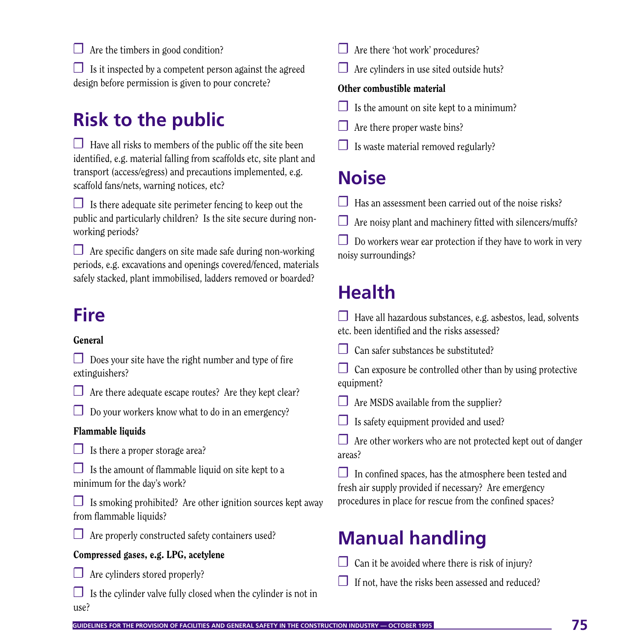$\Box$  Are the timbers in good condition?

 $\Box$  Is it inspected by a competent person against the agreed design before permission is given to pour concrete?

# **Risk to the public**

 $\Box$  Have all risks to members of the public off the site been identified, e.g. material falling from scaffolds etc, site plant and transport (access/egress) and precautions implemented, e.g. scaffold fans/nets, warning notices, etc?

 $\Box$  Is there adequate site perimeter fencing to keep out the public and particularly children? Is the site secure during nonworking periods?

 $\Box$  Are specific dangers on site made safe during non-working periods, e.g. excavations and openings covered/fenced, materials safely stacked, plant immobilised, ladders removed or boarded?

# **Fire**

### General

 $\Box$  Does your site have the right number and type of fire extinguishers?

 $\Box$  Are there adequate escape routes? Are they kept clear?

 $\square$  Do your workers know what to do in an emergency?

### Flammable liquids

 $\Box$  Is there a proper storage area?

 $\Box$  Is the amount of flammable liquid on site kept to a minimum for the day's work?

 $\square$  Is smoking prohibited? Are other ignition sources kept away from flammable liquids?

 $\Box$  Are properly constructed safety containers used?

### Compressed gases, e.g. LPG, acetylene

 $\Box$  Are cylinders stored properly?

 $\Box$  Is the cylinder valve fully closed when the cylinder is not in use?

- $\Box$  Are there 'hot work' procedures?
- $\Box$  Are cylinders in use sited outside huts?

### Other combustible material

- $\Box$  Is the amount on site kept to a minimum?
- $\Box$  Are there proper waste bins?
- $\Box$  Is waste material removed regularly?

# **Noise**

- $\Box$  Has an assessment been carried out of the noise risks?
- $\Box$  Are noisy plant and machinery fitted with silencers/muffs?

 $\square$  Do workers wear ear protection if they have to work in very noisy surroundings?

# **Health**

 $\Box$  Have all hazardous substances, e.g. asbestos, lead, solvents etc. been identified and the risks assessed?

 $\Box$  Can safer substances be substituted?

 $\Box$  Can exposure be controlled other than by using protective equipment?

- $\Box$  Are MSDS available from the supplier?
- $\Box$  Is safety equipment provided and used?

 $\Box$  Are other workers who are not protected kept out of danger areas?

 $\Box$  In confined spaces, has the atmosphere been tested and fresh air supply provided if necessary? Are emergency procedures in place for rescue from the confined spaces?

# **Manual handling**

- $\Box$  Can it be avoided where there is risk of injury?
- $\Box$  If not, have the risks been assessed and reduced?